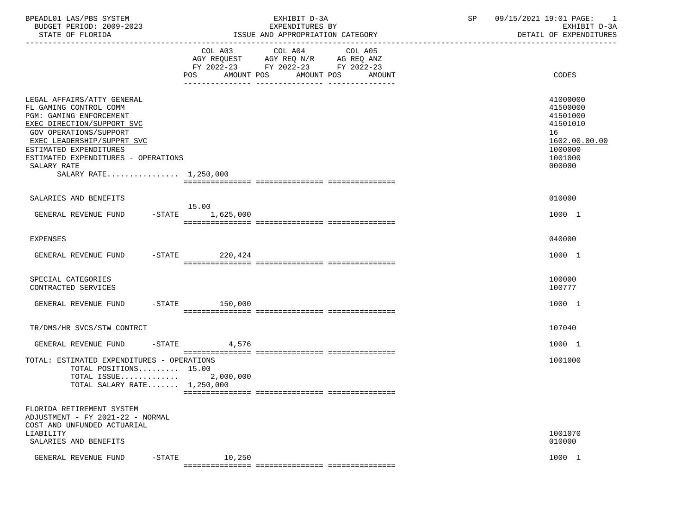| BPEADL01 LAS/PBS SYSTEM<br>BUDGET PERIOD: 2009-2023<br>STATE OF FLORIDA                                                                                                                                                                                                        | ISSUE AND APPROPRIATION CATEGORY                                                                                       | EXHIBIT D-3A<br>EXPENDITURES BY | SP | 09/15/2021 19:01 PAGE: 1<br>EXHIBIT D-3A<br>DETAIL OF EXPENDITURES                                  |
|--------------------------------------------------------------------------------------------------------------------------------------------------------------------------------------------------------------------------------------------------------------------------------|------------------------------------------------------------------------------------------------------------------------|---------------------------------|----|-----------------------------------------------------------------------------------------------------|
|                                                                                                                                                                                                                                                                                | COL A03 COL A04<br>AGY REQUEST AGY REQ N/R AG REQ ANZ<br>FY 2022-23 FY 2022-23 FY 2022-23<br>POS AMOUNT POS AMOUNT POS | COL A05<br>AMOUNT               |    | CODES                                                                                               |
| LEGAL AFFAIRS/ATTY GENERAL<br>FL GAMING CONTROL COMM<br>PGM: GAMING ENFORCEMENT<br>EXEC DIRECTION/SUPPORT SVC<br>GOV OPERATIONS/SUPPORT<br>EXEC LEADERSHIP/SUPPRT SVC<br>ESTIMATED EXPENDITURES<br>ESTIMATED EXPENDITURES - OPERATIONS<br>SALARY RATE<br>SALARY RATE 1,250,000 |                                                                                                                        |                                 |    | 41000000<br>41500000<br>41501000<br>41501010<br>16<br>1602.00.00.00<br>1000000<br>1001000<br>000000 |
| SALARIES AND BENEFITS                                                                                                                                                                                                                                                          |                                                                                                                        |                                 |    | 010000                                                                                              |
| GENERAL REVENUE FUND                                                                                                                                                                                                                                                           | 15.00<br>$-STATE$ 1,625,000                                                                                            |                                 |    | 1000 1                                                                                              |
| <b>EXPENSES</b>                                                                                                                                                                                                                                                                |                                                                                                                        |                                 |    | 040000                                                                                              |
| GENERAL REVENUE FUND                                                                                                                                                                                                                                                           | $-STATE$ 220,424                                                                                                       |                                 |    | 1000 1                                                                                              |
| SPECIAL CATEGORIES<br>CONTRACTED SERVICES                                                                                                                                                                                                                                      |                                                                                                                        |                                 |    | 100000<br>100777                                                                                    |
| GENERAL REVENUE FUND -STATE 150,000                                                                                                                                                                                                                                            |                                                                                                                        |                                 |    | 1000 1                                                                                              |
| TR/DMS/HR SVCS/STW CONTRCT                                                                                                                                                                                                                                                     |                                                                                                                        |                                 |    | 107040                                                                                              |
| GENERAL REVENUE FUND                                                                                                                                                                                                                                                           | $-$ STATE<br>4,576                                                                                                     |                                 |    | 1000 1                                                                                              |
| TOTAL: ESTIMATED EXPENDITURES - OPERATIONS<br>TOTAL POSITIONS 15.00<br>TOTAL ISSUE<br>TOTAL SALARY RATE $1,250,000$                                                                                                                                                            | 2,000,000                                                                                                              |                                 |    | 1001000                                                                                             |
| FLORIDA RETIREMENT SYSTEM<br>ADJUSTMENT - FY 2021-22 - NORMAL<br>COST AND UNFUNDED ACTUARIAL<br>LIABILITY<br>SALARIES AND BENEFITS                                                                                                                                             |                                                                                                                        |                                 |    | 1001070<br>010000                                                                                   |
| $-$ STATE<br>GENERAL REVENUE FUND                                                                                                                                                                                                                                              | 10,250                                                                                                                 |                                 |    | 1000 1                                                                                              |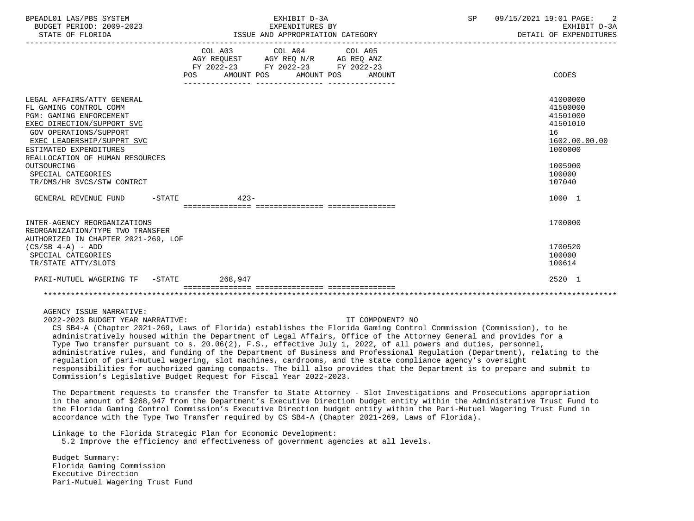| BPEADL01 LAS/PBS SYSTEM<br>BUDGET PERIOD: 2009-2023<br>STATE OF FLORIDA                                                                                                                                                                                                                                             | EXHIBIT D-3A<br>EXPENDITURES BY<br>ISSUE AND APPROPRIATION CATEGORY                                                                          | $\overline{2}$<br>SP<br>09/15/2021 19:01 PAGE:<br>EXHIBIT D-3A<br>DETAIL OF EXPENDITURES                      |
|---------------------------------------------------------------------------------------------------------------------------------------------------------------------------------------------------------------------------------------------------------------------------------------------------------------------|----------------------------------------------------------------------------------------------------------------------------------------------|---------------------------------------------------------------------------------------------------------------|
|                                                                                                                                                                                                                                                                                                                     | COL A03 COL A04 COL A05<br>AGY REQUEST AGY REQ N/R AG REQ ANZ<br>FY 2022-23 FY 2022-23 FY 2022-23<br>AMOUNT POS AMOUNT POS AMOUNT<br>POS FOR | CODES                                                                                                         |
| LEGAL AFFAIRS/ATTY GENERAL<br>FL GAMING CONTROL COMM<br><b>PGM: GAMING ENFORCEMENT</b><br>EXEC DIRECTION/SUPPORT SVC<br><b>GOV OPERATIONS/SUPPORT</b><br>EXEC LEADERSHIP/SUPPRT SVC<br>ESTIMATED EXPENDITURES<br>REALLOCATION OF HUMAN RESOURCES<br>OUTSOURCING<br>SPECIAL CATEGORIES<br>TR/DMS/HR SVCS/STW CONTRCT |                                                                                                                                              | 41000000<br>41500000<br>41501000<br>41501010<br>16<br>1602.00.00.00<br>1000000<br>1005900<br>100000<br>107040 |
| $-$ STATE<br>GENERAL REVENUE FUND                                                                                                                                                                                                                                                                                   | $423-$                                                                                                                                       | 1000 1                                                                                                        |
| INTER-AGENCY REORGANIZATIONS<br>REORGANIZATION/TYPE TWO TRANSFER<br>AUTHORIZED IN CHAPTER 2021-269, LOF<br>$(CS/SB 4-A) - ADD$<br>SPECIAL CATEGORIES<br>TR/STATE ATTY/SLOTS                                                                                                                                         |                                                                                                                                              | 1700000<br>1700520<br>100000<br>100614                                                                        |
| PARI-MUTUEL WAGERING TF -STATE 268.947                                                                                                                                                                                                                                                                              |                                                                                                                                              | 2520 1                                                                                                        |
|                                                                                                                                                                                                                                                                                                                     |                                                                                                                                              |                                                                                                               |

AGENCY ISSUE NARRATIVE:

2022-2023 BUDGET YEAR NARRATIVE: IT COMPONENT? NO

 CS SB4-A (Chapter 2021-269, Laws of Florida) establishes the Florida Gaming Control Commission (Commission), to be administratively housed within the Department of Legal Affairs, Office of the Attorney General and provides for a Type Two transfer pursuant to s. 20.06(2), F.S., effective July 1, 2022, of all powers and duties, personnel, administrative rules, and funding of the Department of Business and Professional Regulation (Department), relating to the regulation of pari-mutuel wagering, slot machines, cardrooms, and the state compliance agency's oversight responsibilities for authorized gaming compacts. The bill also provides that the Department is to prepare and submit to Commission's Legislative Budget Request for Fiscal Year 2022-2023.

 The Department requests to transfer the Transfer to State Attorney - Slot Investigations and Prosecutions appropriation in the amount of \$268,947 from the Department's Executive Direction budget entity within the Administrative Trust Fund to the Florida Gaming Control Commission's Executive Direction budget entity within the Pari-Mutuel Wagering Trust Fund in accordance with the Type Two Transfer required by CS SB4-A (Chapter 2021-269, Laws of Florida).

 Linkage to the Florida Strategic Plan for Economic Development: 5.2 Improve the efficiency and effectiveness of government agencies at all levels.

 Budget Summary: Florida Gaming Commission Executive Direction Pari-Mutuel Wagering Trust Fund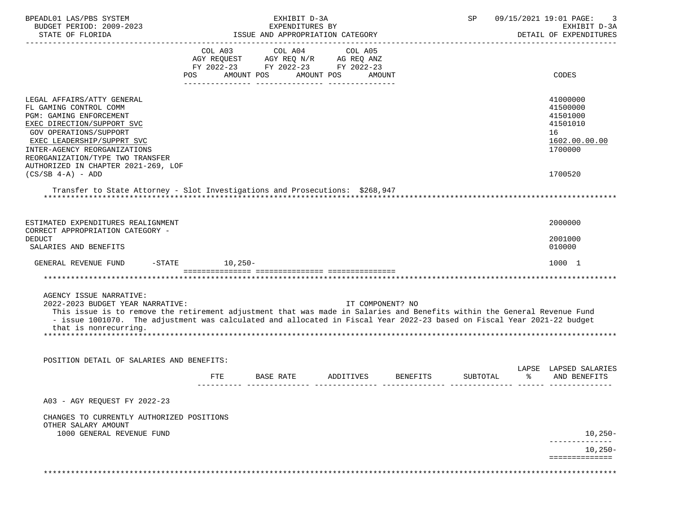| BPEADL01 LAS/PBS SYSTEM                                                                                                  |                      | EXHIBIT D-3A                       |                 |                                              | 09/15/2021 19:01 PAGE:<br>SP |  |                        |  |
|--------------------------------------------------------------------------------------------------------------------------|----------------------|------------------------------------|-----------------|----------------------------------------------|------------------------------|--|------------------------|--|
| BUDGET PERIOD: 2009-2023                                                                                                 |                      | EXPENDITURES BY                    |                 |                                              |                              |  | EXHIBIT D-3A           |  |
| STATE OF FLORIDA                                                                                                         |                      | ISSUE AND APPROPRIATION CATEGORY   |                 |                                              |                              |  | DETAIL OF EXPENDITURES |  |
|                                                                                                                          | COL A03              |                                    | COL A04 COL A05 |                                              |                              |  |                        |  |
|                                                                                                                          |                      | AGY REQUEST AGY REQ N/R AG REQ ANZ |                 |                                              |                              |  |                        |  |
|                                                                                                                          |                      | FY 2022-23 FY 2022-23 FY 2022-23   |                 |                                              |                              |  |                        |  |
|                                                                                                                          |                      | POS AMOUNT POS AMOUNT POS AMOUNT   |                 |                                              |                              |  | CODES                  |  |
|                                                                                                                          |                      |                                    |                 |                                              |                              |  |                        |  |
| LEGAL AFFAIRS/ATTY GENERAL                                                                                               |                      |                                    |                 |                                              |                              |  | 41000000               |  |
| FL GAMING CONTROL COMM                                                                                                   |                      |                                    |                 |                                              |                              |  | 41500000               |  |
| PGM: GAMING ENFORCEMENT                                                                                                  |                      |                                    |                 |                                              |                              |  | 41501000               |  |
| EXEC DIRECTION/SUPPORT SVC                                                                                               |                      |                                    |                 |                                              |                              |  | 41501010               |  |
|                                                                                                                          |                      |                                    |                 |                                              |                              |  |                        |  |
| <b>GOV OPERATIONS/SUPPORT</b>                                                                                            |                      |                                    |                 |                                              |                              |  | 16                     |  |
| EXEC LEADERSHIP/SUPPRT SVC                                                                                               |                      |                                    |                 |                                              |                              |  | 1602.00.00.00          |  |
| INTER-AGENCY REORGANIZATIONS                                                                                             |                      |                                    |                 |                                              |                              |  | 1700000                |  |
| REORGANIZATION/TYPE TWO TRANSFER                                                                                         |                      |                                    |                 |                                              |                              |  |                        |  |
| AUTHORIZED IN CHAPTER 2021-269, LOF                                                                                      |                      |                                    |                 |                                              |                              |  |                        |  |
| $(CS/SB 4-A) - ADD$                                                                                                      |                      |                                    |                 |                                              |                              |  | 1700520                |  |
| Transfer to State Attorney - Slot Investigations and Prosecutions: \$268,947                                             |                      |                                    |                 |                                              |                              |  |                        |  |
|                                                                                                                          |                      |                                    |                 |                                              |                              |  |                        |  |
|                                                                                                                          |                      |                                    |                 |                                              |                              |  |                        |  |
|                                                                                                                          |                      |                                    |                 |                                              |                              |  |                        |  |
| ESTIMATED EXPENDITURES REALIGNMENT                                                                                       |                      |                                    |                 |                                              |                              |  | 2000000                |  |
| CORRECT APPROPRIATION CATEGORY -                                                                                         |                      |                                    |                 |                                              |                              |  |                        |  |
| <b>DEDUCT</b>                                                                                                            |                      |                                    |                 |                                              |                              |  | 2001000                |  |
| SALARIES AND BENEFITS                                                                                                    |                      |                                    |                 |                                              |                              |  | 010000                 |  |
|                                                                                                                          |                      |                                    |                 |                                              |                              |  |                        |  |
| GENERAL REVENUE FUND                                                                                                     | $-$ STATE $10, 250-$ |                                    |                 |                                              |                              |  | 1000 1                 |  |
|                                                                                                                          |                      |                                    |                 |                                              |                              |  |                        |  |
|                                                                                                                          |                      |                                    |                 |                                              |                              |  |                        |  |
| AGENCY ISSUE NARRATIVE:                                                                                                  |                      |                                    |                 |                                              |                              |  |                        |  |
| 2022-2023 BUDGET YEAR NARRATIVE:                                                                                         |                      |                                    |                 | IT COMPONENT? NO                             |                              |  |                        |  |
| This issue is to remove the retirement adjustment that was made in Salaries and Benefits within the General Revenue Fund |                      |                                    |                 |                                              |                              |  |                        |  |
| - issue 1001070. The adjustment was calculated and allocated in Fiscal Year 2022-23 based on Fiscal Year 2021-22 budget  |                      |                                    |                 |                                              |                              |  |                        |  |
| that is nonrecurring.                                                                                                    |                      |                                    |                 |                                              |                              |  |                        |  |
|                                                                                                                          |                      |                                    |                 |                                              |                              |  |                        |  |
|                                                                                                                          |                      |                                    |                 |                                              |                              |  |                        |  |
|                                                                                                                          |                      |                                    |                 |                                              |                              |  |                        |  |
| POSITION DETAIL OF SALARIES AND BENEFITS:                                                                                |                      |                                    |                 |                                              |                              |  |                        |  |
|                                                                                                                          |                      |                                    |                 |                                              |                              |  | LAPSE LAPSED SALARIES  |  |
|                                                                                                                          | FTE                  |                                    |                 | BASE RATE ADDITIVES BENEFITS SUBTOTAL $\,$ % |                              |  | AND BENEFITS           |  |
|                                                                                                                          |                      |                                    |                 |                                              |                              |  |                        |  |
| A03 - AGY REOUEST FY 2022-23                                                                                             |                      |                                    |                 |                                              |                              |  |                        |  |
|                                                                                                                          |                      |                                    |                 |                                              |                              |  |                        |  |
| CHANGES TO CURRENTLY AUTHORIZED POSITIONS                                                                                |                      |                                    |                 |                                              |                              |  |                        |  |
| OTHER SALARY AMOUNT                                                                                                      |                      |                                    |                 |                                              |                              |  |                        |  |
| 1000 GENERAL REVENUE FUND                                                                                                |                      |                                    |                 |                                              |                              |  | $10,250-$              |  |
|                                                                                                                          |                      |                                    |                 |                                              |                              |  |                        |  |
|                                                                                                                          |                      |                                    |                 |                                              |                              |  | $10,250-$              |  |
|                                                                                                                          |                      |                                    |                 |                                              |                              |  | ==============         |  |
|                                                                                                                          |                      |                                    |                 |                                              |                              |  |                        |  |
|                                                                                                                          |                      |                                    |                 |                                              |                              |  |                        |  |
|                                                                                                                          |                      |                                    |                 |                                              |                              |  |                        |  |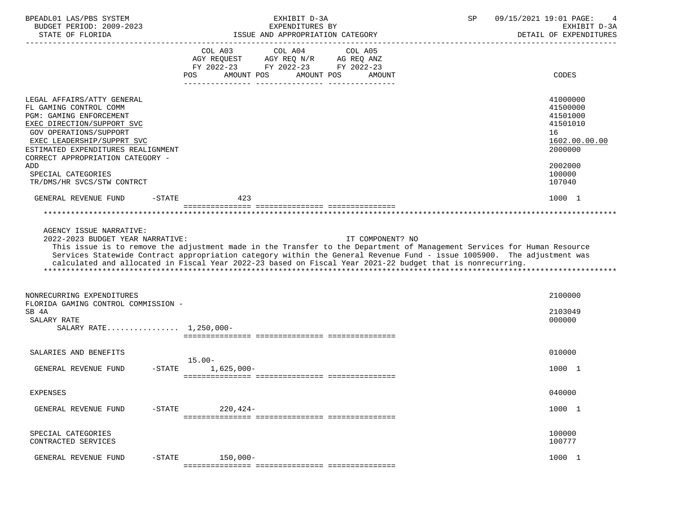| BPEADL01 LAS/PBS SYSTEM<br>BUDGET PERIOD: 2009-2023                                                                                                                                                                                             | EXHIBIT D-3A<br>EXPENDITURES BY                                                                                                                                                                                                                                                                                                                                                    | 09/15/2021 19:01 PAGE:<br>SP<br>4<br>EXHIBIT D-3A                              |
|-------------------------------------------------------------------------------------------------------------------------------------------------------------------------------------------------------------------------------------------------|------------------------------------------------------------------------------------------------------------------------------------------------------------------------------------------------------------------------------------------------------------------------------------------------------------------------------------------------------------------------------------|--------------------------------------------------------------------------------|
| STATE OF FLORIDA                                                                                                                                                                                                                                | ISSUE AND APPROPRIATION CATEGORY                                                                                                                                                                                                                                                                                                                                                   | DETAIL OF EXPENDITURES                                                         |
|                                                                                                                                                                                                                                                 | COL A03<br>COL A04<br>COL A05<br>AGY REOUEST<br>AGY REQ N/R AG REQ ANZ<br>FY 2022-23 FY 2022-23 FY 2022-23<br>POS<br>AMOUNT POS<br>AMOUNT POS<br>AMOUNT                                                                                                                                                                                                                            | CODES                                                                          |
| LEGAL AFFAIRS/ATTY GENERAL<br>FL GAMING CONTROL COMM<br>PGM: GAMING ENFORCEMENT<br>EXEC DIRECTION/SUPPORT SVC<br>GOV OPERATIONS/SUPPORT<br>EXEC LEADERSHIP/SUPPRT SVC<br>ESTIMATED EXPENDITURES REALIGNMENT<br>CORRECT APPROPRIATION CATEGORY - |                                                                                                                                                                                                                                                                                                                                                                                    | 41000000<br>41500000<br>41501000<br>41501010<br>16<br>1602.00.00.00<br>2000000 |
| ADD<br>SPECIAL CATEGORIES<br>TR/DMS/HR SVCS/STW CONTRCT                                                                                                                                                                                         |                                                                                                                                                                                                                                                                                                                                                                                    | 2002000<br>100000<br>107040                                                    |
| GENERAL REVENUE FUND<br>$-STATE$                                                                                                                                                                                                                | 423                                                                                                                                                                                                                                                                                                                                                                                | 1000 1                                                                         |
|                                                                                                                                                                                                                                                 |                                                                                                                                                                                                                                                                                                                                                                                    |                                                                                |
| AGENCY ISSUE NARRATIVE:<br>2022-2023 BUDGET YEAR NARRATIVE:                                                                                                                                                                                     | IT COMPONENT? NO<br>This issue is to remove the adjustment made in the Transfer to the Department of Management Services for Human Resource<br>Services Statewide Contract appropriation category within the General Revenue Fund - issue 1005900. The adjustment was<br>calculated and allocated in Fiscal Year 2022-23 based on Fiscal Year 2021-22 budget that is nonrecurring. |                                                                                |
| NONRECURRING EXPENDITURES<br>FLORIDA GAMING CONTROL COMMISSION -<br>SB 4A<br>SALARY RATE<br>SALARY RATE 1,250,000-                                                                                                                              |                                                                                                                                                                                                                                                                                                                                                                                    | 2100000<br>2103049<br>000000                                                   |
| SALARIES AND BENEFITS                                                                                                                                                                                                                           |                                                                                                                                                                                                                                                                                                                                                                                    | 010000                                                                         |
| GENERAL REVENUE FUND<br>$-$ STATE                                                                                                                                                                                                               | $15.00 -$<br>$1,625,000-$                                                                                                                                                                                                                                                                                                                                                          | 1000 1                                                                         |
| <b>EXPENSES</b>                                                                                                                                                                                                                                 |                                                                                                                                                                                                                                                                                                                                                                                    | 040000                                                                         |
| GENERAL REVENUE FUND<br>$-STATE$                                                                                                                                                                                                                | $220, 424-$                                                                                                                                                                                                                                                                                                                                                                        | 1000 1                                                                         |
| SPECIAL CATEGORIES<br>CONTRACTED SERVICES                                                                                                                                                                                                       |                                                                                                                                                                                                                                                                                                                                                                                    | 100000<br>100777                                                               |
| $-$ STATE<br>GENERAL REVENUE FUND                                                                                                                                                                                                               | $150,000-$                                                                                                                                                                                                                                                                                                                                                                         | 1000 1                                                                         |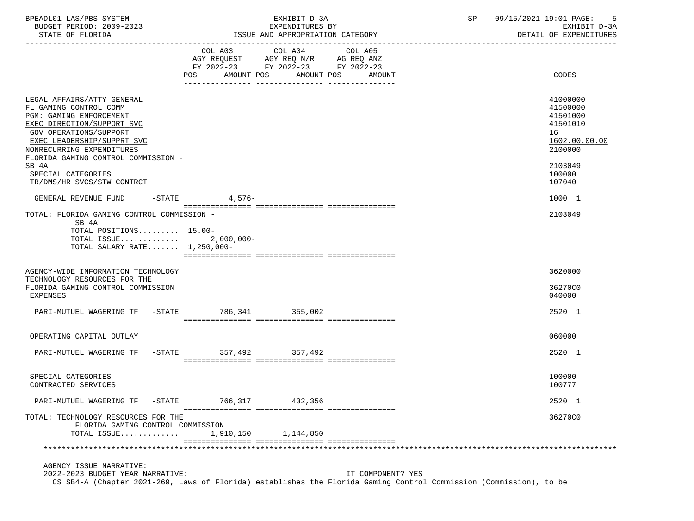| $ \sim$<br>$\sqrt{2}$<br>SYSTEM<br>BPEADL0.<br>$\sim$ $\mu$<br>LAS | <b>TITT</b><br>.<br>∸′⊥⊥⊥⊥∟<br>د م ب           | 2001/<br>- Q∴<br>ם ר<br><b>FAGE</b><br>.              |
|--------------------------------------------------------------------|------------------------------------------------|-------------------------------------------------------|
| 19-2023<br>2009<br>ח∩ד ¤ים ס<br>BUDGET<br>⊥∪ມ⊹                     | $\mathbf{m}$<br>TURES<br>TVDEMDIT<br>′ L N D ⊥ | $\sim$<br>rvu:<br>$\cdot$ $\sim$ $\sim$ $\sim$<br>- ⊶ |

EXHIBIT D-3A  $B = \begin{bmatrix} B\end{bmatrix}$   $B = \begin{bmatrix} 09/15/2021 & 19:01 & PAGE: 5 \end{bmatrix}$   $B = \begin{bmatrix} 5 & 0 & 0 & 0 \end{bmatrix}$ 

STATE OF FLORIDA **ISSUE AND APPROPRIATION CATEGORY STATE OF FRAME OF EXPENDITURES** 

| COL A04<br>COL A03<br>COL A05<br>$\begin{tabular}{lllllll} AGY & \texttt{REQUEST} & \texttt{AGY REQ} & \texttt{N/R} & \texttt{AG REQ} & \texttt{ANZ} \end{tabular}$<br>FY 2022-23 FY 2022-23 FY 2022-23<br>CODES<br>POS AMOUNT POS<br>AMOUNT POS AMOUNT<br>LEGAL AFFAIRS/ATTY GENERAL<br>41000000<br>FL GAMING CONTROL COMM<br>41500000<br>PGM: GAMING ENFORCEMENT<br>41501000<br>EXEC DIRECTION/SUPPORT SVC<br>41501010<br>GOV OPERATIONS/SUPPORT<br>16<br>EXEC LEADERSHIP/SUPPRT SVC<br>1602.00.00.00<br>2100000<br>NONRECURRING EXPENDITURES<br>FLORIDA GAMING CONTROL COMMISSION -<br>SB 4A<br>2103049<br>SPECIAL CATEGORIES<br>100000 |  |
|--------------------------------------------------------------------------------------------------------------------------------------------------------------------------------------------------------------------------------------------------------------------------------------------------------------------------------------------------------------------------------------------------------------------------------------------------------------------------------------------------------------------------------------------------------------------------------------------------------------------------------------------|--|
|                                                                                                                                                                                                                                                                                                                                                                                                                                                                                                                                                                                                                                            |  |
| TR/DMS/HR SVCS/STW CONTRCT<br>107040                                                                                                                                                                                                                                                                                                                                                                                                                                                                                                                                                                                                       |  |
| $-STATE$<br>4,576-<br>1000 1<br>GENERAL REVENUE FUND                                                                                                                                                                                                                                                                                                                                                                                                                                                                                                                                                                                       |  |
| TOTAL: FLORIDA GAMING CONTROL COMMISSION -<br>2103049<br>SB 4A<br>TOTAL POSITIONS 15.00-<br>TOTAL ISSUE 2,000,000-<br>TOTAL SALARY RATE 1,250,000-                                                                                                                                                                                                                                                                                                                                                                                                                                                                                         |  |
| 3620000<br>AGENCY-WIDE INFORMATION TECHNOLOGY<br>TECHNOLOGY RESOURCES FOR THE<br>FLORIDA GAMING CONTROL COMMISSION<br>36270C0<br><b>EXPENSES</b><br>040000                                                                                                                                                                                                                                                                                                                                                                                                                                                                                 |  |
| PARI-MUTUEL WAGERING TF -STATE 786,341 355,002<br>2520 1                                                                                                                                                                                                                                                                                                                                                                                                                                                                                                                                                                                   |  |
| OPERATING CAPITAL OUTLAY<br>060000                                                                                                                                                                                                                                                                                                                                                                                                                                                                                                                                                                                                         |  |
| PARI-MUTUEL WAGERING TF -STATE 357,492 357,492<br>2520 1                                                                                                                                                                                                                                                                                                                                                                                                                                                                                                                                                                                   |  |
| 100000<br>SPECIAL CATEGORIES<br>100777<br>CONTRACTED SERVICES                                                                                                                                                                                                                                                                                                                                                                                                                                                                                                                                                                              |  |
| PARI-MUTUEL WAGERING TF -STATE 766,317 432,356<br>2520 1                                                                                                                                                                                                                                                                                                                                                                                                                                                                                                                                                                                   |  |
| TOTAL: TECHNOLOGY RESOURCES FOR THE<br>36270C0<br>FLORIDA GAMING CONTROL COMMISSION<br>TOTAL ISSUE<br>1,910,150<br>1,144,850                                                                                                                                                                                                                                                                                                                                                                                                                                                                                                               |  |
| AGENCY ISSUE NARRATIVE:                                                                                                                                                                                                                                                                                                                                                                                                                                                                                                                                                                                                                    |  |

 2022-2023 BUDGET YEAR NARRATIVE: IT COMPONENT? YES CS SB4-A (Chapter 2021-269, Laws of Florida) establishes the Florida Gaming Control Commission (Commission), to be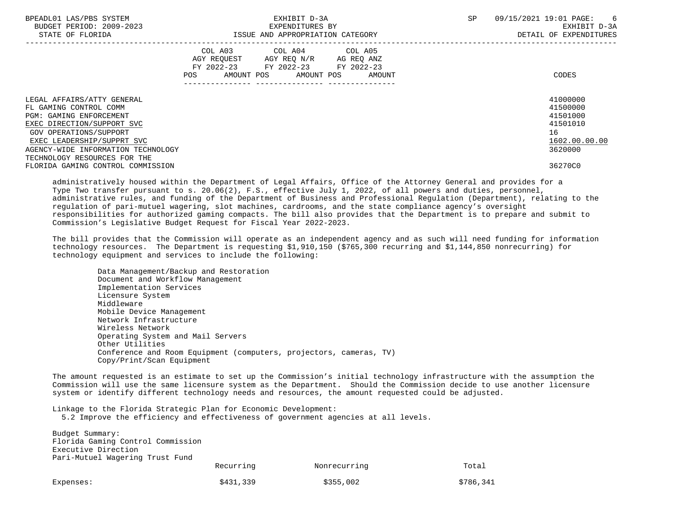| BPEADL01 LAS/PBS SYSTEM<br>BUDGET PERIOD: 2009-2023<br>STATE OF FLORIDA |                | EXHIBIT D-3A<br>EXPENDITURES BY<br>ISSUE AND APPROPRIATION CATEGORY                                                       | <b>SP</b> | 09/15/2021 19:01 PAGE:<br>- 6<br>EXHIBIT D-3A<br>DETAIL OF EXPENDITURES |                      |
|-------------------------------------------------------------------------|----------------|---------------------------------------------------------------------------------------------------------------------------|-----------|-------------------------------------------------------------------------|----------------------|
|                                                                         | COL A03<br>POS | COL A04 COL A05<br>AGY REOUEST AGY REO N/R AG REO ANZ<br>FY 2022-23 FY 2022-23 FY 2022-23<br>AMOUNT POS AMOUNT POS AMOUNT |           |                                                                         | CODES                |
| LEGAL AFFAIRS/ATTY GENERAL<br>FL GAMING CONTROL COMM                    |                |                                                                                                                           |           |                                                                         | 41000000<br>41500000 |
| <b>PGM: GAMING ENFORCEMENT</b>                                          |                |                                                                                                                           |           |                                                                         | 41501000             |
| EXEC DIRECTION/SUPPORT SVC                                              |                |                                                                                                                           |           |                                                                         | 41501010             |
| GOV OPERATIONS/SUPPORT                                                  |                |                                                                                                                           |           |                                                                         | 16                   |
| EXEC LEADERSHIP/SUPPRT SVC                                              |                |                                                                                                                           |           |                                                                         | 1602.00.00.00        |
| AGENCY-WIDE INFORMATION TECHNOLOGY                                      |                |                                                                                                                           |           |                                                                         | 3620000              |
| TECHNOLOGY RESOURCES FOR THE                                            |                |                                                                                                                           |           |                                                                         |                      |
| FLORIDA GAMING CONTROL COMMISSION                                       |                |                                                                                                                           |           |                                                                         | 36270C0              |

 administratively housed within the Department of Legal Affairs, Office of the Attorney General and provides for a Type Two transfer pursuant to s. 20.06(2), F.S., effective July 1, 2022, of all powers and duties, personnel, administrative rules, and funding of the Department of Business and Professional Regulation (Department), relating to the regulation of pari-mutuel wagering, slot machines, cardrooms, and the state compliance agency's oversight responsibilities for authorized gaming compacts. The bill also provides that the Department is to prepare and submit to Commission's Legislative Budget Request for Fiscal Year 2022-2023.

 The bill provides that the Commission will operate as an independent agency and as such will need funding for information technology resources. The Department is requesting \$1,910,150 (\$765,300 recurring and \$1,144,850 nonrecurring) for technology equipment and services to include the following:

 Data Management/Backup and Restoration Document and Workflow Management Implementation Services Licensure System Middleware Mobile Device Management Network Infrastructure Wireless Network Operating System and Mail Servers Other Utilities Conference and Room Equipment (computers, projectors, cameras, TV) Copy/Print/Scan Equipment

 The amount requested is an estimate to set up the Commission's initial technology infrastructure with the assumption the Commission will use the same licensure system as the Department. Should the Commission decide to use another licensure system or identify different technology needs and resources, the amount requested could be adjusted.

Linkage to the Florida Strategic Plan for Economic Development:

5.2 Improve the efficiency and effectiveness of government agencies at all levels.

| Budget Summary:<br>Florida Gaming Control Commission<br>Executive Direction |           |              |           |
|-----------------------------------------------------------------------------|-----------|--------------|-----------|
| Pari-Mutuel Wagering Trust Fund                                             | Recurring | Nonrecurring | Total     |
| Expenses:                                                                   | \$431,339 | \$355,002    | \$786,341 |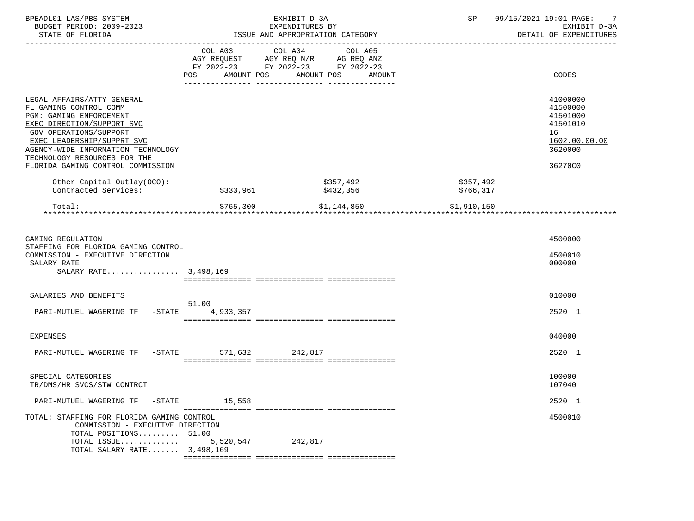| BPEADL01 LAS/PBS SYSTEM<br>BUDGET PERIOD: 2009-2023<br>STATE OF FLORIDA                                                                                                                                                                                                                                               |                    | EXHIBIT D-3A<br>EXPENDITURES BY<br>ISSUE AND APPROPRIATION CATEGORY                                                       | 09/15/2021 19:01 PAGE:<br>SP | EXHIBIT D-3A<br>DETAIL OF EXPENDITURES                                              |
|-----------------------------------------------------------------------------------------------------------------------------------------------------------------------------------------------------------------------------------------------------------------------------------------------------------------------|--------------------|---------------------------------------------------------------------------------------------------------------------------|------------------------------|-------------------------------------------------------------------------------------|
|                                                                                                                                                                                                                                                                                                                       | AMOUNT POS<br>POS  | COL A03 COL A04 COL A05<br>AGY REQUEST AGY REQ N/R AG REQ ANZ<br>FY 2022-23 FY 2022-23 FY 2022-23<br>AMOUNT POS<br>AMOUNT |                              | CODES                                                                               |
| LEGAL AFFAIRS/ATTY GENERAL<br>FL GAMING CONTROL COMM<br><b>PGM: GAMING ENFORCEMENT</b><br>EXEC DIRECTION/SUPPORT SVC<br>GOV OPERATIONS/SUPPORT<br>EXEC LEADERSHIP/SUPPRT SVC<br>AGENCY-WIDE INFORMATION TECHNOLOGY<br>TECHNOLOGY RESOURCES FOR THE<br>FLORIDA GAMING CONTROL COMMISSION<br>Other Capital Outlay(OCO): |                    | \$357,492                                                                                                                 | 16<br>\$357,492              | 41000000<br>41500000<br>41501000<br>41501010<br>1602.00.00.00<br>3620000<br>36270C0 |
| Contracted Services:                                                                                                                                                                                                                                                                                                  | \$333,961          | \$432,356                                                                                                                 | \$766,317                    |                                                                                     |
| Total:                                                                                                                                                                                                                                                                                                                | \$765,300          | \$1,144,850                                                                                                               | \$1,910,150                  |                                                                                     |
| GAMING REGULATION<br>STAFFING FOR FLORIDA GAMING CONTROL<br>COMMISSION - EXECUTIVE DIRECTION<br>SALARY RATE<br>SALARY RATE 3,498,169                                                                                                                                                                                  |                    |                                                                                                                           |                              | 4500000<br>4500010<br>000000                                                        |
| SALARIES AND BENEFITS<br>PARI-MUTUEL WAGERING TF -STATE                                                                                                                                                                                                                                                               | 51.00<br>4,933,357 |                                                                                                                           |                              | 010000<br>2520 1                                                                    |
| <b>EXPENSES</b>                                                                                                                                                                                                                                                                                                       |                    |                                                                                                                           |                              | 040000                                                                              |
| PARI-MUTUEL WAGERING TF -STATE 571,632 242,817                                                                                                                                                                                                                                                                        |                    |                                                                                                                           |                              | 2520 1                                                                              |
| SPECIAL CATEGORIES<br>TR/DMS/HR SVCS/STW CONTRCT                                                                                                                                                                                                                                                                      |                    |                                                                                                                           |                              | 100000<br>107040                                                                    |
| PARI-MUTUEL WAGERING TF<br>-STATE                                                                                                                                                                                                                                                                                     | 15,558             |                                                                                                                           |                              | 2520 1                                                                              |
| TOTAL: STAFFING FOR FLORIDA GAMING CONTROL<br>COMMISSION - EXECUTIVE DIRECTION<br>TOTAL POSITIONS 51.00                                                                                                                                                                                                               |                    |                                                                                                                           |                              | 4500010                                                                             |
| TOTAL ISSUE<br>TOTAL SALARY RATE 3,498,169                                                                                                                                                                                                                                                                            | 5,520,547          | 242,817                                                                                                                   |                              |                                                                                     |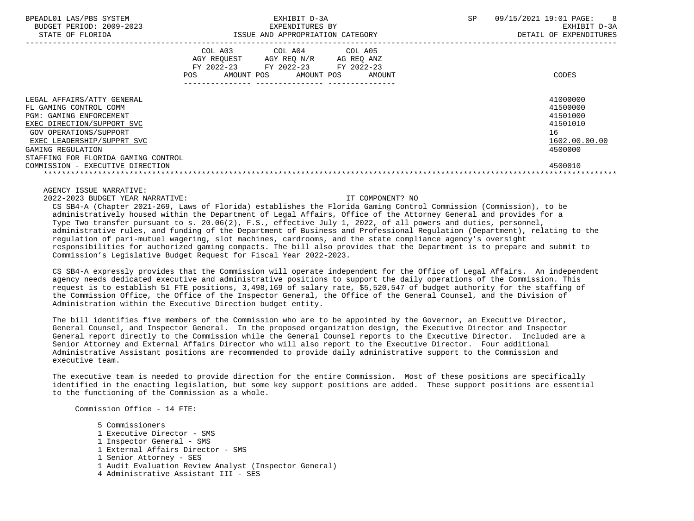| BPEADL01 LAS/PBS SYSTEM  | ZXH "<br>דפד                             | SP | 09/15/2021<br>$19:01$ PAGE |
|--------------------------|------------------------------------------|----|----------------------------|
| BUDGET PERIOD: 2009-2023 | EXPENDITURES BY                          |    | $D-3A$<br>EXHIBIT          |
| FLORIDA<br>STATE         | ISSUE<br>AND<br>) APPROPRIATION CATEGORY |    | EXPENDITURES<br>DETAIL     |

|                                                                                                                                                                                                                                                                              | POS. | COL A03<br>AGY REQUEST<br>FY 2022-23<br>AMOUNT POS | COL A04<br>AGY REQ N/R<br>FY 2022-23<br>AMOUNT POS | COL A05<br>AG REQ ANZ<br>FY 2022-23<br>AMOUNT | CODES                                                                                     |
|------------------------------------------------------------------------------------------------------------------------------------------------------------------------------------------------------------------------------------------------------------------------------|------|----------------------------------------------------|----------------------------------------------------|-----------------------------------------------|-------------------------------------------------------------------------------------------|
| LEGAL AFFAIRS/ATTY GENERAL<br>FL GAMING CONTROL COMM<br><b>PGM: GAMING ENFORCEMENT</b><br>EXEC DIRECTION/SUPPORT SVC<br>GOV OPERATIONS/SUPPORT<br>EXEC LEADERSHIP/SUPPRT SVC<br>GAMING REGULATION<br>STAFFING FOR FLORIDA GAMING CONTROL<br>COMMISSION - EXECUTIVE DIRECTION |      |                                                    |                                                    |                                               | 41000000<br>41500000<br>41501000<br>41501010<br>16<br>1602.00.00.00<br>4500000<br>4500010 |

AGENCY ISSUE NARRATIVE:

2022-2023 BUDGET YEAR NARRATIVE: IT COMPONENT? NO

 CS SB4-A (Chapter 2021-269, Laws of Florida) establishes the Florida Gaming Control Commission (Commission), to be administratively housed within the Department of Legal Affairs, Office of the Attorney General and provides for a Type Two transfer pursuant to s. 20.06(2), F.S., effective July 1, 2022, of all powers and duties, personnel, administrative rules, and funding of the Department of Business and Professional Regulation (Department), relating to the regulation of pari-mutuel wagering, slot machines, cardrooms, and the state compliance agency's oversight responsibilities for authorized gaming compacts. The bill also provides that the Department is to prepare and submit to Commission's Legislative Budget Request for Fiscal Year 2022-2023.

 CS SB4-A expressly provides that the Commission will operate independent for the Office of Legal Affairs. An independent agency needs dedicated executive and administrative positions to support the daily operations of the Commission. This request is to establish 51 FTE positions, 3,498,169 of salary rate, \$5,520,547 of budget authority for the staffing of the Commission Office, the Office of the Inspector General, the Office of the General Counsel, and the Division of Administration within the Executive Direction budget entity.

 The bill identifies five members of the Commission who are to be appointed by the Governor, an Executive Director, General Counsel, and Inspector General. In the proposed organization design, the Executive Director and Inspector General report directly to the Commission while the General Counsel reports to the Executive Director. Included are a Senior Attorney and External Affairs Director who will also report to the Executive Director. Four additional Administrative Assistant positions are recommended to provide daily administrative support to the Commission and executive team.

 The executive team is needed to provide direction for the entire Commission. Most of these positions are specifically identified in the enacting legislation, but some key support positions are added. These support positions are essential to the functioning of the Commission as a whole.

Commission Office - 14 FTE:

 5 Commissioners 1 Executive Director - SMS 1 Inspector General - SMS 1 External Affairs Director - SMS 1 Senior Attorney - SES 1 Audit Evaluation Review Analyst (Inspector General) 4 Administrative Assistant III - SES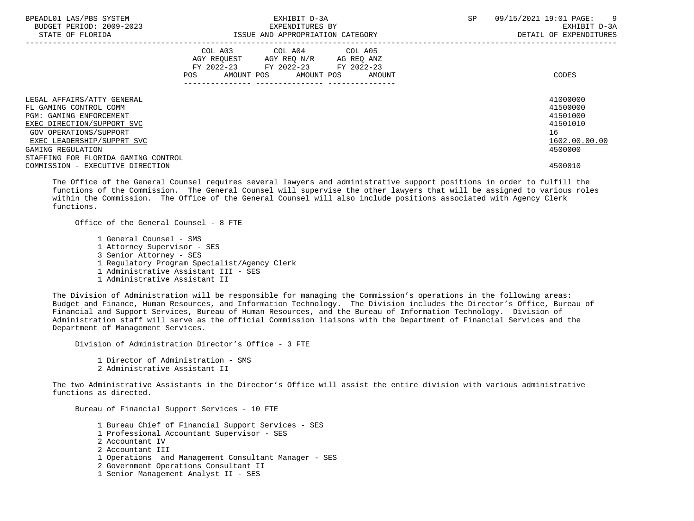| BPEADL01 LAS/PBS SYSTEM<br>BUDGET PERIOD: 2009-2023<br>STATE OF FLORIDA | EXHIBIT D-3A<br>EXPENDITURES BY<br>ISSUE AND APPROPRIATION CATEGORY                                                                      | SP<br>09/15/2021 19:01 PAGE:<br>$\overline{9}$<br>EXHIBIT D-3A<br>DETAIL OF EXPENDITURES |
|-------------------------------------------------------------------------|------------------------------------------------------------------------------------------------------------------------------------------|------------------------------------------------------------------------------------------|
|                                                                         | COL A03 COL A04 COL A05<br>AGY REOUEST AGY REO N/R AG REO ANZ<br>FY 2022-23 FY 2022-23 FY 2022-23<br>AMOUNT POS AMOUNT POS AMOUNT<br>POS | CODES                                                                                    |
| LEGAL AFFAIRS/ATTY GENERAL                                              |                                                                                                                                          | 41000000                                                                                 |
| FL GAMING CONTROL COMM                                                  |                                                                                                                                          | 41500000                                                                                 |
| PGM: GAMING ENFORCEMENT                                                 |                                                                                                                                          | 41501000                                                                                 |
| EXEC DIRECTION/SUPPORT SVC                                              |                                                                                                                                          | 41501010                                                                                 |
| GOV OPERATIONS/SUPPORT                                                  |                                                                                                                                          | 16                                                                                       |
| EXEC LEADERSHIP/SUPPRT SVC                                              |                                                                                                                                          | 1602.00.00.00                                                                            |
| GAMING REGULATION                                                       |                                                                                                                                          | 4500000                                                                                  |
| STAFFING FOR FLORIDA GAMING CONTROL                                     |                                                                                                                                          |                                                                                          |
| COMMISSION - EXECUTIVE DIRECTION                                        |                                                                                                                                          | 4500010                                                                                  |

 The Office of the General Counsel requires several lawyers and administrative support positions in order to fulfill the functions of the Commission. The General Counsel will supervise the other lawyers that will be assigned to various roles within the Commission. The Office of the General Counsel will also include positions associated with Agency Clerk functions.

Office of the General Counsel -  $8$  FTE

 1 General Counsel - SMS 1 Attorney Supervisor - SES 3 Senior Attorney - SES 1 Regulatory Program Specialist/Agency Clerk 1 Administrative Assistant III - SES 1 Administrative Assistant II

 The Division of Administration will be responsible for managing the Commission's operations in the following areas: Budget and Finance, Human Resources, and Information Technology. The Division includes the Director's Office, Bureau of Financial and Support Services, Bureau of Human Resources, and the Bureau of Information Technology. Division of Administration staff will serve as the official Commission liaisons with the Department of Financial Services and the Department of Management Services.

Division of Administration Director's Office - 3 FTE

 1 Director of Administration - SMS 2 Administrative Assistant II

 The two Administrative Assistants in the Director's Office will assist the entire division with various administrative functions as directed.

 Bureau of Financial Support Services - 10 FTE 1 Bureau Chief of Financial Support Services - SES 1 Professional Accountant Supervisor - SES 2 Accountant IV 2 Accountant III 1 Operations and Management Consultant Manager - SES 2 Government Operations Consultant II 1 Senior Management Analyst II - SES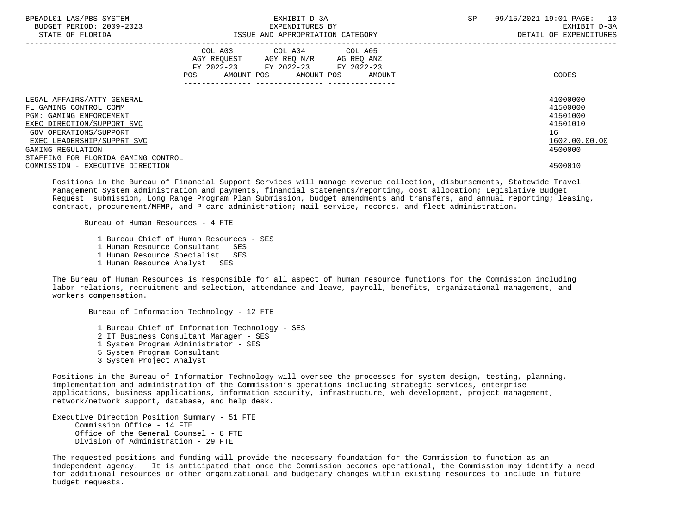| BPEADL01 LAS/PBS SYSTEM<br>BUDGET PERIOD: 2009-2023<br>STATE OF FLORIDA | EXHIBIT D-3A<br>EXPENDITURES BY<br>ISSUE AND APPROPRIATION CATEGORY |                                                                        |                                          |  |            | SP     | 09/15/2021 19:01 PAGE:<br>10<br>EXHIBIT D-3A<br>DETAIL OF EXPENDITURES |                      |
|-------------------------------------------------------------------------|---------------------------------------------------------------------|------------------------------------------------------------------------|------------------------------------------|--|------------|--------|------------------------------------------------------------------------|----------------------|
|                                                                         | POS                                                                 | COL A03<br>AGY REOUEST AGY REO N/R<br>FY 2022-23 FY 2022-23 FY 2022-23 | COL A04 COL A05<br>AMOUNT POS AMOUNT POS |  | AG REO ANZ | AMOUNT |                                                                        | CODES                |
| LEGAL AFFAIRS/ATTY GENERAL<br>FL GAMING CONTROL COMM                    |                                                                     |                                                                        |                                          |  |            |        |                                                                        | 41000000<br>41500000 |
| <b>PGM: GAMING ENFORCEMENT</b>                                          |                                                                     |                                                                        |                                          |  |            |        |                                                                        | 41501000             |
| EXEC DIRECTION/SUPPORT SVC                                              |                                                                     |                                                                        |                                          |  |            |        |                                                                        | 41501010             |
| GOV OPERATIONS/SUPPORT                                                  |                                                                     |                                                                        |                                          |  |            |        |                                                                        | 16                   |
| EXEC LEADERSHIP/SUPPRT SVC                                              |                                                                     |                                                                        |                                          |  |            |        |                                                                        | 1602.00.00.00        |
| GAMING REGULATION                                                       |                                                                     |                                                                        |                                          |  |            |        |                                                                        | 4500000              |
| STAFFING FOR FLORIDA GAMING CONTROL                                     |                                                                     |                                                                        |                                          |  |            |        |                                                                        |                      |
| COMMISSION - EXECUTIVE DIRECTION                                        |                                                                     |                                                                        |                                          |  |            |        |                                                                        | 4500010              |

 Positions in the Bureau of Financial Support Services will manage revenue collection, disbursements, Statewide Travel Management System administration and payments, financial statements/reporting, cost allocation; Legislative Budget Request submission, Long Range Program Plan Submission, budget amendments and transfers, and annual reporting; leasing, contract, procurement/MFMP, and P-card administration; mail service, records, and fleet administration.

Bureau of Human Resources - 4 FTE

 1 Bureau Chief of Human Resources - SES 1 Human Resource Consultant SES 1 Human Resource Specialist SES 1 Human Resource Analyst SES

Bureau of Information Technology - 12 FTE

 The Bureau of Human Resources is responsible for all aspect of human resource functions for the Commission including labor relations, recruitment and selection, attendance and leave, payroll, benefits, organizational management, and workers compensation.

 1 Bureau Chief of Information Technology - SES 2 IT Business Consultant Manager - SES 1 System Program Administrator - SES 5 System Program Consultant 3 System Project Analyst

 Positions in the Bureau of Information Technology will oversee the processes for system design, testing, planning, implementation and administration of the Commission's operations including strategic services, enterprise applications, business applications, information security, infrastructure, web development, project management, network/network support, database, and help desk.

 Executive Direction Position Summary - 51 FTE Commission Office - 14 FTE Office of the General Counsel - 8 FTE Division of Administration - 29 FTE

 The requested positions and funding will provide the necessary foundation for the Commission to function as an independent agency. It is anticipated that once the Commission becomes operational, the Commission may identify a need for additional resources or other organizational and budgetary changes within existing resources to include in future budget requests.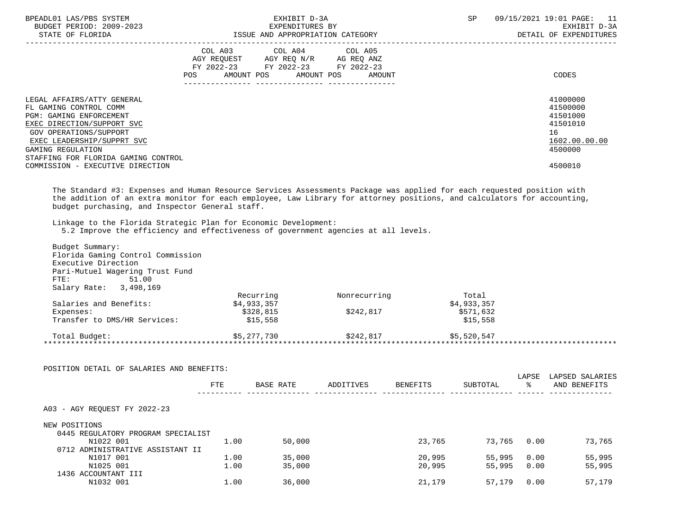| BPEADL01 LAS/PBS SYSTEM<br>BUDGET PERIOD: 2009-2023<br>STATE OF FLORIDA |                                                                        | EXHIBIT D-3A<br>EXPENDITURES BY<br>ISSUE AND APPROPRIATION CATEGORY | SP<br>09/15/2021 19:01 PAGE:<br>11<br>EXHIBIT D-3A<br>DETAIL OF EXPENDITURES |               |
|-------------------------------------------------------------------------|------------------------------------------------------------------------|---------------------------------------------------------------------|------------------------------------------------------------------------------|---------------|
|                                                                         | AGY REOUEST AGY REO N/R AG REO ANZ<br>FY 2022-23 FY 2022-23 FY 2022-23 | COL A03 COL A04 COL A05                                             |                                                                              |               |
|                                                                         | POS                                                                    |                                                                     | AMOUNT POS AMOUNT POS AMOUNT                                                 | CODES         |
| LEGAL AFFAIRS/ATTY GENERAL                                              |                                                                        |                                                                     |                                                                              | 41000000      |
| FL GAMING CONTROL COMM                                                  |                                                                        |                                                                     |                                                                              | 41500000      |
| <b>PGM: GAMING ENFORCEMENT</b>                                          |                                                                        |                                                                     |                                                                              | 41501000      |
| EXEC DIRECTION/SUPPORT SVC                                              |                                                                        |                                                                     |                                                                              | 41501010      |
| GOV OPERATIONS/SUPPORT                                                  |                                                                        |                                                                     |                                                                              | 16            |
| EXEC LEADERSHIP/SUPPRT SVC                                              |                                                                        |                                                                     |                                                                              | 1602.00.00.00 |
| GAMING REGULATION                                                       |                                                                        |                                                                     |                                                                              | 4500000       |
| STAFFING FOR FLORIDA GAMING CONTROL                                     |                                                                        |                                                                     |                                                                              |               |
| COMMISSION - EXECUTIVE DIRECTION                                        |                                                                        |                                                                     |                                                                              | 4500010       |

 The Standard #3: Expenses and Human Resource Services Assessments Package was applied for each requested position with the addition of an extra monitor for each employee, Law Library for attorney positions, and calculators for accounting, budget purchasing, and Inspector General staff.

Linkage to the Florida Strategic Plan for Economic Development:

5.2 Improve the efficiency and effectiveness of government agencies at all levels.

| Budget Summary:<br>Florida Gaming Control Commission |            |                  |              |                 |             |             |                                                               |
|------------------------------------------------------|------------|------------------|--------------|-----------------|-------------|-------------|---------------------------------------------------------------|
| Executive Direction                                  |            |                  |              |                 |             |             |                                                               |
| Pari-Mutuel Wagering Trust Fund                      |            |                  |              |                 |             |             |                                                               |
| 51.00<br>FTE:                                        |            |                  |              |                 |             |             |                                                               |
| Salary Rate: 3,498,169                               |            |                  |              |                 |             |             |                                                               |
|                                                      |            | Recurring        | Nonrecurring |                 | Total       |             |                                                               |
| Salaries and Benefits:                               |            | \$4,933,357      |              |                 | \$4,933,357 |             |                                                               |
| Expenses:                                            |            | \$328,815        | \$242,817    |                 | \$571,632   |             |                                                               |
| Transfer to DMS/HR Services:                         |            | \$15,558         |              |                 | \$15,558    |             |                                                               |
|                                                      |            | \$5,277,730      | \$242,817    |                 |             |             |                                                               |
| Total Budget:                                        |            |                  |              |                 | \$5,520,547 |             |                                                               |
| POSITION DETAIL OF SALARIES AND BENEFITS:            |            |                  |              |                 |             |             |                                                               |
|                                                      | <b>FTE</b> | <b>BASE RATE</b> | ADDITIVES    | <b>BENEFITS</b> | SUBTOTAL    | LAPSE<br>ిన |                                                               |
| A03 - AGY REOUEST FY 2022-23                         |            |                  |              |                 |             |             |                                                               |
| NEW POSITIONS                                        |            |                  |              |                 |             |             |                                                               |
| 0445 REGULATORY PROGRAM SPECIALIST                   |            |                  |              |                 |             |             |                                                               |
| N1022 001                                            | 1.00       | 50,000           |              | 23,765          |             | 73,765 0.00 |                                                               |
| 0712 ADMINISTRATIVE ASSISTANT II                     |            |                  |              |                 |             |             |                                                               |
| N1017 001                                            | 1.00       | 35,000           |              | 20,995          | 55,995      | 0.00        |                                                               |
| N1025 001                                            | 1.00       | 35,000           |              | 20,995          | 55,995      | 0.00        | LAPSED SALARIES<br>AND BENEFITS<br>73,765<br>55,995<br>55,995 |
| 1436 ACCOUNTANT III                                  |            |                  |              |                 |             |             |                                                               |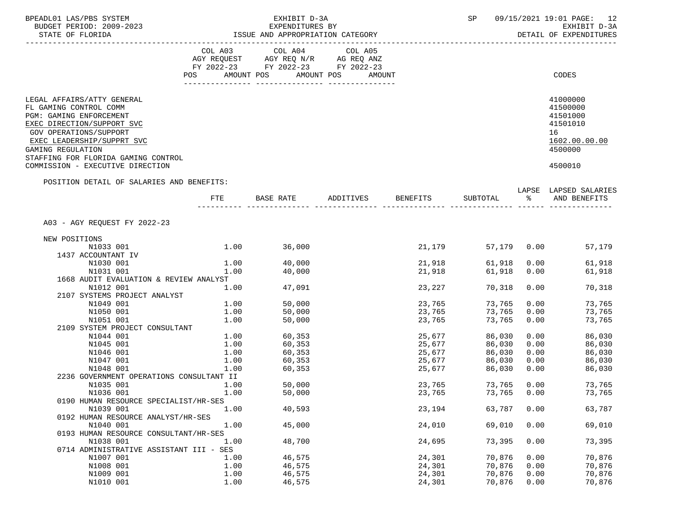| BPEADL01 LAS/PBS SYSTEM<br>BUDGET PERIOD: 2009-2023                                                                                                                                                                                                                          |              | EXHIBIT D-3A<br>EXPENDITURES BY                                                           |                                  |                  | SP               |              | 09/15/2021 19:01 PAGE: 12<br>EXHIBIT D-3A                                                 |
|------------------------------------------------------------------------------------------------------------------------------------------------------------------------------------------------------------------------------------------------------------------------------|--------------|-------------------------------------------------------------------------------------------|----------------------------------|------------------|------------------|--------------|-------------------------------------------------------------------------------------------|
| STATE OF FLORIDA                                                                                                                                                                                                                                                             |              |                                                                                           | ISSUE AND APPROPRIATION CATEGORY |                  |                  |              | DETAIL OF EXPENDITURES                                                                    |
|                                                                                                                                                                                                                                                                              |              | COL A03 COL A04<br>AGY REQUEST AGY REQ N/R AG REQ ANZ<br>FY 2022-23 FY 2022-23 FY 2022-23 | COL A05                          |                  |                  |              |                                                                                           |
|                                                                                                                                                                                                                                                                              |              | POS AMOUNT POS AMOUNT POS                                                                 | AMOUNT                           |                  |                  |              | CODES                                                                                     |
| LEGAL AFFAIRS/ATTY GENERAL<br>FL GAMING CONTROL COMM<br>PGM: GAMING ENFORCEMENT<br>EXEC DIRECTION/SUPPORT SVC<br><b>GOV OPERATIONS/SUPPORT</b><br>EXEC LEADERSHIP/SUPPRT SVC<br>GAMING REGULATION<br>STAFFING FOR FLORIDA GAMING CONTROL<br>COMMISSION - EXECUTIVE DIRECTION |              |                                                                                           |                                  |                  |                  |              | 41000000<br>41500000<br>41501000<br>41501010<br>16<br>1602.00.00.00<br>4500000<br>4500010 |
| POSITION DETAIL OF SALARIES AND BENEFITS:                                                                                                                                                                                                                                    |              |                                                                                           |                                  |                  |                  |              | LAPSE LAPSED SALARIES                                                                     |
|                                                                                                                                                                                                                                                                              | FTE          |                                                                                           | BASE RATE ADDITIVES              | <b>BENEFITS</b>  | SUBTOTAL %       |              | AND BENEFITS                                                                              |
| A03 - AGY REQUEST FY 2022-23                                                                                                                                                                                                                                                 |              |                                                                                           |                                  |                  |                  |              |                                                                                           |
| NEW POSITIONS                                                                                                                                                                                                                                                                |              |                                                                                           |                                  |                  |                  |              |                                                                                           |
| N1033 001                                                                                                                                                                                                                                                                    |              | $1.00$ 36,000                                                                             |                                  | 21,179           |                  |              | 57,179 0.00<br>57,179                                                                     |
| 1437 ACCOUNTANT IV                                                                                                                                                                                                                                                           |              |                                                                                           |                                  |                  |                  |              |                                                                                           |
| N1030 001<br>N1031 001                                                                                                                                                                                                                                                       | 1.00<br>1.00 | 40,000<br>40,000                                                                          |                                  | 21,918<br>21,918 | 61,918<br>61,918 | 0.00<br>0.00 | 61,918<br>61,918                                                                          |
| 1668 AUDIT EVALUATION & REVIEW ANALYST                                                                                                                                                                                                                                       |              |                                                                                           |                                  |                  |                  |              |                                                                                           |
| N1012 001                                                                                                                                                                                                                                                                    | 1.00         | 47,091                                                                                    |                                  | 23,227           | 70,318           | 0.00         | 70,318                                                                                    |
| 2107 SYSTEMS PROJECT ANALYST                                                                                                                                                                                                                                                 |              |                                                                                           |                                  |                  |                  |              |                                                                                           |
| N1049 001                                                                                                                                                                                                                                                                    | 1.00         | 50,000                                                                                    |                                  | 23,765           | 73,765           | 0.00         | 73,765                                                                                    |
| N1050 001                                                                                                                                                                                                                                                                    | 1.00         | 50,000                                                                                    |                                  | 23,765           | 73,765           | 0.00         | 73,765                                                                                    |
| N1051 001                                                                                                                                                                                                                                                                    | 1.00         | 50,000                                                                                    |                                  | 23,765           | 73,765           | 0.00         | 73,765                                                                                    |
| 2109 SYSTEM PROJECT CONSULTANT                                                                                                                                                                                                                                               |              |                                                                                           |                                  |                  |                  |              |                                                                                           |
| N1044 001                                                                                                                                                                                                                                                                    | 1.00         | 1.00<br>60,353<br>60,353                                                                  |                                  | 25,677<br>25,677 | 86,030<br>86,030 | 0.00<br>0.00 | 86,030<br>86,030                                                                          |
| N1045 001<br>N1046 001                                                                                                                                                                                                                                                       | 1.00         |                                                                                           |                                  |                  | 86,030           | 0.00         | 86,030                                                                                    |
| N1047 001                                                                                                                                                                                                                                                                    | 1.00         | 60,353<br>60,353                                                                          |                                  | 25,677<br>25,677 | 86,030           | 0.00         | 86,030                                                                                    |
| N1048 001                                                                                                                                                                                                                                                                    | 1.00         | 60,353                                                                                    |                                  | 25,677           | 86,030           | 0.00         | 86,030                                                                                    |
| 2236 GOVERNMENT OPERATIONS CONSULTANT II                                                                                                                                                                                                                                     |              |                                                                                           |                                  |                  |                  |              |                                                                                           |
| N1035 001                                                                                                                                                                                                                                                                    | 1.00         | 50,000                                                                                    |                                  | 23,765           | 73,765           | 0.00         | 73,765                                                                                    |
| N1036 001                                                                                                                                                                                                                                                                    | 1.00         | 50,000                                                                                    |                                  | 23,765           | 73,765 0.00      |              | 73,765                                                                                    |
| 0190 HUMAN RESOURCE SPECIALIST/HR-SES                                                                                                                                                                                                                                        |              |                                                                                           |                                  |                  |                  |              |                                                                                           |
| N1039 001                                                                                                                                                                                                                                                                    | 1.00         | 40,593                                                                                    |                                  | 23,194           | 63,787           | 0.00         | 63,787                                                                                    |
| 0192 HUMAN RESOURCE ANALYST/HR-SES                                                                                                                                                                                                                                           |              |                                                                                           |                                  |                  |                  |              |                                                                                           |
| N1040 001<br>0193 HUMAN RESOURCE CONSULTANT/HR-SES                                                                                                                                                                                                                           | 1.00         | 45,000                                                                                    |                                  | 24,010           | 69,010           | 0.00         | 69,010                                                                                    |
| N1038 001                                                                                                                                                                                                                                                                    | 1.00         | 48,700                                                                                    |                                  | 24,695           | 73,395           | 0.00         | 73,395                                                                                    |
| 0714 ADMINISTRATIVE ASSISTANT III - SES                                                                                                                                                                                                                                      |              |                                                                                           |                                  |                  |                  |              |                                                                                           |
| N1007 001                                                                                                                                                                                                                                                                    | 1.00         | 46,575                                                                                    |                                  | 24,301           | 70,876           | 0.00         | 70,876                                                                                    |
| N1008 001                                                                                                                                                                                                                                                                    | 1.00         | 46,575                                                                                    |                                  | 24,301           | 70,876           | 0.00         | 70,876                                                                                    |
| N1009 001                                                                                                                                                                                                                                                                    | 1.00         | 46,575                                                                                    |                                  | 24,301           | 70,876           | 0.00         | 70,876                                                                                    |
| N1010 001                                                                                                                                                                                                                                                                    | 1.00         | 46,575                                                                                    |                                  | 24,301           | 70,876           | 0.00         | 70,876                                                                                    |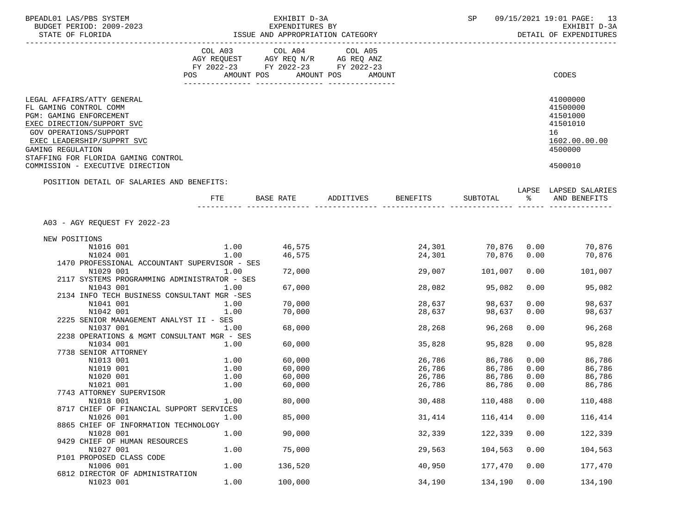| BPEADL01 LAS/PBS SYSTEM<br>BUDGET PERIOD: 2009-2023                                                                                                                                                                               |                  | EXHIBIT D-3A                       |         |                 | SP         |      | 09/15/2021 19:01 PAGE: 13                                                                                                                                          |
|-----------------------------------------------------------------------------------------------------------------------------------------------------------------------------------------------------------------------------------|------------------|------------------------------------|---------|-----------------|------------|------|--------------------------------------------------------------------------------------------------------------------------------------------------------------------|
|                                                                                                                                                                                                                                   |                  | EXPENDITURES BY                    |         |                 |            |      | EXHIBIT D-3A<br>DETAIL OF EXPENDITURES                                                                                                                             |
|                                                                                                                                                                                                                                   |                  | COL A03 COL A04                    | COL A05 |                 |            |      |                                                                                                                                                                    |
|                                                                                                                                                                                                                                   |                  | AGY REQUEST AGY REQ N/R AG REQ ANZ |         |                 |            |      |                                                                                                                                                                    |
|                                                                                                                                                                                                                                   |                  | FY 2022-23 FY 2022-23 FY 2022-23   |         |                 |            |      |                                                                                                                                                                    |
|                                                                                                                                                                                                                                   |                  | POS AMOUNT POS AMOUNT POS          | AMOUNT  |                 |            |      | CODES                                                                                                                                                              |
| LEGAL AFFAIRS/ATTY GENERAL<br>FL GAMING CONTROL COMM<br>PGM: GAMING ENFORCEMENT<br>EXEC DIRECTION/SUPPORT SVC<br>GOV OPERATIONS/SUPPORT<br>EXEC LEADERSHIP/SUPPRT SVC<br>GAMING REGULATION<br>STAFFING FOR FLORIDA GAMING CONTROL |                  |                                    |         |                 |            |      | 41000000<br>41500000<br>41501000<br>41501010<br>16<br>1602.00.00.00<br>4500000                                                                                     |
| COMMISSION - EXECUTIVE DIRECTION                                                                                                                                                                                                  |                  |                                    |         |                 |            |      | 4500010                                                                                                                                                            |
| POSITION DETAIL OF SALARIES AND BENEFITS:                                                                                                                                                                                         |                  |                                    |         |                 |            |      |                                                                                                                                                                    |
|                                                                                                                                                                                                                                   | FTE              | BASE RATE ADDITIVES                |         | <b>BENEFITS</b> | SUBTOTAL % |      | LAPSE LAPSED SALARIES<br>AND BENEFITS                                                                                                                              |
| A03 - AGY REOUEST FY 2022-23                                                                                                                                                                                                      |                  |                                    |         |                 |            |      |                                                                                                                                                                    |
| NEW POSITIONS                                                                                                                                                                                                                     |                  |                                    |         |                 |            |      |                                                                                                                                                                    |
| N1016 001                                                                                                                                                                                                                         |                  | 46,575                             |         |                 |            |      |                                                                                                                                                                    |
| N1024 001                                                                                                                                                                                                                         | $1.00$<br>$1.00$ | 46,575                             |         |                 |            |      | $\begin{array}{cccc} 24\,, 301 & \quad & 70\,, 876 & \quad 0.00 & \quad & 70\,, 876 \\ 24\,, 301 & \quad & 70\,, 876 & \quad 0.00 & \quad & 70\,, 876 \end{array}$ |
| 1470 PROFESSIONAL ACCOUNTANT SUPERVISOR - SES                                                                                                                                                                                     |                  |                                    |         |                 |            |      |                                                                                                                                                                    |
| N1029 001                                                                                                                                                                                                                         | 1.00             | 72,000                             |         | 29,007          | 101,007    | 0.00 | 101,007                                                                                                                                                            |
| 2117 SYSTEMS PROGRAMMING ADMINISTRATOR - SES                                                                                                                                                                                      |                  |                                    |         |                 |            |      |                                                                                                                                                                    |
| N1043 001                                                                                                                                                                                                                         | 1.00             | 67,000                             |         | 28,082          | 95,082     | 0.00 | 95,082                                                                                                                                                             |
| 2134 INFO TECH BUSINESS CONSULTANT MGR -SES                                                                                                                                                                                       |                  |                                    |         |                 |            |      |                                                                                                                                                                    |
| N1041 001                                                                                                                                                                                                                         | 1.00             | 70,000                             |         | 28,637          | 98,637     | 0.00 | 98,637                                                                                                                                                             |
| N1042 001<br>2225 SENIOR MANAGEMENT ANALYST II - SES                                                                                                                                                                              | 1.00             | 70,000                             |         | 28,637          | 98,637     | 0.00 | 98,637                                                                                                                                                             |
| N1037 001                                                                                                                                                                                                                         | 1.00             | 68,000                             |         | 28,268          | 96,268     | 0.00 | 96,268                                                                                                                                                             |
| 2238 OPERATIONS & MGMT CONSULTANT MGR - SES                                                                                                                                                                                       |                  |                                    |         |                 |            |      |                                                                                                                                                                    |
| N1034 001                                                                                                                                                                                                                         | 1.00             | 60,000                             |         | 35,828          | 95,828     | 0.00 | 95,828                                                                                                                                                             |
| 7738 SENIOR ATTORNEY                                                                                                                                                                                                              |                  |                                    |         |                 |            |      |                                                                                                                                                                    |
| N1013 001                                                                                                                                                                                                                         | 1.00             | 60,000                             |         | 26,786          | 86,786     | 0.00 | 86,786                                                                                                                                                             |
| N1019 001                                                                                                                                                                                                                         | 1.00             | 60,000                             |         | 26,786          | 86,786     | 0.00 | 86,786                                                                                                                                                             |
| N1020 001                                                                                                                                                                                                                         | 1.00             | 60,000                             |         | 26,786          | 86,786     | 0.00 | 86,786                                                                                                                                                             |
| N1021 001                                                                                                                                                                                                                         | 1.00             | 60,000                             |         | 26,786          | 86,786     | 0.00 | 86,786                                                                                                                                                             |
| 7743 ATTORNEY SUPERVISOR                                                                                                                                                                                                          |                  |                                    |         |                 |            |      |                                                                                                                                                                    |
| N1018 001<br>8717 CHIEF OF FINANCIAL SUPPORT SERVICES                                                                                                                                                                             | 1.00             | 80,000                             |         | 30,488          | 110,488    | 0.00 | 110,488                                                                                                                                                            |
| N1026 001                                                                                                                                                                                                                         | 1.00             | 85,000                             |         | 31,414          | 116,414    | 0.00 | 116,414                                                                                                                                                            |
| 8865 CHIEF OF INFORMATION TECHNOLOGY                                                                                                                                                                                              |                  |                                    |         |                 |            |      |                                                                                                                                                                    |
| N1028 001                                                                                                                                                                                                                         | 1.00             | 90,000                             |         | 32,339          | 122,339    | 0.00 | 122,339                                                                                                                                                            |
| 9429 CHIEF OF HUMAN RESOURCES                                                                                                                                                                                                     |                  |                                    |         |                 |            |      |                                                                                                                                                                    |
| N1027 001                                                                                                                                                                                                                         | 1.00             | 75,000                             |         | 29,563          | 104,563    | 0.00 | 104,563                                                                                                                                                            |
| P101 PROPOSED CLASS CODE                                                                                                                                                                                                          |                  |                                    |         |                 |            |      |                                                                                                                                                                    |
| N1006 001                                                                                                                                                                                                                         | 1.00             | 136,520                            |         | 40,950          | 177,470    | 0.00 | 177,470                                                                                                                                                            |
| 6812 DIRECTOR OF ADMINISTRATION                                                                                                                                                                                                   |                  |                                    |         |                 |            |      |                                                                                                                                                                    |
| N1023 001                                                                                                                                                                                                                         | 1.00             | 100,000                            |         | 34,190          | 134,190    | 0.00 | 134,190                                                                                                                                                            |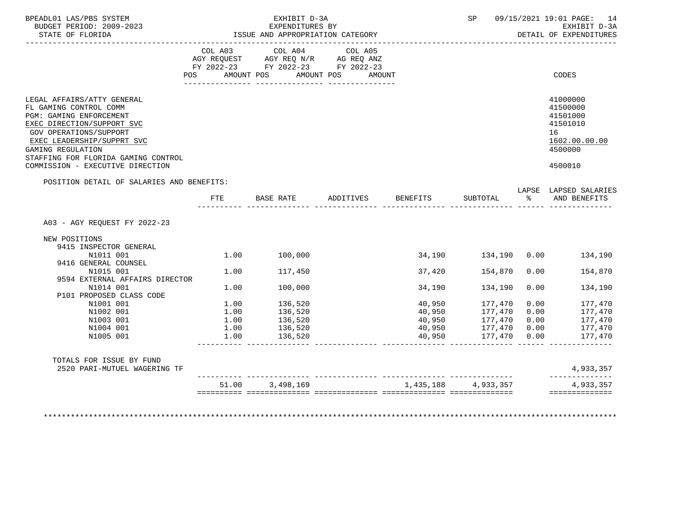| BPEADL01 LAS/PBS SYSTEM<br>BUDGET PERIOD: 2009-2023<br>STATE OF FLORIDA                                                                                                                                                                                               | EXHIBIT D-3A<br>EXPENDITURES BY<br>ISSUE AND APPROPRIATION CATEGORY |                                             |           |                     | SP                                         |      | 09/15/2021 19:01 PAGE: 14<br>EXHIBIT D-3A<br>DETAIL OF EXPENDITURES                       |
|-----------------------------------------------------------------------------------------------------------------------------------------------------------------------------------------------------------------------------------------------------------------------|---------------------------------------------------------------------|---------------------------------------------|-----------|---------------------|--------------------------------------------|------|-------------------------------------------------------------------------------------------|
|                                                                                                                                                                                                                                                                       | COL A03                                                             | COL A04<br>POS AMOUNT POS AMOUNT POS AMOUNT | COL A05   |                     |                                            |      | CODES                                                                                     |
| LEGAL AFFAIRS/ATTY GENERAL<br>FL GAMING CONTROL COMM<br>PGM: GAMING ENFORCEMENT<br>EXEC DIRECTION/SUPPORT SVC<br>GOV OPERATIONS/SUPPORT<br>EXEC LEADERSHIP/SUPPRT SVC<br>GAMING REGULATION<br>STAFFING FOR FLORIDA GAMING CONTROL<br>COMMISSION - EXECUTIVE DIRECTION |                                                                     |                                             |           |                     |                                            |      | 41000000<br>41500000<br>41501000<br>41501010<br>16<br>1602.00.00.00<br>4500000<br>4500010 |
| POSITION DETAIL OF SALARIES AND BENEFITS:                                                                                                                                                                                                                             |                                                                     |                                             |           |                     |                                            |      | LAPSE LAPSED SALARIES<br>AND BENEFITS                                                     |
|                                                                                                                                                                                                                                                                       | FTE                                                                 | BASE RATE                                   | ADDITIVES | BENEFITS            | SUBTOTAL %                                 |      |                                                                                           |
| A03 - AGY REOUEST FY 2022-23<br>NEW POSITIONS<br>9415 INSPECTOR GENERAL                                                                                                                                                                                               |                                                                     |                                             |           |                     |                                            |      |                                                                                           |
| N1011 001<br>9416 GENERAL COUNSEL                                                                                                                                                                                                                                     | 1.00                                                                | 100,000                                     |           |                     |                                            |      | 134,190                                                                                   |
| N1015 001<br>9594 EXTERNAL AFFAIRS DIRECTOR                                                                                                                                                                                                                           | 1.00                                                                | 117,450                                     |           |                     | 37,420 154,870                             | 0.00 | 154,870                                                                                   |
| N1014 001<br>P101 PROPOSED CLASS CODE                                                                                                                                                                                                                                 | 1.00                                                                | 100,000                                     |           | 34,190              | 134,190                                    | 0.00 | 134,190                                                                                   |
| N1001 001                                                                                                                                                                                                                                                             | 1.00                                                                | 136,520                                     |           |                     | 40,950 177,470                             | 0.00 | 177,470                                                                                   |
| N1002 001                                                                                                                                                                                                                                                             | 1.00                                                                | 136,520                                     |           | 40,950              | 177,470                                    | 0.00 | 177,470                                                                                   |
| N1003 001                                                                                                                                                                                                                                                             | 1.00                                                                | 136,520                                     |           |                     | 40,950 177,470 0.00<br>40,950 177,470 0.00 |      | 177,470                                                                                   |
| N1004 001<br>N1005 001                                                                                                                                                                                                                                                | 1.00<br>1.00                                                        | 136,520<br>136,520                          |           | 40,950<br>40,950    | $177,470$ 0.00<br>$177,470$ 0.00           |      | 177,470<br>177,470                                                                        |
| TOTALS FOR ISSUE BY FUND<br>2520 PARI-MUTUEL WAGERING TF                                                                                                                                                                                                              |                                                                     | 51.00 3,498,169                             |           | 1,435,188 4,933,357 |                                            |      | كالمالي كالمنابيات<br>4,933,357<br>______________<br>4,933,357                            |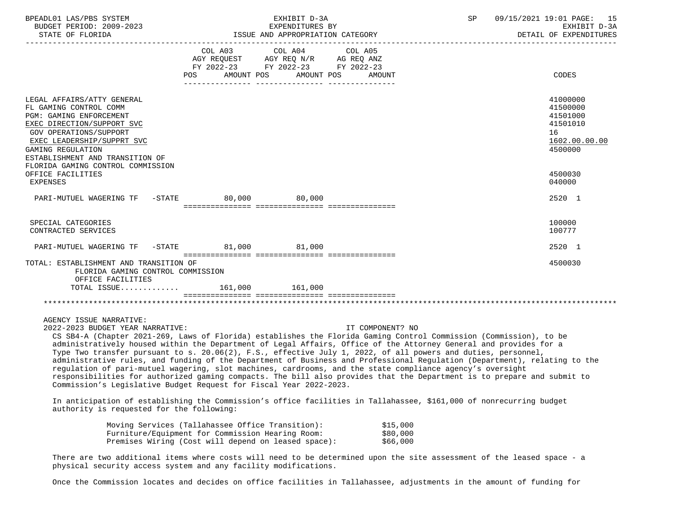| BPEADL01 LAS/PBS SYSTEM                                                                                                                                                                                                                                                                                                                                                                                                                                                                                                                                                                                                                                                                                                                                                                                                                                                                                                                                                                   |                                                                                                                                                                                        | EXHIBIT D-3A          |                  | SP | 09/15/2021 19:01 PAGE: 15<br>EXHIBIT D-3A<br>DETAIL OF EXPENDITURES<br>_____________________________ |
|-------------------------------------------------------------------------------------------------------------------------------------------------------------------------------------------------------------------------------------------------------------------------------------------------------------------------------------------------------------------------------------------------------------------------------------------------------------------------------------------------------------------------------------------------------------------------------------------------------------------------------------------------------------------------------------------------------------------------------------------------------------------------------------------------------------------------------------------------------------------------------------------------------------------------------------------------------------------------------------------|----------------------------------------------------------------------------------------------------------------------------------------------------------------------------------------|-----------------------|------------------|----|------------------------------------------------------------------------------------------------------|
|                                                                                                                                                                                                                                                                                                                                                                                                                                                                                                                                                                                                                                                                                                                                                                                                                                                                                                                                                                                           | COL A03 COL A04 COL A05<br>AGY REQUEST AGY REQ N/R AG REQ ANZ<br>FY 2022-23 FY 2022-23 FY 2022-23<br>POS                                                                               | AMOUNT POS AMOUNT POS | AMOUNT           |    | CODES                                                                                                |
| LEGAL AFFAIRS/ATTY GENERAL<br>FL GAMING CONTROL COMM<br>PGM: GAMING ENFORCEMENT<br>EXEC DIRECTION/SUPPORT SVC<br>GOV OPERATIONS/SUPPORT<br>EXEC LEADERSHIP/SUPPRT SVC<br>GAMING REGULATION<br>ESTABLISHMENT AND TRANSITION OF<br>FLORIDA GAMING CONTROL COMMISSION                                                                                                                                                                                                                                                                                                                                                                                                                                                                                                                                                                                                                                                                                                                        |                                                                                                                                                                                        |                       |                  |    | 41000000<br>41500000<br>41501000<br>41501010<br>16<br>1602.00.00.00<br>4500000                       |
| OFFICE FACILITIES<br>EXPENSES                                                                                                                                                                                                                                                                                                                                                                                                                                                                                                                                                                                                                                                                                                                                                                                                                                                                                                                                                             |                                                                                                                                                                                        |                       |                  |    | 4500030<br>040000                                                                                    |
| PARI-MUTUEL WAGERING TF -STATE                                                                                                                                                                                                                                                                                                                                                                                                                                                                                                                                                                                                                                                                                                                                                                                                                                                                                                                                                            |                                                                                                                                                                                        | 80,000 80,000         |                  |    | 2520 1                                                                                               |
| SPECIAL CATEGORIES<br>CONTRACTED SERVICES                                                                                                                                                                                                                                                                                                                                                                                                                                                                                                                                                                                                                                                                                                                                                                                                                                                                                                                                                 |                                                                                                                                                                                        |                       |                  |    | 100000<br>100777                                                                                     |
| PARI-MUTUEL WAGERING TF                                                                                                                                                                                                                                                                                                                                                                                                                                                                                                                                                                                                                                                                                                                                                                                                                                                                                                                                                                   | $-STATE$ 81,000 81,000                                                                                                                                                                 |                       |                  |    | 2520 1                                                                                               |
| TOTAL: ESTABLISHMENT AND TRANSITION OF<br>FLORIDA GAMING CONTROL COMMISSION<br>OFFICE FACILITIES                                                                                                                                                                                                                                                                                                                                                                                                                                                                                                                                                                                                                                                                                                                                                                                                                                                                                          |                                                                                                                                                                                        |                       |                  |    | 4500030                                                                                              |
| TOTAL ISSUE 161,000 161,000                                                                                                                                                                                                                                                                                                                                                                                                                                                                                                                                                                                                                                                                                                                                                                                                                                                                                                                                                               |                                                                                                                                                                                        |                       |                  |    |                                                                                                      |
|                                                                                                                                                                                                                                                                                                                                                                                                                                                                                                                                                                                                                                                                                                                                                                                                                                                                                                                                                                                           |                                                                                                                                                                                        |                       |                  |    |                                                                                                      |
| AGENCY ISSUE NARRATIVE:<br>2022-2023 BUDGET YEAR NARRATIVE:<br>CS SB4-A (Chapter 2021-269, Laws of Florida) establishes the Florida Gaming Control Commission (Commission), to be<br>administratively housed within the Department of Legal Affairs, Office of the Attorney General and provides for a<br>Type Two transfer pursuant to s. 20.06(2), F.S., effective July 1, 2022, of all powers and duties, personnel,<br>administrative rules, and funding of the Department of Business and Professional Regulation (Department), relating to the<br>regulation of pari-mutuel wagering, slot machines, cardrooms, and the state compliance agency's oversight<br>responsibilities for authorized gaming compacts. The bill also provides that the Department is to prepare and submit to<br>Commission's Legislative Budget Request for Fiscal Year 2022-2023.<br>In anticipation of establishing the Commission's office facilities in Tallahassee, \$161,000 of nonrecurring budget |                                                                                                                                                                                        |                       | IT COMPONENT? NO |    |                                                                                                      |
| authority is requested for the following:                                                                                                                                                                                                                                                                                                                                                                                                                                                                                                                                                                                                                                                                                                                                                                                                                                                                                                                                                 |                                                                                                                                                                                        |                       |                  |    |                                                                                                      |
|                                                                                                                                                                                                                                                                                                                                                                                                                                                                                                                                                                                                                                                                                                                                                                                                                                                                                                                                                                                           | Moving Services (Tallahassee Office Transition): \$15,000<br>Furniture/Equipment for Commission Hearing Room: \$80,000<br>Premises Wiring (Cost will depend on leased space): \$66,000 |                       |                  |    |                                                                                                      |

There are two additional items where costs will need to be determined upon the site assessment of the leased space - a physical security access system and any facility modifications.

Once the Commission locates and decides on office facilities in Tallahassee, adjustments in the amount of funding for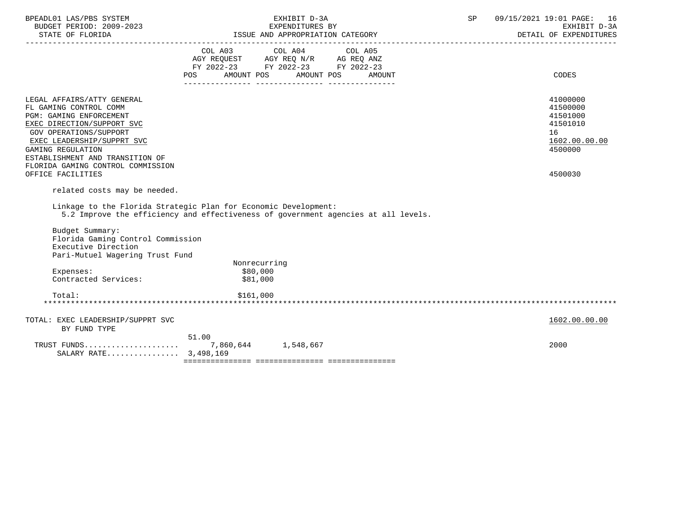| BPEADL01 LAS/PBS SYSTEM<br>BUDGET PERIOD: 2009-2023                                                                                                                                                                                                                |                                                                                      | EXHIBIT D-3A<br>EXPENDITURES BY<br>ISSUE AND APPROPRIATION CATEGORY | SP | 09/15/2021 19:01 PAGE: 16<br>EXHIBIT D-3A<br>DETAIL OF EXPENDITURES            |
|--------------------------------------------------------------------------------------------------------------------------------------------------------------------------------------------------------------------------------------------------------------------|--------------------------------------------------------------------------------------|---------------------------------------------------------------------|----|--------------------------------------------------------------------------------|
|                                                                                                                                                                                                                                                                    | AGY REQUEST AGY REQ N/R AG REQ ANZ<br>FY 2022-23 FY 2022-23 FY 2022-23<br><b>POS</b> | COL A03 COL A04 COL A05<br>AMOUNT POS AMOUNT POS AMOUNT             |    | CODES                                                                          |
| LEGAL AFFAIRS/ATTY GENERAL<br>FL GAMING CONTROL COMM<br>PGM: GAMING ENFORCEMENT<br>EXEC DIRECTION/SUPPORT SVC<br>GOV OPERATIONS/SUPPORT<br>EXEC LEADERSHIP/SUPPRT SVC<br>GAMING REGULATION<br>ESTABLISHMENT AND TRANSITION OF<br>FLORIDA GAMING CONTROL COMMISSION |                                                                                      |                                                                     |    | 41000000<br>41500000<br>41501000<br>41501010<br>16<br>1602.00.00.00<br>4500000 |
| OFFICE FACILITIES<br>related costs may be needed.                                                                                                                                                                                                                  |                                                                                      |                                                                     |    | 4500030                                                                        |
| Linkage to the Florida Strategic Plan for Economic Development:<br>5.2 Improve the efficiency and effectiveness of government agencies at all levels.                                                                                                              |                                                                                      |                                                                     |    |                                                                                |
| Budget Summary:<br>Florida Gaming Control Commission<br>Executive Direction<br>Pari-Mutuel Wagering Trust Fund                                                                                                                                                     |                                                                                      |                                                                     |    |                                                                                |
| Expenses:                                                                                                                                                                                                                                                          | Nonrecurring<br>\$80,000                                                             |                                                                     |    |                                                                                |
| Contracted Services:                                                                                                                                                                                                                                               | \$81,000                                                                             |                                                                     |    |                                                                                |
| Total:                                                                                                                                                                                                                                                             | \$161,000                                                                            |                                                                     |    |                                                                                |
| TOTAL: EXEC LEADERSHIP/SUPPRT SVC<br>BY FUND TYPE                                                                                                                                                                                                                  |                                                                                      |                                                                     |    | 1602.00.00.00                                                                  |
| TRUST FUNDS<br>SALARY RATE 3,498,169                                                                                                                                                                                                                               | 51.00<br>7,860,644 1,548,667                                                         |                                                                     |    | 2000                                                                           |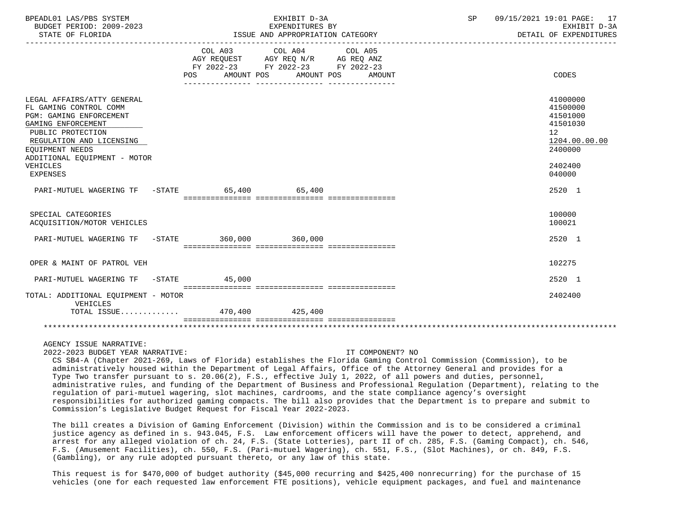| BPEADL01 LAS/PBS SYSTEM<br>BUDGET PERIOD: 2009-2023<br>STATE OF FLORIDA                                                                                                                                                                                                                                                                                                                                                                                                                                                                                                                                                                                                                                                                                                                                                                                            | EXHIBIT D-3A<br>EXPENDITURES BY<br>ISSUE AND APPROPRIATION CATEGORY |                                                                                                            |                   | SP. | 09/15/2021 19:01 PAGE: 17<br>DETAIL OF EXPENDITURES           | EXHIBIT D-3A  |
|--------------------------------------------------------------------------------------------------------------------------------------------------------------------------------------------------------------------------------------------------------------------------------------------------------------------------------------------------------------------------------------------------------------------------------------------------------------------------------------------------------------------------------------------------------------------------------------------------------------------------------------------------------------------------------------------------------------------------------------------------------------------------------------------------------------------------------------------------------------------|---------------------------------------------------------------------|------------------------------------------------------------------------------------------------------------|-------------------|-----|---------------------------------------------------------------|---------------|
|                                                                                                                                                                                                                                                                                                                                                                                                                                                                                                                                                                                                                                                                                                                                                                                                                                                                    | COL A03<br>POS                                                      | COL A04<br>AGY REQUEST AGY REQ N/R AG REQ ANZ<br>FY 2022-23 FY 2022-23 FY 2022-23<br>AMOUNT POS AMOUNT POS | COL A05<br>AMOUNT |     | CODES                                                         |               |
| LEGAL AFFAIRS/ATTY GENERAL<br>FL GAMING CONTROL COMM<br>PGM: GAMING ENFORCEMENT<br>GAMING ENFORCEMENT<br>PUBLIC PROTECTION<br>REGULATION AND LICENSING<br>EOUIPMENT NEEDS<br>ADDITIONAL EQUIPMENT - MOTOR                                                                                                                                                                                                                                                                                                                                                                                                                                                                                                                                                                                                                                                          |                                                                     |                                                                                                            |                   |     | 41000000<br>41500000<br>41501000<br>41501030<br>12<br>2400000 | 1204.00.00.00 |
| VEHICLES<br><b>EXPENSES</b>                                                                                                                                                                                                                                                                                                                                                                                                                                                                                                                                                                                                                                                                                                                                                                                                                                        |                                                                     |                                                                                                            |                   |     | 2402400<br>040000                                             |               |
| PARI-MUTUEL WAGERING TF -STATE                                                                                                                                                                                                                                                                                                                                                                                                                                                                                                                                                                                                                                                                                                                                                                                                                                     |                                                                     | 65,400 65,400                                                                                              |                   |     | 2520 1                                                        |               |
| SPECIAL CATEGORIES<br>ACQUISITION/MOTOR VEHICLES                                                                                                                                                                                                                                                                                                                                                                                                                                                                                                                                                                                                                                                                                                                                                                                                                   |                                                                     |                                                                                                            |                   |     | 100000<br>100021                                              |               |
| PARI-MUTUEL WAGERING TF                                                                                                                                                                                                                                                                                                                                                                                                                                                                                                                                                                                                                                                                                                                                                                                                                                            | $-STATE$ 360,000 360,000                                            |                                                                                                            |                   |     | 2520 1                                                        |               |
| OPER & MAINT OF PATROL VEH                                                                                                                                                                                                                                                                                                                                                                                                                                                                                                                                                                                                                                                                                                                                                                                                                                         |                                                                     |                                                                                                            |                   |     | 102275                                                        |               |
| PARI-MUTUEL WAGERING TF -STATE                                                                                                                                                                                                                                                                                                                                                                                                                                                                                                                                                                                                                                                                                                                                                                                                                                     | 45,000                                                              |                                                                                                            |                   |     | 2520 1                                                        |               |
| TOTAL: ADDITIONAL EQUIPMENT - MOTOR<br>VEHICLES<br>TOTAL ISSUE 470,400 425,400                                                                                                                                                                                                                                                                                                                                                                                                                                                                                                                                                                                                                                                                                                                                                                                     |                                                                     |                                                                                                            |                   |     | 2402400                                                       |               |
|                                                                                                                                                                                                                                                                                                                                                                                                                                                                                                                                                                                                                                                                                                                                                                                                                                                                    |                                                                     |                                                                                                            |                   |     |                                                               |               |
| AGENCY ISSUE NARRATIVE:<br>2022-2023 BUDGET YEAR NARRATIVE:<br>CS SB4-A (Chapter 2021-269, Laws of Florida) establishes the Florida Gaming Control Commission (Commission), to be<br>administratively housed within the Department of Legal Affairs, Office of the Attorney General and provides for a<br>Type Two transfer pursuant to s. 20.06(2), F.S., effective July 1, 2022, of all powers and duties, personnel,<br>administrative rules, and funding of the Department of Business and Professional Requlation (Department), relating to the<br>regulation of pari-mutuel wagering, slot machines, cardrooms, and the state compliance agency's oversight<br>responsibilities for authorized gaming compacts. The bill also provides that the Department is to prepare and submit to<br>Commission's Legislative Budget Request for Fiscal Year 2022-2023. |                                                                     |                                                                                                            | IT COMPONENT? NO  |     |                                                               |               |

 The bill creates a Division of Gaming Enforcement (Division) within the Commission and is to be considered a criminal justice agency as defined in s. 943.045, F.S. Law enforcement officers will have the power to detect, apprehend, and arrest for any alleged violation of ch. 24, F.S. (State Lotteries), part II of ch. 285, F.S. (Gaming Compact), ch. 546, F.S. (Amusement Facilities), ch. 550, F.S. (Pari-mutuel Wagering), ch. 551, F.S., (Slot Machines), or ch. 849, F.S. (Gambling), or any rule adopted pursuant thereto, or any law of this state.

 This request is for \$470,000 of budget authority (\$45,000 recurring and \$425,400 nonrecurring) for the purchase of 15 vehicles (one for each requested law enforcement FTE positions), vehicle equipment packages, and fuel and maintenance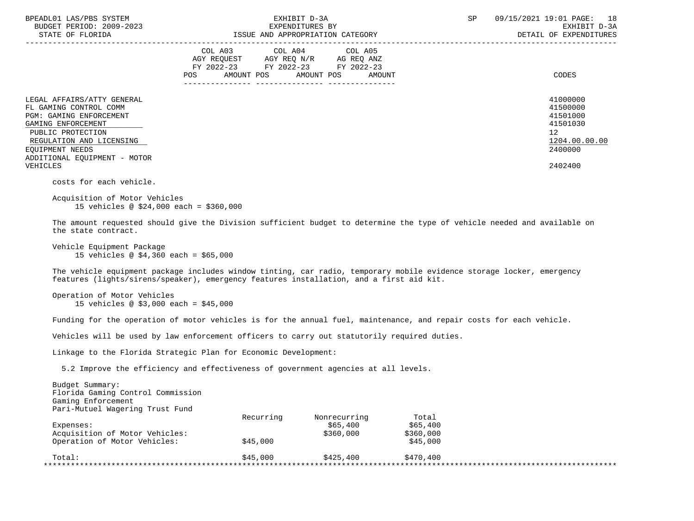| BPEADL01 LAS/PBS SYSTEM<br>BUDGET PERIOD: 2009-2023<br>STATE OF FLORIDA                                                                                                                                                      | EXHIBIT D-3A<br>EXPENDITURES BY<br>ISSUE AND APPROPRIATION CATEGORY                                                                                                                | 18<br>SP<br>09/15/2021 19:01 PAGE:<br>EXHIBIT D-3A<br>DETAIL OF EXPENDITURES                           |
|------------------------------------------------------------------------------------------------------------------------------------------------------------------------------------------------------------------------------|------------------------------------------------------------------------------------------------------------------------------------------------------------------------------------|--------------------------------------------------------------------------------------------------------|
|                                                                                                                                                                                                                              | COL A03 COL A04 COL A05<br>AGY REQUEST AGY REQ N/R AG REQ ANZ<br>FY 2022-23 FY 2022-23 FY 2022-23<br>AMOUNT POS AMOUNT POS AMOUNT<br>POS<br>______________________________________ | CODES                                                                                                  |
| LEGAL AFFAIRS/ATTY GENERAL<br>FL GAMING CONTROL COMM<br><b>PGM: GAMING ENFORCEMENT</b><br>GAMING ENFORCEMENT<br>PUBLIC PROTECTION<br>REGULATION AND LICENSING<br>EOUIPMENT NEEDS<br>ADDITIONAL EQUIPMENT - MOTOR<br>VEHICLES |                                                                                                                                                                                    | 41000000<br>41500000<br>41501000<br>41501030<br>12 <sup>°</sup><br>1204.00.00.00<br>2400000<br>2402400 |
| costs for each vehicle.<br>Acquisition of Motor Vehicles<br>15 vehicles @ \$24,000 each = \$360,000<br>the state contract.                                                                                                   | The amount requested should give the Division sufficient budget to determine the type of vehicle needed and available on                                                           |                                                                                                        |
| Vehicle Equipment Package                                                                                                                                                                                                    |                                                                                                                                                                                    |                                                                                                        |

15 vehicles @ \$4,360 each = \$65,000

 The vehicle equipment package includes window tinting, car radio, temporary mobile evidence storage locker, emergency features (lights/sirens/speaker), emergency features installation, and a first aid kit.

```
 Operation of Motor Vehicles
15 vehicles @ $3,000 each = $45,000
```
Funding for the operation of motor vehicles is for the annual fuel, maintenance, and repair costs for each vehicle.

Vehicles will be used by law enforcement officers to carry out statutorily required duties.

Linkage to the Florida Strategic Plan for Economic Development:

5.2 Improve the efficiency and effectiveness of government agencies at all levels.

| Budget Summary:<br>Florida Gaming Control Commission |           |              |           |  |
|------------------------------------------------------|-----------|--------------|-----------|--|
| Gaming Enforcement                                   |           |              |           |  |
| Pari-Mutuel Wagering Trust Fund                      |           |              |           |  |
|                                                      | Recurring | Nonrecurring | Total     |  |
| Expenses:                                            |           | \$65,400     | \$65,400  |  |
| Acquisition of Motor Vehicles:                       |           | \$360,000    | \$360,000 |  |
| Operation of Motor Vehicles:                         | \$45,000  |              | \$45,000  |  |
| Total:                                               | \$45,000  | \$425,400    | \$470,400 |  |
|                                                      |           |              |           |  |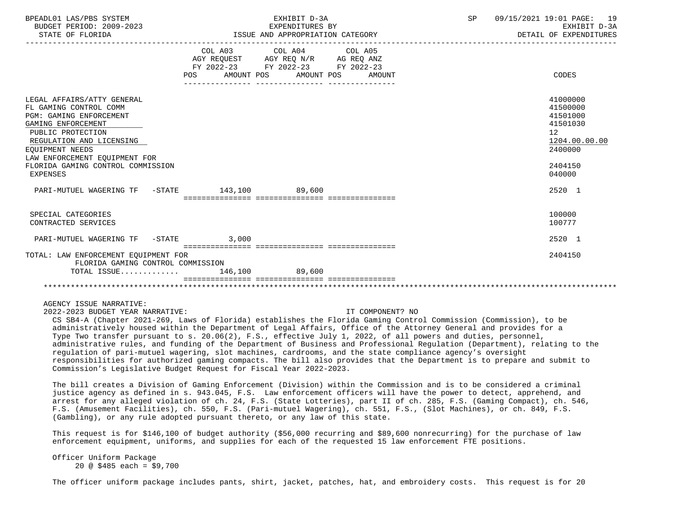| BPEADL01 LAS/PBS SYSTEM<br>BUDGET PERIOD: 2009-2023<br>STATE OF FLORIDA                                                                                                                                                                                            | EXHIBIT D-3A<br>EXPENDITURES BY<br>ISSUE AND APPROPRIATION CATEGORY                                                                   | SP | 09/15/2021 19:01 PAGE: 19<br>EXHIBIT D-3A<br>DETAIL OF EXPENDITURES                                 |
|--------------------------------------------------------------------------------------------------------------------------------------------------------------------------------------------------------------------------------------------------------------------|---------------------------------------------------------------------------------------------------------------------------------------|----|-----------------------------------------------------------------------------------------------------|
|                                                                                                                                                                                                                                                                    | COL A03 COL A04 COL A05<br>AGY REQUEST AGY REQ N/R AG REQ ANZ<br>FY 2022-23 FY 2022-23 FY 2022-23<br>POS AMOUNT POS AMOUNT POS AMOUNT |    | CODES                                                                                               |
| LEGAL AFFAIRS/ATTY GENERAL<br>FL GAMING CONTROL COMM<br><b>PGM: GAMING ENFORCEMENT</b><br>GAMING ENFORCEMENT<br>PUBLIC PROTECTION<br>REGULATION AND LICENSING<br>EOUIPMENT NEEDS<br>LAW ENFORCEMENT EOUIPMENT FOR<br>FLORIDA GAMING CONTROL COMMISSION<br>EXPENSES |                                                                                                                                       |    | 41000000<br>41500000<br>41501000<br>41501030<br>12<br>1204.00.00.00<br>2400000<br>2404150<br>040000 |
| PARI-MUTUEL WAGERING TF -STATE 143,100 89,600                                                                                                                                                                                                                      |                                                                                                                                       |    | 2520 1                                                                                              |
| SPECIAL CATEGORIES<br>CONTRACTED SERVICES                                                                                                                                                                                                                          |                                                                                                                                       |    | 100000<br>100777                                                                                    |
| PARI-MUTUEL WAGERING TF -STATE 3,000                                                                                                                                                                                                                               |                                                                                                                                       |    | $2520 - 1$                                                                                          |
| TOTAL: LAW ENFORCEMENT EOUIPMENT FOR<br>FLORIDA GAMING CONTROL COMMISSION                                                                                                                                                                                          |                                                                                                                                       |    | 2404150                                                                                             |
| TOTAL ISSUE 146,100 89,600                                                                                                                                                                                                                                         |                                                                                                                                       |    |                                                                                                     |
|                                                                                                                                                                                                                                                                    |                                                                                                                                       |    |                                                                                                     |

AGENCY ISSUE NARRATIVE:

2022-2023 BUDGET YEAR NARRATIVE: IT COMPONENT? NO

 CS SB4-A (Chapter 2021-269, Laws of Florida) establishes the Florida Gaming Control Commission (Commission), to be administratively housed within the Department of Legal Affairs, Office of the Attorney General and provides for a Type Two transfer pursuant to s. 20.06(2), F.S., effective July 1, 2022, of all powers and duties, personnel, administrative rules, and funding of the Department of Business and Professional Regulation (Department), relating to the regulation of pari-mutuel wagering, slot machines, cardrooms, and the state compliance agency's oversight responsibilities for authorized gaming compacts. The bill also provides that the Department is to prepare and submit to Commission's Legislative Budget Request for Fiscal Year 2022-2023.

 The bill creates a Division of Gaming Enforcement (Division) within the Commission and is to be considered a criminal justice agency as defined in s. 943.045, F.S. Law enforcement officers will have the power to detect, apprehend, and arrest for any alleged violation of ch. 24, F.S. (State Lotteries), part II of ch. 285, F.S. (Gaming Compact), ch. 546, F.S. (Amusement Facilities), ch. 550, F.S. (Pari-mutuel Wagering), ch. 551, F.S., (Slot Machines), or ch. 849, F.S. (Gambling), or any rule adopted pursuant thereto, or any law of this state.

 This request is for \$146,100 of budget authority (\$56,000 recurring and \$89,600 nonrecurring) for the purchase of law enforcement equipment, uniforms, and supplies for each of the requested 15 law enforcement FTE positions.

 Officer Uniform Package 20 @ \$485 each = \$9,700

The officer uniform package includes pants, shirt, jacket, patches, hat, and embroidery costs. This request is for 20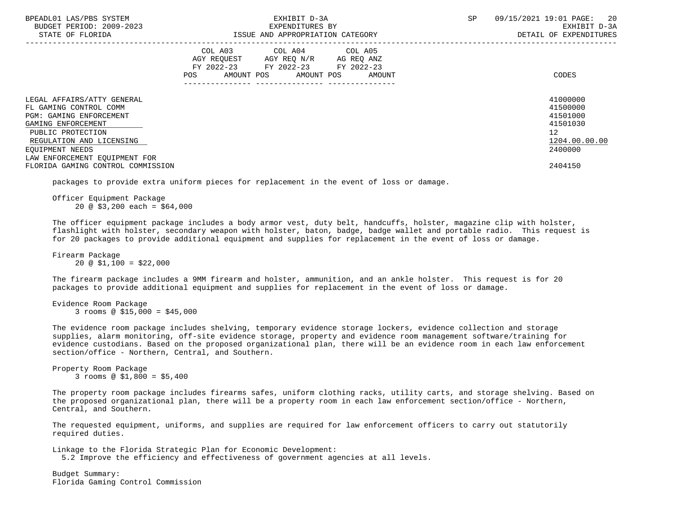| BPEADL01 LAS/PBS SYSTEM<br>BUDGET PERIOD: 2009-2023<br>STATE OF FLORIDA                | EXHIBIT D-3A<br>EXPENDITURES BY<br>ISSUE AND APPROPRIATION CATEGORY                                                                      | SP<br>09/15/2021 19:01 PAGE:<br>20<br>EXHIBIT D-3A<br>DETAIL OF EXPENDITURES |
|----------------------------------------------------------------------------------------|------------------------------------------------------------------------------------------------------------------------------------------|------------------------------------------------------------------------------|
|                                                                                        | COL A03 COL A04 COL A05<br>AGY REQUEST AGY REQ N/R AG REQ ANZ<br>FY 2022-23 FY 2022-23 FY 2022-23<br>AMOUNT POS AMOUNT POS AMOUNT<br>POS | CODES                                                                        |
| LEGAL AFFAIRS/ATTY GENERAL<br>FL GAMING CONTROL COMM<br><b>PGM: GAMING ENFORCEMENT</b> |                                                                                                                                          | 41000000<br>41500000<br>41501000                                             |
| GAMING ENFORCEMENT<br>PUBLIC PROTECTION                                                |                                                                                                                                          | 41501030<br>12 <sup>°</sup>                                                  |
| REGULATION AND LICENSING                                                               |                                                                                                                                          | 1204.00.00.00                                                                |
| EOUIPMENT NEEDS                                                                        |                                                                                                                                          | 2400000                                                                      |
| LAW ENFORCEMENT EQUIPMENT FOR                                                          |                                                                                                                                          |                                                                              |
| FLORIDA GAMING CONTROL COMMISSION                                                      |                                                                                                                                          | 2404150                                                                      |

packages to provide extra uniform pieces for replacement in the event of loss or damage.

 Officer Equipment Package 20 @ \$3,200 each = \$64,000

 The officer equipment package includes a body armor vest, duty belt, handcuffs, holster, magazine clip with holster, flashlight with holster, secondary weapon with holster, baton, badge, badge wallet and portable radio. This request is for 20 packages to provide additional equipment and supplies for replacement in the event of loss or damage.

 Firearm Package  $20 \text{ } \textcircled{}} 51.100 = $22.000$ 

 The firearm package includes a 9MM firearm and holster, ammunition, and an ankle holster. This request is for 20 packages to provide additional equipment and supplies for replacement in the event of loss or damage.

 Evidence Room Package 3 rooms @ \$15,000 = \$45,000

 The evidence room package includes shelving, temporary evidence storage lockers, evidence collection and storage supplies, alarm monitoring, off-site evidence storage, property and evidence room management software/training for evidence custodians. Based on the proposed organizational plan, there will be an evidence room in each law enforcement section/office - Northern, Central, and Southern.

 Property Room Package 3 rooms @ \$1,800 = \$5,400

 The property room package includes firearms safes, uniform clothing racks, utility carts, and storage shelving. Based on the proposed organizational plan, there will be a property room in each law enforcement section/office - Northern, Central, and Southern.

 The requested equipment, uniforms, and supplies are required for law enforcement officers to carry out statutorily required duties.

 Linkage to the Florida Strategic Plan for Economic Development: 5.2 Improve the efficiency and effectiveness of government agencies at all levels.

 Budget Summary: Florida Gaming Control Commission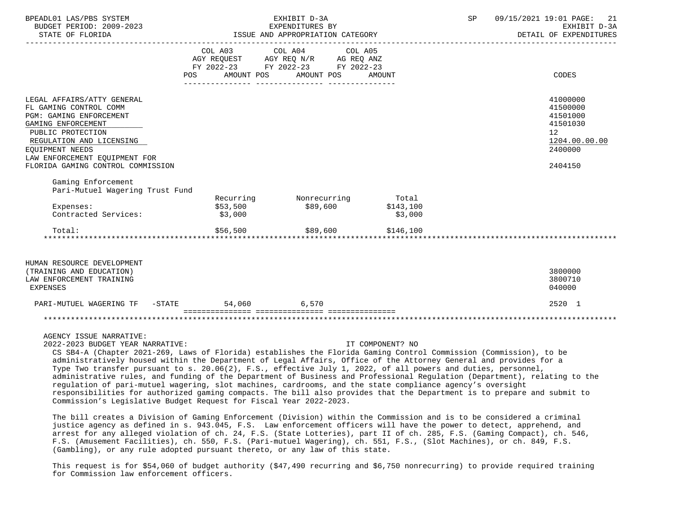| BPEADL01 LAS/PBS SYSTEM<br>BUDGET PERIOD: 2009-2023<br>STATE OF FLORIDA                                                                                                                                                                         | EXHIBIT D-3A<br>EXPENDITURES BY<br>ISSUE AND APPROPRIATION CATEGORY |                                                                           |                      |  | 09/15/2021 19:01 PAGE:<br>21<br>EXHIBIT D-3A<br>DETAIL OF EXPENDITURES                                 |  |
|-------------------------------------------------------------------------------------------------------------------------------------------------------------------------------------------------------------------------------------------------|---------------------------------------------------------------------|---------------------------------------------------------------------------|----------------------|--|--------------------------------------------------------------------------------------------------------|--|
|                                                                                                                                                                                                                                                 | POS AMOUNT POS                                                      | COL A03 COL A04 COL A05<br>FY 2022-23 FY 2022-23 FY 2022-23<br>AMOUNT POS | AMOUNT               |  | CODES                                                                                                  |  |
| LEGAL AFFAIRS/ATTY GENERAL<br>FL GAMING CONTROL COMM<br>PGM: GAMING ENFORCEMENT<br>GAMING ENFORCEMENT<br>PUBLIC PROTECTION<br>REGULATION AND LICENSING<br>EOUIPMENT NEEDS<br>LAW ENFORCEMENT EOUIPMENT FOR<br>FLORIDA GAMING CONTROL COMMISSION |                                                                     |                                                                           |                      |  | 41000000<br>41500000<br>41501000<br>41501030<br>12 <sup>°</sup><br>1204.00.00.00<br>2400000<br>2404150 |  |
| Gaming Enforcement<br>Pari-Mutuel Wagering Trust Fund                                                                                                                                                                                           |                                                                     |                                                                           |                      |  |                                                                                                        |  |
| Expenses:<br>Contracted Services:                                                                                                                                                                                                               | \$53,500<br>\$3,000                                                 | Recurring Monrecurring Total<br>\$89,600                                  | \$143,100<br>\$3,000 |  |                                                                                                        |  |
| Total:                                                                                                                                                                                                                                          | \$56,500                                                            | \$89,600                                                                  | \$146,100            |  |                                                                                                        |  |
| HUMAN RESOURCE DEVELOPMENT<br>(TRAINING AND EDUCATION)<br>LAW ENFORCEMENT TRAINING<br>EXPENSES                                                                                                                                                  |                                                                     |                                                                           |                      |  | 3800000<br>3800710<br>040000                                                                           |  |

| PAR.<br>$M \triangle ( \div H)$<br>$-11$<br><del>د</del> ۱۷ د                                                     | $Q$ $m \pi m$<br>- -<br>. | ,060<br>54 | $-70$ |  | 2520 |  |  |
|-------------------------------------------------------------------------------------------------------------------|---------------------------|------------|-------|--|------|--|--|
| ________________<br>_______________<br>_______________<br>----------------<br>---------------<br>________________ |                           |            |       |  |      |  |  |
| * * * * *                                                                                                         |                           |            |       |  |      |  |  |

AGENCY ISSUE NARRATIVE:

2022-2023 BUDGET YEAR NARRATIVE: IT COMPONENT? NO

 CS SB4-A (Chapter 2021-269, Laws of Florida) establishes the Florida Gaming Control Commission (Commission), to be administratively housed within the Department of Legal Affairs, Office of the Attorney General and provides for a Type Two transfer pursuant to s. 20.06(2), F.S., effective July 1, 2022, of all powers and duties, personnel, administrative rules, and funding of the Department of Business and Professional Regulation (Department), relating to the regulation of pari-mutuel wagering, slot machines, cardrooms, and the state compliance agency's oversight responsibilities for authorized gaming compacts. The bill also provides that the Department is to prepare and submit to Commission's Legislative Budget Request for Fiscal Year 2022-2023.

 The bill creates a Division of Gaming Enforcement (Division) within the Commission and is to be considered a criminal justice agency as defined in s. 943.045, F.S. Law enforcement officers will have the power to detect, apprehend, and arrest for any alleged violation of ch. 24, F.S. (State Lotteries), part II of ch. 285, F.S. (Gaming Compact), ch. 546, F.S. (Amusement Facilities), ch. 550, F.S. (Pari-mutuel Wagering), ch. 551, F.S., (Slot Machines), or ch. 849, F.S. (Gambling), or any rule adopted pursuant thereto, or any law of this state.

 This request is for \$54,060 of budget authority (\$47,490 recurring and \$6,750 nonrecurring) to provide required training for Commission law enforcement officers.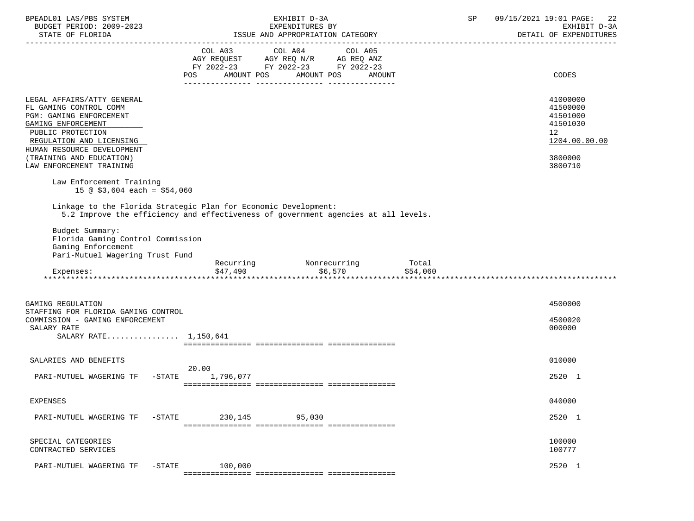| BPEADL01 LAS/PBS SYSTEM<br>BUDGET PERIOD: 2009-2023                                                                                                                                                                                          | EXHIBIT D-3A<br>EXPENDITURES BY                                                                                                                       | 09/15/2021 19:01 PAGE:<br>SP<br>22<br>EXHIBIT D-3A<br>DETAIL OF EXPENDITURES              |
|----------------------------------------------------------------------------------------------------------------------------------------------------------------------------------------------------------------------------------------------|-------------------------------------------------------------------------------------------------------------------------------------------------------|-------------------------------------------------------------------------------------------|
|                                                                                                                                                                                                                                              | COL A03<br>COL A04<br>COL A05<br>AGY REQUEST AGY REQ N/R AG REQ ANZ<br>FY 2022-23 FY 2022-23 FY 2022-23<br>AMOUNT POS AMOUNT POS<br>AMOUNT<br>POS     | CODES                                                                                     |
| LEGAL AFFAIRS/ATTY GENERAL<br>FL GAMING CONTROL COMM<br>PGM: GAMING ENFORCEMENT<br>GAMING ENFORCEMENT<br>PUBLIC PROTECTION<br>REGULATION AND LICENSING<br>HUMAN RESOURCE DEVELOPMENT<br>(TRAINING AND EDUCATION)<br>LAW ENFORCEMENT TRAINING |                                                                                                                                                       | 41000000<br>41500000<br>41501000<br>41501030<br>12<br>1204.00.00.00<br>3800000<br>3800710 |
| Law Enforcement Training<br>15 @ $$3,604$ each = $$54,060$                                                                                                                                                                                   | Linkage to the Florida Strategic Plan for Economic Development:                                                                                       |                                                                                           |
| Budget Summary:<br>Florida Gaming Control Commission<br>Gaming Enforcement<br>Pari-Mutuel Wagering Trust Fund<br>Expenses:                                                                                                                   | 5.2 Improve the efficiency and effectiveness of government agencies at all levels.<br>Recurring Monrecurring Total<br>\$47,490<br>\$6,570<br>\$54,060 |                                                                                           |
| GAMING REGULATION<br>STAFFING FOR FLORIDA GAMING CONTROL<br>COMMISSION - GAMING ENFORCEMENT<br>SALARY RATE<br>SALARY RATE 1,150,641                                                                                                          |                                                                                                                                                       | 4500000<br>4500020<br>000000                                                              |
| SALARIES AND BENEFITS<br>$-$ STATE<br>PARI-MUTUEL WAGERING TF                                                                                                                                                                                | 20.00<br>1,796,077                                                                                                                                    | 010000<br>2520 1                                                                          |
| <b>EXPENSES</b>                                                                                                                                                                                                                              |                                                                                                                                                       | 040000                                                                                    |
| PARI-MUTUEL WAGERING TF<br>$-$ STATE                                                                                                                                                                                                         | 230,145<br>95,030                                                                                                                                     | 2520 1                                                                                    |
| SPECIAL CATEGORIES<br>CONTRACTED SERVICES                                                                                                                                                                                                    |                                                                                                                                                       | 100000<br>100777                                                                          |
| $-$ STATE<br>PARI-MUTUEL WAGERING TF                                                                                                                                                                                                         | 100,000                                                                                                                                               | 2520 1                                                                                    |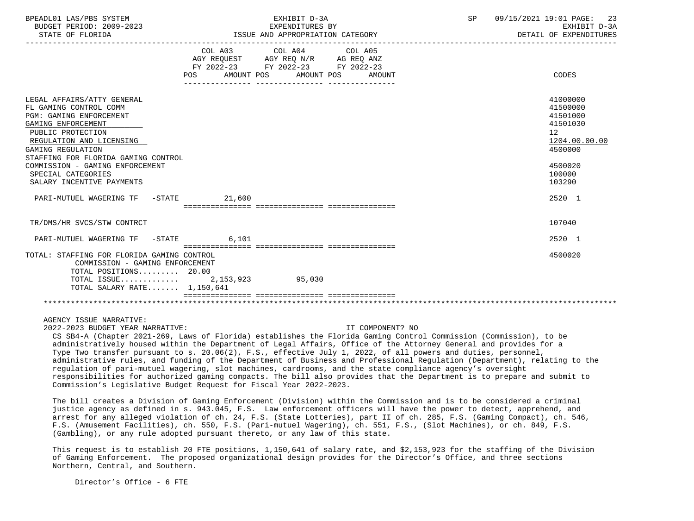| BPEADL01 LAS/PBS SYSTEM |                   |                          |
|-------------------------|-------------------|--------------------------|
|                         |                   | BUDGET PERIOD: 2009-2023 |
|                         | 27.77.77.77.77.77 |                          |

| BPEADL01 LAS/PBS SYSTEM<br>BUDGET PERIOD: 2009-2023<br>STATE OF FLORIDA                                                                                                                                                                                                                                  |                                                                                                                                | EXHIBIT D-3A<br>EXPENDITURES BY | ISSUE AND APPROPRIATION CATEGORY | SP | 09/15/2021 19:01 PAGE: 23<br>EXHIBIT D-3A<br>DETAIL OF EXPENDITURES                                                        |
|----------------------------------------------------------------------------------------------------------------------------------------------------------------------------------------------------------------------------------------------------------------------------------------------------------|--------------------------------------------------------------------------------------------------------------------------------|---------------------------------|----------------------------------|----|----------------------------------------------------------------------------------------------------------------------------|
|                                                                                                                                                                                                                                                                                                          | COL A03 COL A04 COL A05<br>AGY REQUEST AGY REQ N/R AG REQ ANZ<br>FY 2022-23 FY 2022-23 FY 2022-23<br>POS AMOUNT POS AMOUNT POS |                                 | AMOUNT                           |    | CODES                                                                                                                      |
| LEGAL AFFAIRS/ATTY GENERAL<br>FL GAMING CONTROL COMM<br>PGM: GAMING ENFORCEMENT<br>GAMING ENFORCEMENT<br>PUBLIC PROTECTION<br>REGULATION AND LICENSING<br>GAMING REGULATION<br>STAFFING FOR FLORIDA GAMING CONTROL<br>COMMISSION - GAMING ENFORCEMENT<br>SPECIAL CATEGORIES<br>SALARY INCENTIVE PAYMENTS |                                                                                                                                |                                 |                                  |    | 41000000<br>41500000<br>41501000<br>41501030<br>12 <sup>°</sup><br>1204.00.00.00<br>4500000<br>4500020<br>100000<br>103290 |
| PARI-MUTUEL WAGERING TF -STATE 21,600                                                                                                                                                                                                                                                                    |                                                                                                                                |                                 |                                  |    | 2520 1                                                                                                                     |
| TR/DMS/HR SVCS/STW CONTRCT                                                                                                                                                                                                                                                                               |                                                                                                                                |                                 |                                  |    | 107040                                                                                                                     |
| PARI-MUTUEL WAGERING TF -STATE 6,101                                                                                                                                                                                                                                                                     |                                                                                                                                |                                 |                                  |    | 2520 1                                                                                                                     |
| TOTAL: STAFFING FOR FLORIDA GAMING CONTROL<br>COMMISSION - GAMING ENFORCEMENT<br>TOTAL POSITIONS $20.00$<br>TOTAL ISSUE 2,153,923 95,030<br>TOTAL SALARY RATE $1,150,641$                                                                                                                                |                                                                                                                                |                                 |                                  |    | 4500020                                                                                                                    |
| AGENCY ISSUE NARRATIVE:<br>2022-2023 BUDGET YEAR NARRATIVE:<br>CS SR4-A (Chapter 2021-269) Laws of Florida) establishes the Florida Caming Control Commission (Commission) to be                                                                                                                         |                                                                                                                                |                                 | IT COMPONENT? NO                 |    |                                                                                                                            |

 CS SB4-A (Chapter 2021-269, Laws of Florida) establishes the Florida Gaming Control Commission (Commission), to be administratively housed within the Department of Legal Affairs, Office of the Attorney General and provides for a Type Two transfer pursuant to s. 20.06(2), F.S., effective July 1, 2022, of all powers and duties, personnel, administrative rules, and funding of the Department of Business and Professional Regulation (Department), relating to the regulation of pari-mutuel wagering, slot machines, cardrooms, and the state compliance agency's oversight responsibilities for authorized gaming compacts. The bill also provides that the Department is to prepare and submit to Commission's Legislative Budget Request for Fiscal Year 2022-2023.

 The bill creates a Division of Gaming Enforcement (Division) within the Commission and is to be considered a criminal justice agency as defined in s. 943.045, F.S. Law enforcement officers will have the power to detect, apprehend, and arrest for any alleged violation of ch. 24, F.S. (State Lotteries), part II of ch. 285, F.S. (Gaming Compact), ch. 546, F.S. (Amusement Facilities), ch. 550, F.S. (Pari-mutuel Wagering), ch. 551, F.S., (Slot Machines), or ch. 849, F.S. (Gambling), or any rule adopted pursuant thereto, or any law of this state.

 This request is to establish 20 FTE positions, 1,150,641 of salary rate, and \$2,153,923 for the staffing of the Division of Gaming Enforcement. The proposed organizational design provides for the Director's Office, and three sections Northern, Central, and Southern.

Director's Office - 6 FTE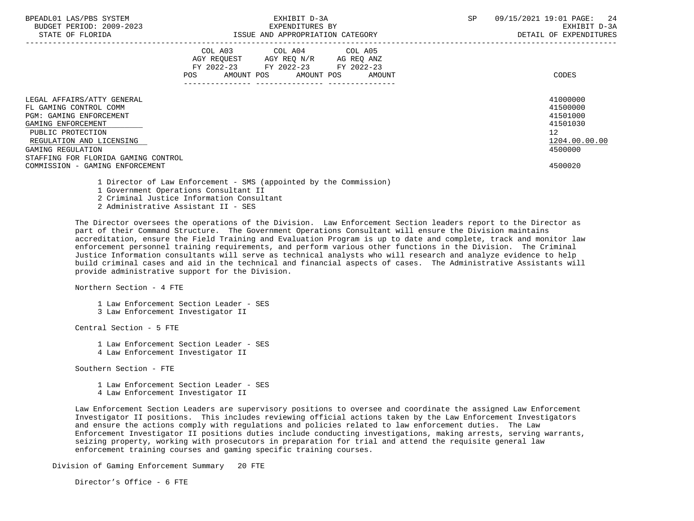| BPEADL01 LAS/PBS SYSTEM |     |                          |
|-------------------------|-----|--------------------------|
|                         |     | BUDGET PERIOD: 2009-2023 |
|                         | CDR |                          |

|                                                                                                                                                                                                                                                              | COL A03<br>AGY REQUEST<br>FY 2022-23<br>AMOUNT POS<br>POS | COL A04<br>AGY REQ N/R<br>FY 2022-23<br>AMOUNT POS | COL A05<br>AG REQ ANZ<br>FY 2022-23<br>AMOUNT | CODES                                                                                     |
|--------------------------------------------------------------------------------------------------------------------------------------------------------------------------------------------------------------------------------------------------------------|-----------------------------------------------------------|----------------------------------------------------|-----------------------------------------------|-------------------------------------------------------------------------------------------|
| LEGAL AFFAIRS/ATTY GENERAL<br>FL GAMING CONTROL COMM<br><b>PGM: GAMING ENFORCEMENT</b><br>GAMING ENFORCEMENT<br>PUBLIC PROTECTION<br>REGULATION AND LICENSING<br>GAMING REGULATION<br>STAFFING FOR FLORIDA GAMING CONTROL<br>COMMISSION - GAMING ENFORCEMENT |                                                           |                                                    |                                               | 41000000<br>41500000<br>41501000<br>41501030<br>12<br>1204.00.00.00<br>4500000<br>4500020 |

1 Director of Law Enforcement - SMS (appointed by the Commission)

1 Government Operations Consultant II

2 Criminal Justice Information Consultant

2 Administrative Assistant II - SES

 The Director oversees the operations of the Division. Law Enforcement Section leaders report to the Director as part of their Command Structure. The Government Operations Consultant will ensure the Division maintains accreditation, ensure the Field Training and Evaluation Program is up to date and complete, track and monitor law enforcement personnel training requirements, and perform various other functions in the Division. The Criminal Justice Information consultants will serve as technical analysts who will research and analyze evidence to help build criminal cases and aid in the technical and financial aspects of cases. The Administrative Assistants will provide administrative support for the Division.

Northern Section - 4 FTE

 1 Law Enforcement Section Leader - SES 3 Law Enforcement Investigator II

Central Section - 5 FTE

 1 Law Enforcement Section Leader - SES 4 Law Enforcement Investigator II

Southern Section - FTE

 1 Law Enforcement Section Leader - SES 4 Law Enforcement Investigator II

 Law Enforcement Section Leaders are supervisory positions to oversee and coordinate the assigned Law Enforcement Investigator II positions. This includes reviewing official actions taken by the Law Enforcement Investigators and ensure the actions comply with regulations and policies related to law enforcement duties. The Law Enforcement Investigator II positions duties include conducting investigations, making arrests, serving warrants, seizing property, working with prosecutors in preparation for trial and attend the requisite general law enforcement training courses and gaming specific training courses.

Division of Gaming Enforcement Summary 20 FTE

Director's Office - 6 FTE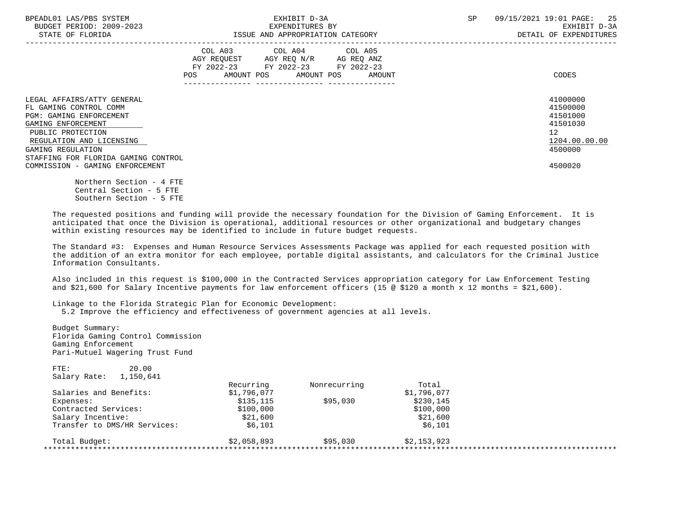| BPEADL01 LAS/PBS SYSTEM<br>BUDGET PERIOD: 2009-2023<br>STATE OF FLORIDA                                                                                                                                                   | EXHIBIT D-3A<br>EXPENDITURES BY<br>ISSUE AND APPROPRIATION CATEGORY                                                                         | 09/15/2021 19:01 PAGE: 25<br>SP<br>EXHIBIT D-3A<br>DETAIL OF EXPENDITURES                   |
|---------------------------------------------------------------------------------------------------------------------------------------------------------------------------------------------------------------------------|---------------------------------------------------------------------------------------------------------------------------------------------|---------------------------------------------------------------------------------------------|
|                                                                                                                                                                                                                           | COL A03 COL A04 COL A05<br>AGY REQUEST AGY REQ N/R AG REQ ANZ<br>FY 2022-23 FY 2022-23 FY 2022-23<br>AMOUNT POS AMOUNT POS<br>POS<br>AMOUNT | CODES                                                                                       |
| LEGAL AFFAIRS/ATTY GENERAL<br>FL GAMING CONTROL COMM<br><b>PGM: GAMING ENFORCEMENT</b><br>GAMING ENFORCEMENT<br>PUBLIC PROTECTION<br>REGULATION AND LICENSING<br>GAMING REGULATION<br>STAFFING FOR FLORIDA GAMING CONTROL |                                                                                                                                             | 41000000<br>41500000<br>41501000<br>41501030<br>12 <sup>°</sup><br>1204.00.00.00<br>4500000 |
| COMMISSION - GAMING ENFORCEMENT                                                                                                                                                                                           |                                                                                                                                             | 4500020                                                                                     |

 Northern Section - 4 FTE Central Section - 5 FTE Southern Section - 5 FTE

 The requested positions and funding will provide the necessary foundation for the Division of Gaming Enforcement. It is anticipated that once the Division is operational, additional resources or other organizational and budgetary changes within existing resources may be identified to include in future budget requests.

 The Standard #3: Expenses and Human Resource Services Assessments Package was applied for each requested position with the addition of an extra monitor for each employee, portable digital assistants, and calculators for the Criminal Justice Information Consultants.

 Also included in this request is \$100,000 in the Contracted Services appropriation category for Law Enforcement Testing and \$21,600 for Salary Incentive payments for law enforcement officers (15  $\omega$  \$120 a month x 12 months = \$21,600).

 Linkage to the Florida Strategic Plan for Economic Development: 5.2 Improve the efficiency and effectiveness of government agencies at all levels.

| Gaming Enforcement<br>Pari-Mutuel Wagering Trust Fund |             |              |             |  |
|-------------------------------------------------------|-------------|--------------|-------------|--|
| FTE:<br>20.00                                         |             |              |             |  |
| 1,150,641<br>Salary Rate:                             |             |              |             |  |
|                                                       | Recurring   | Nonrecurring | Total       |  |
| Salaries and Benefits:                                | \$1,796,077 |              | \$1,796,077 |  |
| Expenses:                                             | \$135.115   | \$95.030     | \$230,145   |  |
| Contracted Services:                                  | \$100,000   |              | \$100,000   |  |
| Salary Incentive:                                     | \$21,600    |              | \$21,600    |  |
| Transfer to DMS/HR Services:                          | \$6,101     |              | \$6,101     |  |
| Total Budget:                                         | \$2,058,893 | \$95,030     | \$2.153.923 |  |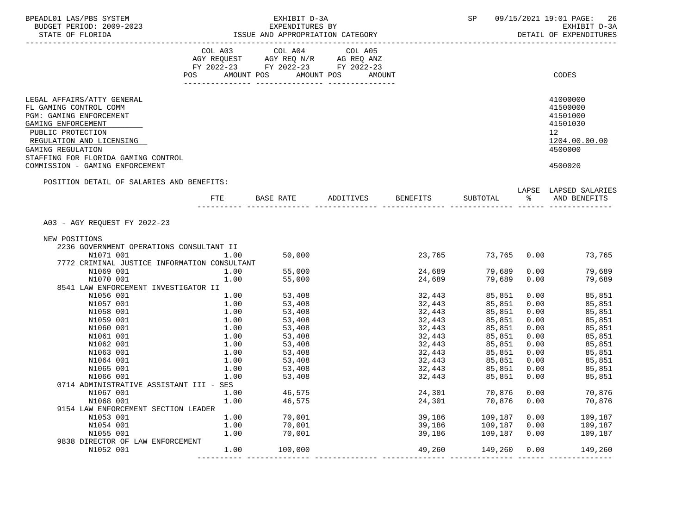| BPEADL01 LAS/PBS SYSTEM<br>BUDGET PERIOD: 2009-2023                                                   |            | EXHIBIT D-3A<br>EXPENDITURES BY<br>ISSUE AND APPROPRIATION CATEGORY                                                                                                                                           |                                  |             |      | SP 09/15/2021 19:01 PAGE:<br>26<br>EXHIBIT D-3A<br>DETAIL OF EXPENDITURES |
|-------------------------------------------------------------------------------------------------------|------------|---------------------------------------------------------------------------------------------------------------------------------------------------------------------------------------------------------------|----------------------------------|-------------|------|---------------------------------------------------------------------------|
|                                                                                                       |            |                                                                                                                                                                                                               |                                  |             |      |                                                                           |
|                                                                                                       |            | $\begin{tabular}{lllllllllll} COL & A03 & \multicolumn{2}{l}COL & A04 & \multicolumn{2}{l}COL & A05 \\ AGY & REQUEST & \multicolumn{2}{l}AGY & REQ & N/R & \multicolumn{2}{l}AG & REQ & ANZ \\ \end{tabular}$ |                                  |             |      |                                                                           |
|                                                                                                       |            | FY 2022-23 FY 2022-23 FY 2022-23                                                                                                                                                                              |                                  |             |      |                                                                           |
|                                                                                                       | <b>POS</b> | AMOUNT POS AMOUNT POS AMOUNT                                                                                                                                                                                  |                                  |             |      | CODES                                                                     |
|                                                                                                       |            |                                                                                                                                                                                                               |                                  |             |      |                                                                           |
| LEGAL AFFAIRS/ATTY GENERAL<br>FL GAMING CONTROL COMM<br>PGM: GAMING ENFORCEMENT<br>GAMING ENFORCEMENT |            |                                                                                                                                                                                                               |                                  |             |      | 41000000<br>41500000<br>41501000<br>41501030                              |
| PUBLIC PROTECTION<br>REGULATION AND LICENSING<br>GAMING REGULATION                                    |            |                                                                                                                                                                                                               |                                  |             |      | 12<br>1204.00.00.00<br>4500000                                            |
| STAFFING FOR FLORIDA GAMING CONTROL<br>COMMISSION - GAMING ENFORCEMENT                                |            |                                                                                                                                                                                                               |                                  |             |      | 4500020                                                                   |
| POSITION DETAIL OF SALARIES AND BENEFITS:                                                             |            |                                                                                                                                                                                                               |                                  |             |      |                                                                           |
|                                                                                                       |            |                                                                                                                                                                                                               | FTE BASE RATE ADDITIVES BENEFITS | SUBTOTAL    | ိ    | LAPSE LAPSED SALARIES<br>AND BENEFITS                                     |
|                                                                                                       |            |                                                                                                                                                                                                               |                                  |             |      |                                                                           |
| A03 - AGY REQUEST FY 2022-23                                                                          |            |                                                                                                                                                                                                               |                                  |             |      |                                                                           |
| NEW POSITIONS                                                                                         |            |                                                                                                                                                                                                               |                                  |             |      |                                                                           |
| 2236 GOVERNMENT OPERATIONS CONSULTANT II                                                              |            |                                                                                                                                                                                                               |                                  |             |      |                                                                           |
| N1071 001                                                                                             | 1.00       | 50,000                                                                                                                                                                                                        | 23,765                           | 73,765 0.00 |      | 73,765                                                                    |
| 7772 CRIMINAL JUSTICE INFORMATION CONSULTANT                                                          |            |                                                                                                                                                                                                               |                                  |             |      |                                                                           |
| N1069 001                                                                                             | 1.00       | 55,000                                                                                                                                                                                                        | 24,689                           | 79,689      | 0.00 | 79,689                                                                    |
| N1070 001                                                                                             | 1.00       | 55,000                                                                                                                                                                                                        | 24,689                           | 79,689      | 0.00 | 79,689                                                                    |
| 8541 LAW ENFORCEMENT INVESTIGATOR II                                                                  |            |                                                                                                                                                                                                               |                                  |             |      |                                                                           |
| N1056 001                                                                                             | 1.00       | 53,408                                                                                                                                                                                                        | 32,443                           | 85,851      | 0.00 | 85,851                                                                    |
| N1057 001                                                                                             | 1.00       | 53,408                                                                                                                                                                                                        | 32,443                           | 85,851      | 0.00 | 85,851                                                                    |
| N1058 001                                                                                             | 1.00       | 53,408                                                                                                                                                                                                        | 32,443                           | 85,851      | 0.00 | 85,851                                                                    |
| N1059 001                                                                                             | 1.00       | 53,408                                                                                                                                                                                                        | 32,443                           | 85,851      | 0.00 | 85,851                                                                    |
| N1060 001                                                                                             | 1.00       | 53,408                                                                                                                                                                                                        | 32,443                           | 85,851      | 0.00 | 85,851                                                                    |
| N1061 001                                                                                             | 1.00       | 53,408                                                                                                                                                                                                        | 32,443                           | 85,851      | 0.00 | 85,851                                                                    |
| N1062 001                                                                                             | 1.00       | 53,408                                                                                                                                                                                                        | 32,443                           | 85,851      | 0.00 | 85,851                                                                    |
| N1063 001                                                                                             | 1.00       | 53,408                                                                                                                                                                                                        | 32,443                           | 85,851      | 0.00 | 85,851                                                                    |
| N1064 001                                                                                             | 1.00       | 53,408                                                                                                                                                                                                        | 32,443                           | 85,851      | 0.00 | 85,851                                                                    |
| N1065 001                                                                                             | 1.00       | 53,408                                                                                                                                                                                                        | 32,443                           | 85,851      | 0.00 | 85,851                                                                    |
| N1066 001                                                                                             | 1.00       | 53,408                                                                                                                                                                                                        | 32,443                           | 85,851      | 0.00 | 85,851                                                                    |
| 0714 ADMINISTRATIVE ASSISTANT III - SES                                                               |            |                                                                                                                                                                                                               |                                  |             |      |                                                                           |
| N1067 001                                                                                             | 1.00       | 46,575                                                                                                                                                                                                        | 24,301                           | 70,876      | 0.00 | 70,876                                                                    |
| N1068 001                                                                                             | 1.00       | 46,575                                                                                                                                                                                                        | 24,301                           | 70,876      | 0.00 | 70,876                                                                    |
| 9154 LAW ENFORCEMENT SECTION LEADER                                                                   |            |                                                                                                                                                                                                               |                                  |             |      |                                                                           |
| N1053 001                                                                                             | 1.00       | 70,001                                                                                                                                                                                                        | 39,186                           | 109,187     | 0.00 | 109,187                                                                   |
| N1054 001                                                                                             | 1.00       | 70,001                                                                                                                                                                                                        | 39,186                           | 109,187     | 0.00 | 109,187                                                                   |
| N1055 001                                                                                             | 1.00       | 70,001                                                                                                                                                                                                        | 39,186                           | 109,187     | 0.00 | 109,187                                                                   |
| 9838 DIRECTOR OF LAW ENFORCEMENT                                                                      |            |                                                                                                                                                                                                               |                                  |             |      |                                                                           |
| N1052 001                                                                                             | 1.00       | 100,000                                                                                                                                                                                                       | 49,260                           | 149,260     | 0.00 | 149,260                                                                   |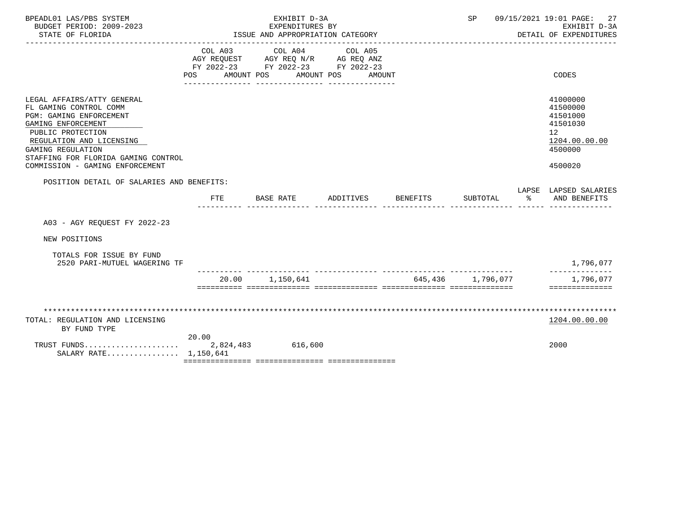| BPEADL01 LAS/PBS SYSTEM<br>BUDGET PERIOD: 2009-2023<br>STATE OF FLORIDA                                                                                                                                                                               |                              | EXHIBIT D-3A<br>EXPENDITURES BY<br>ISSUE AND APPROPRIATION CATEGORY               |                                 |                 | SP                |   | 09/15/2021 19:01 PAGE:<br>27<br>EXHIBIT D-3A<br>DETAIL OF EXPENDITURES                    |
|-------------------------------------------------------------------------------------------------------------------------------------------------------------------------------------------------------------------------------------------------------|------------------------------|-----------------------------------------------------------------------------------|---------------------------------|-----------------|-------------------|---|-------------------------------------------------------------------------------------------|
|                                                                                                                                                                                                                                                       | COL A03<br>AMOUNT POS<br>POS | COL A04<br>AGY REQUEST AGY REQ N/R AG REQ ANZ<br>FY 2022-23 FY 2022-23 FY 2022-23 | COL A05<br>AMOUNT POS<br>AMOUNT |                 |                   |   | CODES                                                                                     |
| LEGAL AFFAIRS/ATTY GENERAL<br>FL GAMING CONTROL COMM<br>PGM: GAMING ENFORCEMENT<br>GAMING ENFORCEMENT<br>PUBLIC PROTECTION<br>REGULATION AND LICENSING<br>GAMING REGULATION<br>STAFFING FOR FLORIDA GAMING CONTROL<br>COMMISSION - GAMING ENFORCEMENT |                              |                                                                                   |                                 |                 |                   |   | 41000000<br>41500000<br>41501000<br>41501030<br>12<br>1204.00.00.00<br>4500000<br>4500020 |
| POSITION DETAIL OF SALARIES AND BENEFITS:                                                                                                                                                                                                             | FTE.                         | BASE RATE                                                                         | ADDITIVES                       | <b>BENEFITS</b> | SUBTOTAL          | ⊱ | LAPSE LAPSED SALARIES<br>AND BENEFITS                                                     |
| A03 - AGY REOUEST FY 2022-23                                                                                                                                                                                                                          |                              |                                                                                   |                                 |                 |                   |   |                                                                                           |
| NEW POSITIONS                                                                                                                                                                                                                                         |                              |                                                                                   |                                 |                 |                   |   |                                                                                           |
| TOTALS FOR ISSUE BY FUND<br>2520 PARI-MUTUEL WAGERING TF                                                                                                                                                                                              |                              |                                                                                   |                                 |                 |                   |   | 1,796,077                                                                                 |
|                                                                                                                                                                                                                                                       |                              | 20.00 1,150,641                                                                   |                                 |                 | 645,436 1,796,077 |   | 1,796,077<br>==============                                                               |
| TOTAL: REGULATION AND LICENSING<br>BY FUND TYPE                                                                                                                                                                                                       |                              |                                                                                   |                                 |                 |                   |   | 1204.00.00.00                                                                             |
| TRUST FUNDS<br>SALARY RATE 1,150,641                                                                                                                                                                                                                  | 20.00                        | 2,824,483 616,600                                                                 |                                 |                 |                   |   | 2000                                                                                      |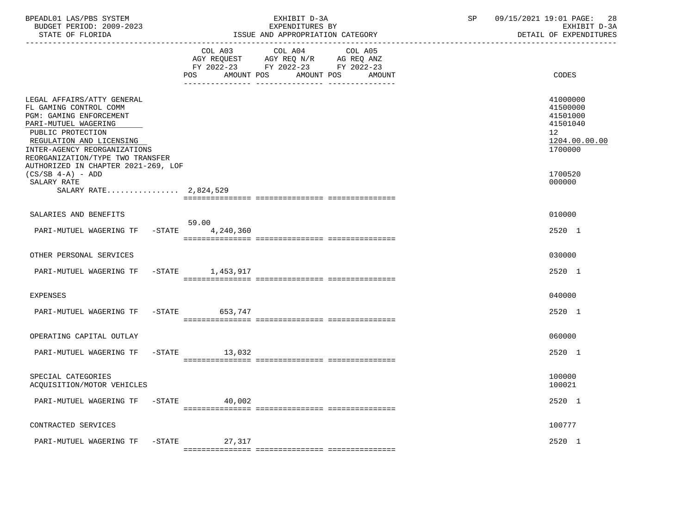| BPEADL01 LAS/PBS SYSTEM<br>BUDGET PERIOD: 2009-2023<br>STATE OF FLORIDA                                                                                                                                                                                             | EXHIBIT D-3A<br>EXPENDITURES BY<br>ISSUE AND APPROPRIATION CATEGORY<br>____________________________                                                         | 09/15/2021 19:01 PAGE:<br>28<br>SP<br>EXHIBIT D-3A<br>DETAIL OF EXPENDITURES   |
|---------------------------------------------------------------------------------------------------------------------------------------------------------------------------------------------------------------------------------------------------------------------|-------------------------------------------------------------------------------------------------------------------------------------------------------------|--------------------------------------------------------------------------------|
|                                                                                                                                                                                                                                                                     | COL A03<br>COL A04<br>COL A05<br>AGY REQUEST AGY REQ N/R AG REQ ANZ<br>FY 2022-23 FY 2022-23 FY 2022-23<br>AMOUNT POS<br>AMOUNT POS<br><b>POS</b><br>AMOUNT | CODES                                                                          |
| LEGAL AFFAIRS/ATTY GENERAL<br>FL GAMING CONTROL COMM<br>PGM: GAMING ENFORCEMENT<br>PARI-MUTUEL WAGERING<br>PUBLIC PROTECTION<br>REGULATION AND LICENSING<br>INTER-AGENCY REORGANIZATIONS<br>REORGANIZATION/TYPE TWO TRANSFER<br>AUTHORIZED IN CHAPTER 2021-269, LOF |                                                                                                                                                             | 41000000<br>41500000<br>41501000<br>41501040<br>12<br>1204.00.00.00<br>1700000 |
| $(CS/SB 4-A) - ADD$<br>SALARY RATE<br>SALARY RATE 2,824,529                                                                                                                                                                                                         |                                                                                                                                                             | 1700520<br>000000                                                              |
| SALARIES AND BENEFITS                                                                                                                                                                                                                                               |                                                                                                                                                             | 010000                                                                         |
| PARI-MUTUEL WAGERING TF                                                                                                                                                                                                                                             | 59.00<br>$-STATE$<br>4,240,360                                                                                                                              | 2520 1                                                                         |
| OTHER PERSONAL SERVICES                                                                                                                                                                                                                                             |                                                                                                                                                             | 030000                                                                         |
| PARI-MUTUEL WAGERING TF                                                                                                                                                                                                                                             | -STATE 1,453,917                                                                                                                                            | 2520 1                                                                         |
| <b>EXPENSES</b>                                                                                                                                                                                                                                                     |                                                                                                                                                             | 040000                                                                         |
| PARI-MUTUEL WAGERING TF -STATE 653,747                                                                                                                                                                                                                              |                                                                                                                                                             | 2520 1                                                                         |
| OPERATING CAPITAL OUTLAY                                                                                                                                                                                                                                            |                                                                                                                                                             | 060000                                                                         |
| PARI-MUTUEL WAGERING TF                                                                                                                                                                                                                                             | $-STATE$<br>13,032                                                                                                                                          | 2520 1                                                                         |
| SPECIAL CATEGORIES<br>ACQUISITION/MOTOR VEHICLES                                                                                                                                                                                                                    |                                                                                                                                                             | 100000<br>100021                                                               |
| PARI-MUTUEL WAGERING TF                                                                                                                                                                                                                                             | $-$ STATE<br>40,002                                                                                                                                         | 2520 1                                                                         |
| CONTRACTED SERVICES                                                                                                                                                                                                                                                 |                                                                                                                                                             | 100777                                                                         |
| PARI-MUTUEL WAGERING TF -STATE                                                                                                                                                                                                                                      | 27,317                                                                                                                                                      | 2520 1                                                                         |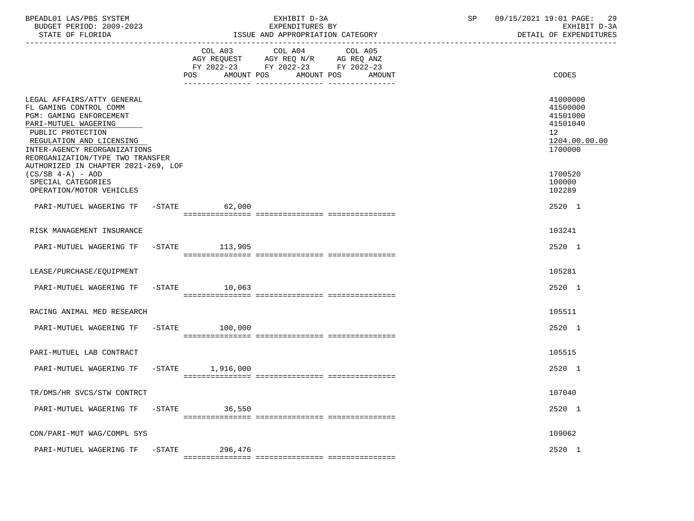| BPEADL01 LAS/PBS SYSTEM<br>BUDGET PERIOD: 2009-2023<br>STATE OF FLORIDA<br>----------------<br>-------------------------------                                                                                               |           |                              | EXHIBIT D-3A<br>EXPENDITURES BY<br>ISSUE AND APPROPRIATION CATEGORY                                                  | SP | 09/15/2021 19:01 PAGE:<br>-29<br>EXHIBIT D-3A<br>DETAIL OF EXPENDITURES        |
|------------------------------------------------------------------------------------------------------------------------------------------------------------------------------------------------------------------------------|-----------|------------------------------|----------------------------------------------------------------------------------------------------------------------|----|--------------------------------------------------------------------------------|
|                                                                                                                                                                                                                              |           | COL A03<br>AMOUNT POS<br>POS | COL A04<br>COL A05<br>AGY REQUEST AGY REQ N/R AG REQ ANZ<br>FY 2022-23 FY 2022-23 FY 2022-23<br>AMOUNT POS<br>AMOUNT |    | CODES                                                                          |
| LEGAL AFFAIRS/ATTY GENERAL<br>FL GAMING CONTROL COMM<br>PGM: GAMING ENFORCEMENT<br>PARI-MUTUEL WAGERING<br>PUBLIC PROTECTION<br>REGULATION AND LICENSING<br>INTER-AGENCY REORGANIZATIONS<br>REORGANIZATION/TYPE TWO TRANSFER |           |                              |                                                                                                                      |    | 41000000<br>41500000<br>41501000<br>41501040<br>12<br>1204.00.00.00<br>1700000 |
| AUTHORIZED IN CHAPTER 2021-269, LOF<br>$(CS/SB 4-A) - ADD$<br>SPECIAL CATEGORIES<br>OPERATION/MOTOR VEHICLES                                                                                                                 |           |                              |                                                                                                                      |    | 1700520<br>100000<br>102289                                                    |
| PARI-MUTUEL WAGERING TF                                                                                                                                                                                                      |           | $-$ STATE<br>62,000          |                                                                                                                      |    | 2520 1                                                                         |
| RISK MANAGEMENT INSURANCE                                                                                                                                                                                                    |           |                              |                                                                                                                      |    | 103241                                                                         |
| PARI-MUTUEL WAGERING TF                                                                                                                                                                                                      |           | -STATE 113,905               |                                                                                                                      |    | 2520 1                                                                         |
| LEASE/PURCHASE/EQUIPMENT                                                                                                                                                                                                     |           |                              |                                                                                                                      |    | 105281                                                                         |
| PARI-MUTUEL WAGERING TF                                                                                                                                                                                                      | $-STATE$  | 10,063                       |                                                                                                                      |    | 2520 1                                                                         |
| RACING ANIMAL MED RESEARCH                                                                                                                                                                                                   |           |                              |                                                                                                                      |    | 105511                                                                         |
| PARI-MUTUEL WAGERING TF                                                                                                                                                                                                      |           | $-$ STATE<br>100,000         |                                                                                                                      |    | 2520 1                                                                         |
| PARI-MUTUEL LAB CONTRACT                                                                                                                                                                                                     |           |                              |                                                                                                                      |    | 105515                                                                         |
| PARI-MUTUEL WAGERING TF                                                                                                                                                                                                      | $-$ STATE | 1,916,000                    |                                                                                                                      |    | 2520 1                                                                         |
| TR/DMS/HR SVCS/STW CONTRCT                                                                                                                                                                                                   |           |                              |                                                                                                                      |    | 107040                                                                         |
| PARI-MUTUEL WAGERING TF                                                                                                                                                                                                      | $-$ STATE | 36,550                       |                                                                                                                      |    | 2520 1                                                                         |
| CON/PARI-MUT WAG/COMPL SYS                                                                                                                                                                                                   |           |                              |                                                                                                                      |    | 109062                                                                         |
| PARI-MUTUEL WAGERING TF -STATE                                                                                                                                                                                               |           | 296,476                      |                                                                                                                      |    | 2520 1                                                                         |

=============== =============== ===============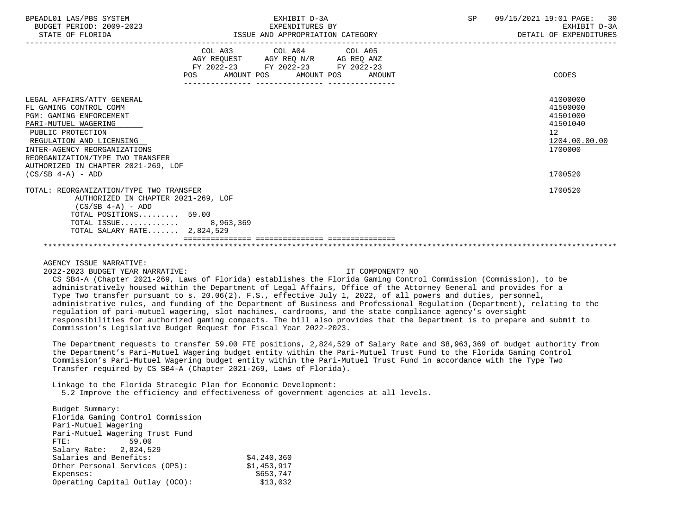| BPEADL01 LAS/PBS SYSTEM |                          |
|-------------------------|--------------------------|
|                         | BUDGET PERIOD: 2009-2023 |
|                         |                          |

|                            |      | COL A03     | COL A04               | COL A05    |          |
|----------------------------|------|-------------|-----------------------|------------|----------|
|                            |      |             |                       |            |          |
|                            |      | AGY REOUEST | AGY REO N/R           | AG REO ANZ |          |
|                            |      | FY 2022-23  | FY 2022-23 FY 2022-23 |            |          |
|                            | POS. | AMOUNT POS  | AMOUNT POS            | AMOUNT     | CODES    |
|                            |      |             |                       |            |          |
| LEGAL AFFAIRS/ATTY GENERAL |      |             |                       |            | 41000000 |
| FL GAMING CONTROL COMM     |      |             |                       |            | 41500000 |
| PGM: GAMING ENFORCEMENT    |      |             |                       |            | 41501000 |

PGM: GAMING ENFORCEMENT 41501000<br>PART-MITTIEL WAGERING 41501040 PARI-MUTUEL WAGERING 415<br>PIRLIC PROTECTION 42 PUBLIC PROTECTION 12 REGULATION AND LICENSING 1204.00.00.00 \_\_\_\_\_\_\_\_\_\_\_\_\_\_\_\_\_\_\_\_\_\_\_\_\_\_ \_\_\_\_\_\_\_\_\_\_\_\_\_ INTER-AGENCY REORGANIZATIONS REORGANIZATION/TYPE TWO TRANSFER AUTHORIZED IN CHAPTER 2021-269, LOF

 TOTAL: REORGANIZATION/TYPE TWO TRANSFER 1700520 AUTHORIZED IN CHAPTER 2021-269, LOF  $(CS/SB 4-A) - ADD$  TOTAL POSITIONS......... 59.00 TOTAL ISSUE............. 8,963,369 TOTAL SALARY RATE....... 2,824,529

(CS/SB 4-A) - ADD 1700520

AGENCY ISSUE NARRATIVE:

2022-2023 BUDGET YEAR NARRATIVE: IT COMPONENT? NO

 CS SB4-A (Chapter 2021-269, Laws of Florida) establishes the Florida Gaming Control Commission (Commission), to be administratively housed within the Department of Legal Affairs, Office of the Attorney General and provides for a Type Two transfer pursuant to s. 20.06(2), F.S., effective July 1, 2022, of all powers and duties, personnel, administrative rules, and funding of the Department of Business and Professional Regulation (Department), relating to the regulation of pari-mutuel wagering, slot machines, cardrooms, and the state compliance agency's oversight responsibilities for authorized gaming compacts. The bill also provides that the Department is to prepare and submit to Commission's Legislative Budget Request for Fiscal Year 2022-2023.

\*\*\*\*\*\*\*\*\*\*\*\*\*\*\*\*\*\*\*\*\*\*\*\*\*\*\*\*\*\*\*\*\*\*\*\*\*\*\*\*\*\*\*\*\*\*\*\*\*\*\*\*\*\*\*\*\*\*\*\*\*\*\*\*\*\*\*\*\*\*\*\*\*\*\*\*\*\*\*\*\*\*\*\*\*\*\*\*\*\*\*\*\*\*\*\*\*\*\*\*\*\*\*\*\*\*\*\*\*\*\*\*\*\*\*\*\*\*\*\*\*\*\*\*\*\*\*

=============== =============== ===============

 The Department requests to transfer 59.00 FTE positions, 2,824,529 of Salary Rate and \$8,963,369 of budget authority from the Department's Pari-Mutuel Wagering budget entity within the Pari-Mutuel Trust Fund to the Florida Gaming Control Commission's Pari-Mutuel Wagering budget entity within the Pari-Mutuel Trust Fund in accordance with the Type Two Transfer required by CS SB4-A (Chapter 2021-269, Laws of Florida).

Linkage to the Florida Strategic Plan for Economic Development:

5.2 Improve the efficiency and effectiveness of government agencies at all levels.

 Budget Summary: Florida Gaming Control Commission Pari-Mutuel Wagering Pari-Mutuel Wagering Trust Fund FTE: 59.00 Salary Rate: 2,824,529 Salaries and Benefits:  $\frac{1}{24.240.360}$  Other Personal Services (OPS): \$1,453,917 Expenses: \$653,747 Operating Capital Outlay (OCO):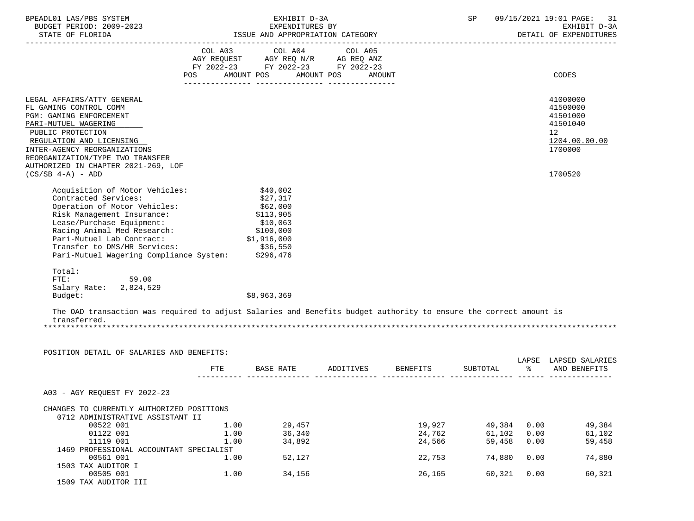| BPEADL01 LAS/PBS SYSTEM<br>BUDGET PERIOD: 2009-2023<br>STATE OF FLORIDA | EXHIBIT D-3A<br>EXPENDITURES BY<br>ISSUE AND APPROPRIATION CATEGORY                                                                   | SP<br>09/15/2021 19:01 PAGE: 31<br>EXHIBIT D-3A<br>DETAIL OF EXPENDITURES |
|-------------------------------------------------------------------------|---------------------------------------------------------------------------------------------------------------------------------------|---------------------------------------------------------------------------|
|                                                                         | COL A03 COL A04 COL A05<br>AGY REQUEST AGY REQ N/R AG REQ ANZ<br>FY 2022-23 FY 2022-23 FY 2022-23<br>POS AMOUNT POS AMOUNT POS AMOUNT | CODES                                                                     |
| LEGAL AFFAIRS/ATTY GENERAL                                              |                                                                                                                                       | 41000000                                                                  |
| FL GAMING CONTROL COMM<br><b>PGM: GAMING ENFORCEMENT</b>                |                                                                                                                                       | 41500000<br>41501000                                                      |
| PARI-MUTUEL WAGERING                                                    |                                                                                                                                       | 41501040                                                                  |
| PUBLIC PROTECTION                                                       |                                                                                                                                       | 12 <sup>°</sup>                                                           |
| REGULATION AND LICENSING                                                |                                                                                                                                       | 1204.00.00.00                                                             |
| INTER-AGENCY REORGANIZATIONS<br>REORGANIZATION/TYPE TWO TRANSFER        |                                                                                                                                       | 1700000                                                                   |
| AUTHORIZED IN CHAPTER 2021-269, LOF                                     |                                                                                                                                       |                                                                           |
| $(CS/SB 4-A) - ADD$                                                     |                                                                                                                                       | 1700520                                                                   |
| Acquisition of Motor Vehicles:                                          | \$40,002                                                                                                                              |                                                                           |
| Contracted Services:                                                    | \$27,317                                                                                                                              |                                                                           |
| Operation of Motor Vehicles: \$62,000                                   |                                                                                                                                       |                                                                           |
| Risk Management Insurance:                                              | \$113,905                                                                                                                             |                                                                           |
| Lease/Purchase Equipment:                                               | \$10.063                                                                                                                              |                                                                           |

\$8,963,369

 The OAD transaction was required to adjust Salaries and Benefits budget authority to ensure the correct amount is transferred. \*\*\*\*\*\*\*\*\*\*\*\*\*\*\*\*\*\*\*\*\*\*\*\*\*\*\*\*\*\*\*\*\*\*\*\*\*\*\*\*\*\*\*\*\*\*\*\*\*\*\*\*\*\*\*\*\*\*\*\*\*\*\*\*\*\*\*\*\*\*\*\*\*\*\*\*\*\*\*\*\*\*\*\*\*\*\*\*\*\*\*\*\*\*\*\*\*\*\*\*\*\*\*\*\*\*\*\*\*\*\*\*\*\*\*\*\*\*\*\*\*\*\*\*\*\*\*

POSITION DETAIL OF SALARIES AND BENEFITS:

Pari-Mutuel Wagering Compliance System:

59.00

Salary Rate: 2,824,529<br>Budget:

Total:<br>FTE:

Lease/Purchase Equipment:  $$10,063$ <br>Racing Animal Med Research:  $$100,000$ Racing Animal Med Research: \$100,000<br>Pari-Mutuel Lab Contract: \$1,916,000 Pari-Mutuel Lab Contract: \$1,916,000<br>Transfer to DMS/HR Services: \$36,550 Transfer to DMS/HR Services: \$36,550<br>Pari-Mutuel Wagering Compliance System: \$296,476

|                                           | <b>FTE</b> | <b>BASE RATE</b> | ADDITIVES | BENEFITS | SUBTOTAL | LAPSE<br>ႜ | LAPSED SALARIES<br>AND BENEFITS |
|-------------------------------------------|------------|------------------|-----------|----------|----------|------------|---------------------------------|
|                                           |            |                  |           |          |          |            |                                 |
| A03 - AGY REOUEST FY 2022-23              |            |                  |           |          |          |            |                                 |
| CHANGES TO CURRENTLY AUTHORIZED POSITIONS |            |                  |           |          |          |            |                                 |
| 0712 ADMINISTRATIVE ASSISTANT II          |            |                  |           |          |          |            |                                 |
| 00522 001                                 | 1.00       | 29,457           |           | 19,927   | 49,384   | 0.00       | 49,384                          |
| 01122 001                                 | 1.00       | 36,340           |           | 24,762   | 61,102   | 0.00       | 61,102                          |
| 11119 001                                 | 1.00       | 34,892           |           | 24,566   | 59,458   | 0.00       | 59,458                          |
| 1469 PROFESSIONAL ACCOUNTANT SPECIALIST   |            |                  |           |          |          |            |                                 |
| 00561 001                                 | 1.00       | 52,127           |           | 22,753   | 74,880   | 0.00       | 74,880                          |
| 1503 TAX AUDITOR I                        |            |                  |           |          |          |            |                                 |
| 00505 001                                 | 1.00       | 34,156           |           | 26,165   | 60,321   | 0.00       | 60,321                          |
| 1509 TAX AUDITOR III                      |            |                  |           |          |          |            |                                 |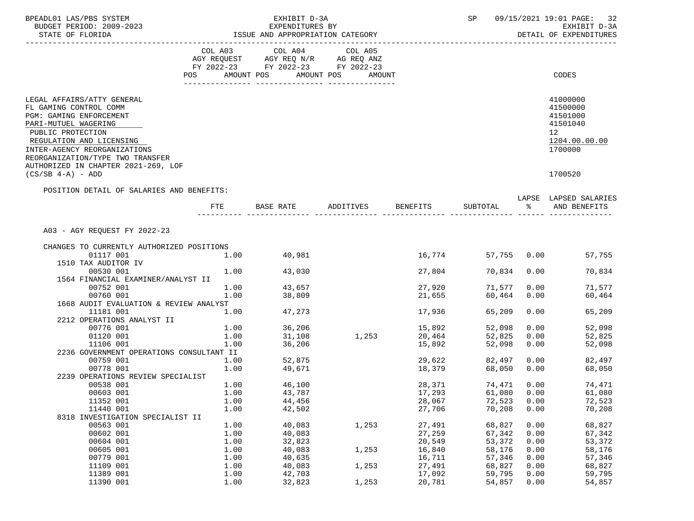| BPEADL01 LAS/PBS SYSTEM                                                                                                                                                                                                                                             |              | EXHIBIT D-3A                                                                                                   | 09/15/2021 19:01 PAGE: 32<br>SP |                              |                  |              |                                                                                |
|---------------------------------------------------------------------------------------------------------------------------------------------------------------------------------------------------------------------------------------------------------------------|--------------|----------------------------------------------------------------------------------------------------------------|---------------------------------|------------------------------|------------------|--------------|--------------------------------------------------------------------------------|
| BUDGET PERIOD: 2009-2023                                                                                                                                                                                                                                            |              | EXPENDITURES BY                                                                                                | EXHIBIT D-3A                    |                              |                  |              |                                                                                |
| STATE OF FLORIDA                                                                                                                                                                                                                                                    |              | ISSUE AND APPROPRIATION CATEGORY                                                                               |                                 |                              |                  |              | DETAIL OF EXPENDITURES                                                         |
| --------------------                                                                                                                                                                                                                                                |              | COL A03 COL A04                                                                                                | COL A05                         |                              |                  |              |                                                                                |
|                                                                                                                                                                                                                                                                     |              | AGY REQUEST AGY REQ N/R AG REQ ANZ                                                                             |                                 |                              |                  |              |                                                                                |
|                                                                                                                                                                                                                                                                     |              | FY 2022-23 FY 2022-23 FY 2022-23                                                                               |                                 |                              |                  |              |                                                                                |
|                                                                                                                                                                                                                                                                     |              | POS AMOUNT POS AMOUNT POS AMOUNT                                                                               |                                 |                              |                  |              | CODES                                                                          |
|                                                                                                                                                                                                                                                                     |              |                                                                                                                |                                 |                              |                  |              |                                                                                |
| LEGAL AFFAIRS/ATTY GENERAL<br>FL GAMING CONTROL COMM<br>PGM: GAMING ENFORCEMENT<br>PARI-MUTUEL WAGERING<br>PUBLIC PROTECTION<br>REGULATION AND LICENSING<br>INTER-AGENCY REORGANIZATIONS<br>REORGANIZATION/TYPE TWO TRANSFER<br>AUTHORIZED IN CHAPTER 2021-269, LOF |              |                                                                                                                |                                 |                              |                  |              | 41000000<br>41500000<br>41501000<br>41501040<br>12<br>1204.00.00.00<br>1700000 |
| $(CS/SB 4-A) - ADD$                                                                                                                                                                                                                                                 |              |                                                                                                                |                                 |                              |                  |              | 1700520                                                                        |
| POSITION DETAIL OF SALARIES AND BENEFITS:                                                                                                                                                                                                                           |              |                                                                                                                |                                 |                              |                  |              |                                                                                |
|                                                                                                                                                                                                                                                                     |              |                                                                                                                |                                 |                              |                  |              | LAPSE LAPSED SALARIES                                                          |
|                                                                                                                                                                                                                                                                     | FTE          | BASE RATE             ADDITIVES            BENEFITS            SUBTOTAL                          AND  BENEFITS |                                 |                              |                  |              |                                                                                |
|                                                                                                                                                                                                                                                                     |              |                                                                                                                |                                 |                              |                  |              |                                                                                |
| A03 - AGY REQUEST FY 2022-23                                                                                                                                                                                                                                        |              |                                                                                                                |                                 |                              |                  |              |                                                                                |
| CHANGES TO CURRENTLY AUTHORIZED POSITIONS                                                                                                                                                                                                                           |              |                                                                                                                |                                 |                              |                  |              |                                                                                |
| 01117 001                                                                                                                                                                                                                                                           | 1.00         | 40,981                                                                                                         |                                 | 16,774                       | 57,755           |              | 0.00<br>57,755                                                                 |
| 1510 TAX AUDITOR IV                                                                                                                                                                                                                                                 |              |                                                                                                                |                                 |                              |                  |              |                                                                                |
| 00530 001                                                                                                                                                                                                                                                           |              | 1.00 43,030                                                                                                    |                                 | 27,804                       | 70,834           | 0.00         | 70,834                                                                         |
| 1564 FINANCIAL EXAMINER/ANALYST II                                                                                                                                                                                                                                  |              |                                                                                                                |                                 |                              |                  |              |                                                                                |
| 00752 001<br>00760 001                                                                                                                                                                                                                                              | 1.00<br>1.00 | 43,657<br>38,809                                                                                               |                                 | 27,920                       | 71,577<br>60,464 | 0.00<br>0.00 | 71,577<br>60,464                                                               |
| 1668 AUDIT EVALUATION & REVIEW ANALYST                                                                                                                                                                                                                              |              |                                                                                                                |                                 | 21,655                       |                  |              |                                                                                |
| 11181 001                                                                                                                                                                                                                                                           | 1.00         | 47,273                                                                                                         |                                 | 17,936                       | 65,209           | 0.00         | 65,209                                                                         |
| 2212 OPERATIONS ANALYST II                                                                                                                                                                                                                                          |              |                                                                                                                |                                 |                              |                  |              |                                                                                |
| 00776 001                                                                                                                                                                                                                                                           | 1.00         | 36,206                                                                                                         |                                 |                              | 52,098           | 0.00         | 52,098                                                                         |
| 01120 001                                                                                                                                                                                                                                                           | 1.00         | 31,108                                                                                                         | 1,253                           |                              | 52,825           | 0.00         | 52,825                                                                         |
| 11106 001                                                                                                                                                                                                                                                           | 1.00         | 36,206                                                                                                         |                                 | $20,464$<br>15.000<br>15,892 | 52,098           | 0.00         | 52,098                                                                         |
| 2236 GOVERNMENT OPERATIONS CONSULTANT II                                                                                                                                                                                                                            |              |                                                                                                                |                                 |                              |                  |              |                                                                                |
| 00759 001                                                                                                                                                                                                                                                           | 1.00         | 52,875                                                                                                         |                                 | 29,622                       | 82,497           |              | 0.00<br>82,497                                                                 |
| 00778 001                                                                                                                                                                                                                                                           | 1.00         | 49,671                                                                                                         |                                 | 18,379                       | 68,050           | 0.00         | 68,050                                                                         |
| 2239 OPERATIONS REVIEW SPECIALIST                                                                                                                                                                                                                                   |              |                                                                                                                |                                 |                              |                  |              |                                                                                |
| 00538 001                                                                                                                                                                                                                                                           | 1.00         | 46,100                                                                                                         |                                 | 28,371                       | 74,471           | 0.00         | 74,471                                                                         |
| 00603 001                                                                                                                                                                                                                                                           | 1.00         | 43,787                                                                                                         |                                 | 17,293                       | 61,080 0.00      |              | 61,080                                                                         |
| 11352 001                                                                                                                                                                                                                                                           | 1.00         | 44,456                                                                                                         |                                 | 28,067                       | 72,523           | 0.00         | 72,523                                                                         |
| 11440 001                                                                                                                                                                                                                                                           | 1.00         | 42,502                                                                                                         |                                 | 27,706                       | 70,208           | 0.00         | 70,208                                                                         |
| 8318 INVESTIGATION SPECIALIST II                                                                                                                                                                                                                                    |              |                                                                                                                |                                 |                              |                  |              |                                                                                |
| 00563 001                                                                                                                                                                                                                                                           | 1.00         | 40,083                                                                                                         | 1,253                           | 27,491                       | 68,827           | 0.00         | 68,827                                                                         |
| 00602 001                                                                                                                                                                                                                                                           | 1.00         | 40,083                                                                                                         |                                 | 27,259                       | 67,342           | 0.00         | 67,342                                                                         |
| 00604 001                                                                                                                                                                                                                                                           | 1.00         | 32,823                                                                                                         |                                 | 20,549                       | 53,372           | 0.00         | 53,372                                                                         |
| 00605 001                                                                                                                                                                                                                                                           | 1.00         | 40,083                                                                                                         | 1,253                           | 16,840                       | 58,176           | 0.00         | 58,176                                                                         |
| 00779 001                                                                                                                                                                                                                                                           | 1.00         | 40,635                                                                                                         |                                 | 16,711                       | 57,346           | 0.00         | 57,346                                                                         |
| 11109 001                                                                                                                                                                                                                                                           | 1.00         | 40,083                                                                                                         | 1,253                           | 27,491                       | 68,827           | 0.00         | 68,827                                                                         |
| 11389 001                                                                                                                                                                                                                                                           | 1.00         | 42,703                                                                                                         |                                 | 17,092                       | 59,795           | 0.00         | 59,795                                                                         |
| 11390 001                                                                                                                                                                                                                                                           | 1.00         | 32,823                                                                                                         | 1,253                           | 20,781                       | 54,857           | 0.00         | 54,857                                                                         |
|                                                                                                                                                                                                                                                                     |              |                                                                                                                |                                 |                              |                  |              |                                                                                |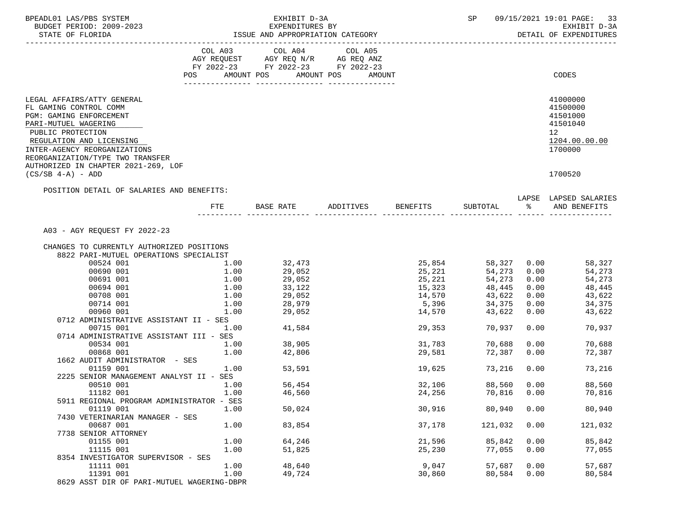| BPEADL01 LAS/PBS SYSTEM<br>BUDGET PERIOD: 2009-2023<br>STATE OF FLORIDA                                                                                                                                                                                             |                                                                                                                | EXHIBIT D-3A<br>EXPENDITURES BY<br>EAPENDITURES BY<br>ISSUE AND APPROPRIATION CATEGORY | SP     | 09/15/2021 19:01 PAGE:<br>33<br>EXHIBIT D-3A<br>DETAIL OF EXPENDITURES |                               |               |                                                                                |
|---------------------------------------------------------------------------------------------------------------------------------------------------------------------------------------------------------------------------------------------------------------------|----------------------------------------------------------------------------------------------------------------|----------------------------------------------------------------------------------------|--------|------------------------------------------------------------------------|-------------------------------|---------------|--------------------------------------------------------------------------------|
|                                                                                                                                                                                                                                                                     | POS FOR THE POST OF THE STATE STATE STATE STATE STATE STATE STATE STATE STATE STATE STATE STATE STATE STATE ST | FY 2022-23 FY 2022-23 FY 2022-23<br>AMOUNT POS AMOUNT POS                              | AMOUNT |                                                                        |                               |               | CODES                                                                          |
|                                                                                                                                                                                                                                                                     |                                                                                                                |                                                                                        |        |                                                                        |                               |               |                                                                                |
| LEGAL AFFAIRS/ATTY GENERAL<br>FL GAMING CONTROL COMM<br>PGM: GAMING ENFORCEMENT<br>PARI-MUTUEL WAGERING<br>PUBLIC PROTECTION<br>REGULATION AND LICENSING<br>INTER-AGENCY REORGANIZATIONS<br>REORGANIZATION/TYPE TWO TRANSFER<br>AUTHORIZED IN CHAPTER 2021-269, LOF |                                                                                                                |                                                                                        |        |                                                                        |                               |               | 41000000<br>41500000<br>41501000<br>41501040<br>12<br>1204.00.00.00<br>1700000 |
| $(CS/SB 4-A) - ADD$                                                                                                                                                                                                                                                 |                                                                                                                |                                                                                        |        |                                                                        |                               |               | 1700520                                                                        |
| POSITION DETAIL OF SALARIES AND BENEFITS:                                                                                                                                                                                                                           |                                                                                                                |                                                                                        |        |                                                                        |                               |               |                                                                                |
|                                                                                                                                                                                                                                                                     | FTE                                                                                                            | BASE RATE ADDITIVES                                                                    |        | BENEFITS                                                               | SUBTOTAL                      | $\frac{1}{6}$ | LAPSE LAPSED SALARIES<br>AND BENEFITS                                          |
| A03 - AGY REQUEST FY 2022-23<br>CHANGES TO CURRENTLY AUTHORIZED POSITIONS                                                                                                                                                                                           |                                                                                                                |                                                                                        |        |                                                                        |                               |               |                                                                                |
| 8822 PARI-MUTUEL OPERATIONS SPECIALIST                                                                                                                                                                                                                              |                                                                                                                |                                                                                        |        |                                                                        |                               |               |                                                                                |
| 00524 001                                                                                                                                                                                                                                                           | 1.00                                                                                                           | 32,473                                                                                 |        |                                                                        | 25,854 58,327                 | 0.00          | 58,327                                                                         |
| 00690 001                                                                                                                                                                                                                                                           | 1.00                                                                                                           | 29,052                                                                                 |        | 25,221                                                                 | 54,273<br>$25, 221$ $54, 273$ | 0.00          | 54,273                                                                         |
| 00691 001                                                                                                                                                                                                                                                           | 1.00                                                                                                           | 29,052                                                                                 |        |                                                                        |                               | 0.00          | 54,273                                                                         |
| 00694 001                                                                                                                                                                                                                                                           | 1.00                                                                                                           | 33,122                                                                                 |        |                                                                        | 15,323 48,445                 | 0.00          | 48,445                                                                         |
| 00708 001                                                                                                                                                                                                                                                           | 1.00                                                                                                           | 29,052                                                                                 |        | 14,570                                                                 | 43,622<br>5,396 34,375        | 0.00          | 43,622                                                                         |
| 00714 001                                                                                                                                                                                                                                                           | 1.00                                                                                                           | 28,979                                                                                 |        |                                                                        |                               | 0.00          | 34,375                                                                         |
| 00960 001<br>0712 ADMINISTRATIVE ASSISTANT II - SES                                                                                                                                                                                                                 | 1.00                                                                                                           | 29,052                                                                                 |        | 14,570                                                                 | 43,622                        | 0.00          | 43,622                                                                         |
| 00715 001                                                                                                                                                                                                                                                           | 1.00                                                                                                           | 41,584                                                                                 |        | 29,353                                                                 | 70,937                        | 0.00          | 70,937                                                                         |
| 0714 ADMINISTRATIVE ASSISTANT III - SES                                                                                                                                                                                                                             |                                                                                                                |                                                                                        |        |                                                                        |                               |               |                                                                                |
| 00534 001                                                                                                                                                                                                                                                           | 1.00                                                                                                           | 38,905                                                                                 |        | 31,783                                                                 | 70,688                        | 0.00          | 70,688                                                                         |
| 00868 001                                                                                                                                                                                                                                                           | 1.00                                                                                                           | 42,806                                                                                 |        | 29,581                                                                 | 72,387                        | 0.00          | 72,387                                                                         |
| 1662 AUDIT ADMINISTRATOR - SES                                                                                                                                                                                                                                      |                                                                                                                |                                                                                        |        |                                                                        |                               |               |                                                                                |
| 01159 001                                                                                                                                                                                                                                                           | 1.00                                                                                                           | 53,591                                                                                 |        | 19,625                                                                 | 73,216                        | 0.00          | 73,216                                                                         |
| 2225 SENIOR MANAGEMENT ANALYST II - SES                                                                                                                                                                                                                             |                                                                                                                |                                                                                        |        |                                                                        |                               |               |                                                                                |
| 00510 001 1.00                                                                                                                                                                                                                                                      |                                                                                                                | 56,454                                                                                 |        | 32,106                                                                 |                               | 88,560 0.00   | 88,560                                                                         |
| 11182 001                                                                                                                                                                                                                                                           | 1.00                                                                                                           | 46,560                                                                                 |        | 24,256                                                                 | 70,816                        | 0.00          | 70,816                                                                         |
| 5911 REGIONAL PROGRAM ADMINISTRATOR - SES                                                                                                                                                                                                                           |                                                                                                                |                                                                                        |        |                                                                        |                               |               |                                                                                |
| 01119 001                                                                                                                                                                                                                                                           | 1.00                                                                                                           | 50,024                                                                                 |        | 30,916                                                                 | 80,940                        | 0.00          | 80,940                                                                         |
| 7430 VETERINARIAN MANAGER - SES                                                                                                                                                                                                                                     |                                                                                                                |                                                                                        |        |                                                                        |                               |               |                                                                                |
| 00687 001                                                                                                                                                                                                                                                           | 1.00                                                                                                           | 83,854                                                                                 |        | 37,178                                                                 | 121,032                       | 0.00          | 121,032                                                                        |
| 7738 SENIOR ATTORNEY                                                                                                                                                                                                                                                |                                                                                                                |                                                                                        |        |                                                                        |                               |               |                                                                                |
| 01155 001<br>11115 001                                                                                                                                                                                                                                              | 1.00<br>1.00                                                                                                   | 64,246<br>51,825                                                                       |        | 21,596<br>25,230                                                       | 85,842<br>77,055              | 0.00<br>0.00  | 85,842<br>77,055                                                               |
| 8354 INVESTIGATOR SUPERVISOR - SES                                                                                                                                                                                                                                  |                                                                                                                |                                                                                        |        |                                                                        |                               |               |                                                                                |
| 11111 001                                                                                                                                                                                                                                                           | 1.00                                                                                                           | 48,640                                                                                 |        | 9,047                                                                  | 57,687                        | 0.00          | 57,687                                                                         |
| 11391 001                                                                                                                                                                                                                                                           | 1.00                                                                                                           | 49,724                                                                                 |        | 30,860                                                                 | 80,584                        | 0.00          | 80,584                                                                         |
| 8629 ASST DIR OF PARI-MUTUEL WAGERING-DBPR                                                                                                                                                                                                                          |                                                                                                                |                                                                                        |        |                                                                        |                               |               |                                                                                |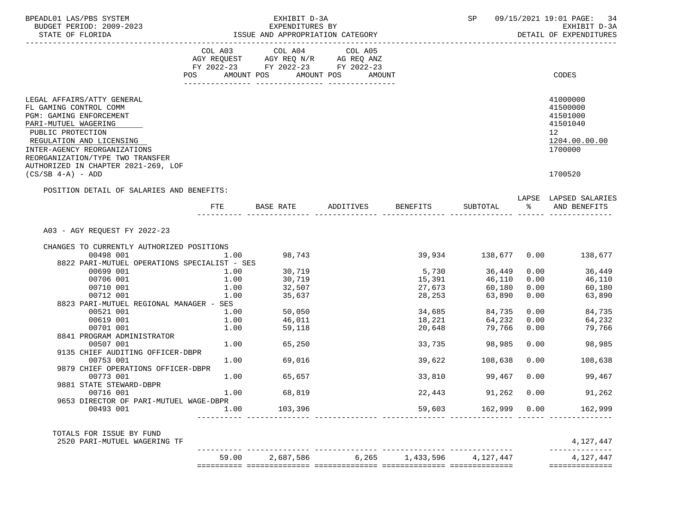| BPEADL01 LAS/PBS SYSTEM<br>BUDGET PERIOD: 2009-2023                                                                                                                                                                                                                 |              | EXHIBIT D-3A<br>EXPENDITURES BY | SP                                                                                                                                                                                                                                                              | 09/15/2021 19:01 PAGE: 34<br>EXHIBIT D-3A |                               |              |                                                                                             |
|---------------------------------------------------------------------------------------------------------------------------------------------------------------------------------------------------------------------------------------------------------------------|--------------|---------------------------------|-----------------------------------------------------------------------------------------------------------------------------------------------------------------------------------------------------------------------------------------------------------------|-------------------------------------------|-------------------------------|--------------|---------------------------------------------------------------------------------------------|
| STATE OF FLORIDA                                                                                                                                                                                                                                                    |              |                                 | ISSUE AND APPROPRIATION CATEGORY                                                                                                                                                                                                                                |                                           |                               |              | DETAIL OF EXPENDITURES                                                                      |
|                                                                                                                                                                                                                                                                     |              |                                 | $\begin{tabular}{lllllllllll} COL & A03 & \multicolumn{2}{l}COL & A04 & \multicolumn{2}{l}COL & A05 \\ AGY & REQUEST & AGY REQ & N/R & \multicolumn{2}{l}AG REQ & ANZ \\ \end{tabular}$<br>FY 2022-23 FY 2022-23 FY 2022-23<br>POS AMOUNT POS AMOUNT POS AMOUNT |                                           |                               |              | CODES                                                                                       |
|                                                                                                                                                                                                                                                                     |              |                                 |                                                                                                                                                                                                                                                                 |                                           |                               |              |                                                                                             |
| LEGAL AFFAIRS/ATTY GENERAL<br>FL GAMING CONTROL COMM<br>PGM: GAMING ENFORCEMENT<br>PARI-MUTUEL WAGERING<br>PUBLIC PROTECTION<br>REGULATION AND LICENSING<br>INTER-AGENCY REORGANIZATIONS<br>REORGANIZATION/TYPE TWO TRANSFER<br>AUTHORIZED IN CHAPTER 2021-269, LOF |              |                                 |                                                                                                                                                                                                                                                                 |                                           |                               |              | 41000000<br>41500000<br>41501000<br>41501040<br>12 <sup>°</sup><br>1204.00.00.00<br>1700000 |
| $(CS/SB 4-A) - ADD$                                                                                                                                                                                                                                                 |              |                                 |                                                                                                                                                                                                                                                                 |                                           |                               |              | 1700520                                                                                     |
| POSITION DETAIL OF SALARIES AND BENEFITS:                                                                                                                                                                                                                           |              |                                 |                                                                                                                                                                                                                                                                 |                                           |                               |              | LAPSE LAPSED SALARIES                                                                       |
|                                                                                                                                                                                                                                                                     | FTE          |                                 | BASE RATE ADDITIVES BENEFITS                                                                                                                                                                                                                                    |                                           | SUBTOTAL %                    |              | AND BENEFITS                                                                                |
| A03 - AGY REQUEST FY 2022-23                                                                                                                                                                                                                                        |              |                                 |                                                                                                                                                                                                                                                                 |                                           |                               |              |                                                                                             |
| CHANGES TO CURRENTLY AUTHORIZED POSITIONS<br>00498 001                                                                                                                                                                                                              | 1.00         | 98,743                          |                                                                                                                                                                                                                                                                 |                                           |                               |              | 39,934 138,677 0.00 138,677                                                                 |
| 8822 PARI-MUTUEL OPERATIONS SPECIALIST - SES<br>00699 001                                                                                                                                                                                                           |              |                                 |                                                                                                                                                                                                                                                                 |                                           |                               |              |                                                                                             |
| 00706 001                                                                                                                                                                                                                                                           | 1.00<br>1.00 | 30,719<br>30,719                |                                                                                                                                                                                                                                                                 |                                           | 5,730 36,449<br>15,391 46,110 | 0.00<br>0.00 | 36,449<br>46,110                                                                            |
| 00710 001                                                                                                                                                                                                                                                           | 1.00         | 32,507                          |                                                                                                                                                                                                                                                                 |                                           | 60,180                        | 0.00         | 60,180                                                                                      |
| 00712 001                                                                                                                                                                                                                                                           | 1.00         | 35,637                          |                                                                                                                                                                                                                                                                 | 27,673<br>28,253                          | 63,890                        | 0.00         | 63,890                                                                                      |
| 8823 PARI-MUTUEL REGIONAL MANAGER - SES                                                                                                                                                                                                                             |              |                                 |                                                                                                                                                                                                                                                                 |                                           |                               |              |                                                                                             |
| 00521 001                                                                                                                                                                                                                                                           | 1.00         |                                 |                                                                                                                                                                                                                                                                 |                                           | 84,735                        | 0.00         | 84,735                                                                                      |
| 00619 001                                                                                                                                                                                                                                                           | 1.00         | 50,050<br>46,011                |                                                                                                                                                                                                                                                                 | 34,685<br>18,221                          | 64,232                        | 0.00         | 64,232                                                                                      |
| 00701 001                                                                                                                                                                                                                                                           | 1.00         | 59,118                          |                                                                                                                                                                                                                                                                 | 20,648                                    | 79,766                        | 0.00         | 79,766                                                                                      |
| 8841 PROGRAM ADMINISTRATOR                                                                                                                                                                                                                                          |              |                                 |                                                                                                                                                                                                                                                                 |                                           |                               |              |                                                                                             |
| 00507 001                                                                                                                                                                                                                                                           |              | $1.00$ 65,250                   |                                                                                                                                                                                                                                                                 |                                           | 33,735 98,985                 | 0.00         | 98,985                                                                                      |
| 9135 CHIEF AUDITING OFFICER-DBPR                                                                                                                                                                                                                                    |              |                                 |                                                                                                                                                                                                                                                                 |                                           |                               |              |                                                                                             |
| 00753 001                                                                                                                                                                                                                                                           |              | $1.00$ 69,016                   |                                                                                                                                                                                                                                                                 | 39,622                                    | 108,638                       | 0.00         | 108,638                                                                                     |
| 9879 CHIEF OPERATIONS OFFICER-DBPR                                                                                                                                                                                                                                  |              |                                 |                                                                                                                                                                                                                                                                 |                                           |                               |              |                                                                                             |
| 00773 001                                                                                                                                                                                                                                                           | 1.00         | 65,657                          |                                                                                                                                                                                                                                                                 |                                           | 33,810 99,467                 | 0.00         | 99,467                                                                                      |
| 9881 STATE STEWARD-DBPR                                                                                                                                                                                                                                             |              |                                 |                                                                                                                                                                                                                                                                 |                                           |                               |              |                                                                                             |
| 00716 001                                                                                                                                                                                                                                                           | 1.00         | 68,819                          |                                                                                                                                                                                                                                                                 |                                           | 22,443 91,262 0.00            |              | 91,262                                                                                      |
| 9653 DIRECTOR OF PARI-MUTUEL WAGE-DBPR                                                                                                                                                                                                                              |              |                                 |                                                                                                                                                                                                                                                                 |                                           |                               |              |                                                                                             |
| 00493 001                                                                                                                                                                                                                                                           | 1.00         | 103,396                         |                                                                                                                                                                                                                                                                 | 59,603                                    | 162,999                       | 0.00         | 162,999                                                                                     |
| TOTALS FOR ISSUE BY FUND                                                                                                                                                                                                                                            |              |                                 |                                                                                                                                                                                                                                                                 |                                           |                               |              |                                                                                             |
| 2520 PARI-MUTUEL WAGERING TF                                                                                                                                                                                                                                        |              |                                 |                                                                                                                                                                                                                                                                 |                                           |                               |              | 4,127,447                                                                                   |
|                                                                                                                                                                                                                                                                     | 59.00        | 2,687,586                       | 6,265                                                                                                                                                                                                                                                           | 1,433,596                                 | 4,127,447                     |              | 4,127,447<br>==============                                                                 |
|                                                                                                                                                                                                                                                                     |              |                                 |                                                                                                                                                                                                                                                                 |                                           |                               |              |                                                                                             |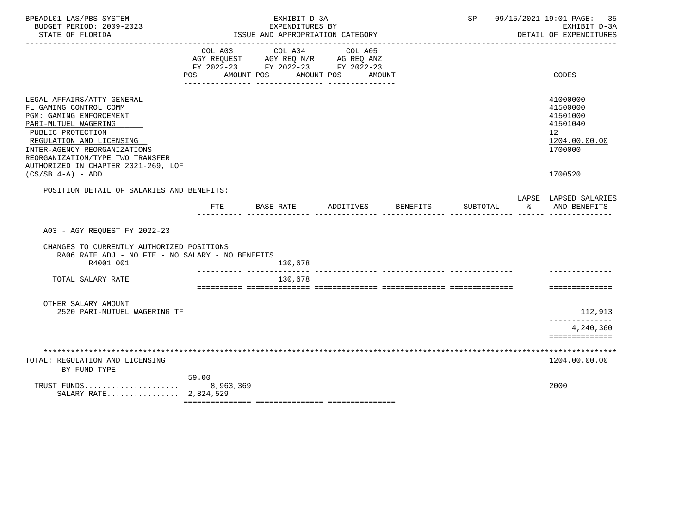| BPEADL01 LAS/PBS SYSTEM<br>BUDGET PERIOD: 2009-2023<br>STATE OF FLORIDA                                                                                                                                                                                                                           |                                                                                             |            |         | EXHIBIT D-3A<br>EXPENDITURES BY | ISSUE AND APPROPRIATION CATEGORY |        |                 | SP       |   | 09/15/2021 19:01 PAGE: 35<br>EXHIBIT D-3A<br>DETAIL OF EXPENDITURES                       |
|---------------------------------------------------------------------------------------------------------------------------------------------------------------------------------------------------------------------------------------------------------------------------------------------------|---------------------------------------------------------------------------------------------|------------|---------|---------------------------------|----------------------------------|--------|-----------------|----------|---|-------------------------------------------------------------------------------------------|
|                                                                                                                                                                                                                                                                                                   | COL A03<br>AGY REQUEST AGY REQ N/R AG REQ ANZ<br>FY 2022-23 FY 2022-23 FY 2022-23<br>POS DO | AMOUNT POS | COL A04 |                                 | COL A05<br>AMOUNT POS            | AMOUNT |                 |          |   | CODES                                                                                     |
| LEGAL AFFAIRS/ATTY GENERAL<br>FL GAMING CONTROL COMM<br><b>PGM: GAMING ENFORCEMENT</b><br>PARI-MUTUEL WAGERING<br>PUBLIC PROTECTION<br>REGULATION AND LICENSING<br>INTER-AGENCY REORGANIZATIONS<br>REORGANIZATION/TYPE TWO TRANSFER<br>AUTHORIZED IN CHAPTER 2021-269, LOF<br>$(CS/SB 4-A) - ADD$ |                                                                                             |            |         |                                 |                                  |        |                 |          |   | 41000000<br>41500000<br>41501000<br>41501040<br>12<br>1204.00.00.00<br>1700000<br>1700520 |
| POSITION DETAIL OF SALARIES AND BENEFITS:                                                                                                                                                                                                                                                         | FTE                                                                                         | BASE RATE  |         |                                 | ADDITIVES                        |        | <b>BENEFITS</b> | SUBTOTAL | ႜ | LAPSE LAPSED SALARIES<br>AND BENEFITS                                                     |
| A03 - AGY REOUEST FY 2022-23<br>CHANGES TO CURRENTLY AUTHORIZED POSITIONS<br>RA06 RATE ADJ - NO FTE - NO SALARY - NO BENEFITS<br>R4001 001                                                                                                                                                        |                                                                                             |            |         | 130,678                         |                                  |        |                 |          |   |                                                                                           |
| TOTAL SALARY RATE                                                                                                                                                                                                                                                                                 |                                                                                             |            |         | 130,678                         |                                  |        |                 |          |   | ==============                                                                            |
| OTHER SALARY AMOUNT<br>2520 PARI-MUTUEL WAGERING TF                                                                                                                                                                                                                                               |                                                                                             |            |         |                                 |                                  |        |                 |          |   | 112,913<br>-------------<br>4,240,360<br>==============                                   |
|                                                                                                                                                                                                                                                                                                   |                                                                                             |            |         |                                 |                                  |        |                 |          |   |                                                                                           |
| TOTAL: REGULATION AND LICENSING<br>BY FUND TYPE                                                                                                                                                                                                                                                   |                                                                                             |            |         |                                 |                                  |        |                 |          |   | 1204.00.00.00                                                                             |
| TRUST FUNDS<br>SALARY RATE 2,824,529                                                                                                                                                                                                                                                              | 59.00<br>8,963,369                                                                          |            |         |                                 |                                  |        |                 |          |   | 2000                                                                                      |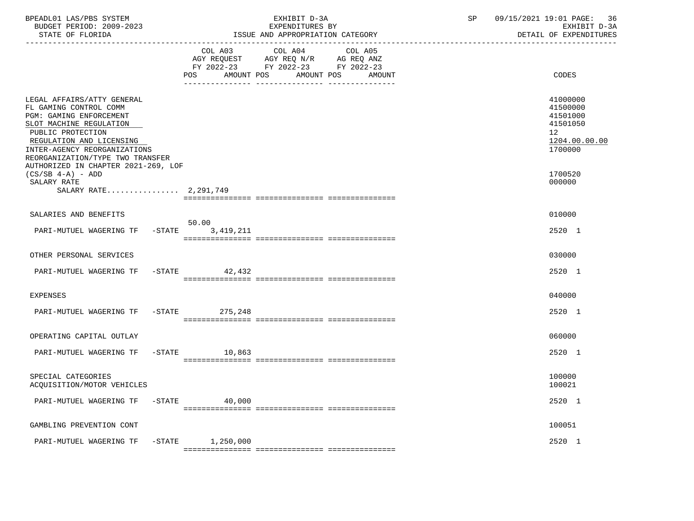| BPEADL01 LAS/PBS SYSTEM<br>BUDGET PERIOD: 2009-2023<br>STATE OF FLORIDA                                                                                                                                                                                                | EXHIBIT D-3A<br>EXPENDITURES BY<br>ISSUE AND APPROPRIATION CATEGORY                                                                                  | 09/15/2021 19:01 PAGE: 36<br>SP<br>EXHIBIT D-3A<br>DETAIL OF EXPENDITURES      |
|------------------------------------------------------------------------------------------------------------------------------------------------------------------------------------------------------------------------------------------------------------------------|------------------------------------------------------------------------------------------------------------------------------------------------------|--------------------------------------------------------------------------------|
|                                                                                                                                                                                                                                                                        | COL A03<br>COL A04<br>COL A05<br>AGY REQUEST AGY REQ N/R AG REQ ANZ<br>FY 2022-23 FY 2022-23 FY 2022-23<br>AMOUNT POS<br>AMOUNT POS<br>POS<br>AMOUNT | CODES                                                                          |
| LEGAL AFFAIRS/ATTY GENERAL<br>FL GAMING CONTROL COMM<br>PGM: GAMING ENFORCEMENT<br>SLOT MACHINE REGULATION<br>PUBLIC PROTECTION<br>REGULATION AND LICENSING<br>INTER-AGENCY REORGANIZATIONS<br>REORGANIZATION/TYPE TWO TRANSFER<br>AUTHORIZED IN CHAPTER 2021-269, LOF |                                                                                                                                                      | 41000000<br>41500000<br>41501000<br>41501050<br>12<br>1204.00.00.00<br>1700000 |
| $(CS/SB 4-A) - ADD$<br>SALARY RATE<br>SALARY RATE 2,291,749                                                                                                                                                                                                            |                                                                                                                                                      | 1700520<br>000000                                                              |
| SALARIES AND BENEFITS                                                                                                                                                                                                                                                  | 50.00                                                                                                                                                | 010000                                                                         |
| PARI-MUTUEL WAGERING TF -STATE 3,419,211                                                                                                                                                                                                                               |                                                                                                                                                      | 2520 1                                                                         |
| OTHER PERSONAL SERVICES                                                                                                                                                                                                                                                |                                                                                                                                                      | 030000                                                                         |
| PARI-MUTUEL WAGERING TF                                                                                                                                                                                                                                                | $-$ STATE 42,432                                                                                                                                     | 2520 1                                                                         |
| EXPENSES                                                                                                                                                                                                                                                               |                                                                                                                                                      | 040000                                                                         |
| PARI-MUTUEL WAGERING TF -STATE 275,248                                                                                                                                                                                                                                 |                                                                                                                                                      | 2520 1                                                                         |
| OPERATING CAPITAL OUTLAY                                                                                                                                                                                                                                               |                                                                                                                                                      | 060000                                                                         |
| PARI-MUTUEL WAGERING TF -STATE 10,863                                                                                                                                                                                                                                  |                                                                                                                                                      | 2520 1                                                                         |
| SPECIAL CATEGORIES<br>ACQUISITION/MOTOR VEHICLES                                                                                                                                                                                                                       |                                                                                                                                                      | 100000<br>100021                                                               |
| PARI-MUTUEL WAGERING TF<br>$-$ STATE                                                                                                                                                                                                                                   | 40,000                                                                                                                                               | 2520 1                                                                         |
| GAMBLING PREVENTION CONT                                                                                                                                                                                                                                               |                                                                                                                                                      | 100051                                                                         |
| PARI-MUTUEL WAGERING TF<br>$-$ STATE                                                                                                                                                                                                                                   | 1,250,000                                                                                                                                            | 2520 1                                                                         |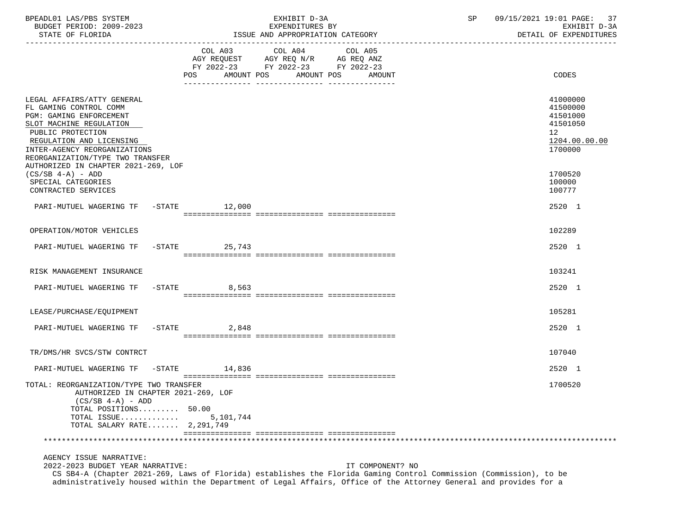| BPEADL01 LAS/PBS SYSTEM<br>BUDGET PERIOD: 2009-2023                                                                                                                                                                                                                    |           | EXHIBIT D-3A<br>EXPENDITURES BY                                                                                                      | 09/15/2021 19:01 PAGE: 37<br>SP<br>EXHIBIT D-3A                                |
|------------------------------------------------------------------------------------------------------------------------------------------------------------------------------------------------------------------------------------------------------------------------|-----------|--------------------------------------------------------------------------------------------------------------------------------------|--------------------------------------------------------------------------------|
|                                                                                                                                                                                                                                                                        | POS       | COL A03 COL A04<br>COL A05<br>AGY REQUEST AGY REQ N/R AG REQ ANZ<br>FY 2022-23 FY 2022-23 FY 2022-23<br>AMOUNT POS AMOUNT POS AMOUNT | CODES                                                                          |
| LEGAL AFFAIRS/ATTY GENERAL<br>FL GAMING CONTROL COMM<br>PGM: GAMING ENFORCEMENT<br>SLOT MACHINE REGULATION<br>PUBLIC PROTECTION<br>REGULATION AND LICENSING<br>INTER-AGENCY REORGANIZATIONS<br>REORGANIZATION/TYPE TWO TRANSFER<br>AUTHORIZED IN CHAPTER 2021-269, LOF |           |                                                                                                                                      | 41000000<br>41500000<br>41501000<br>41501050<br>12<br>1204.00.00.00<br>1700000 |
| $(CS/SB 4-A) - ADD$<br>SPECIAL CATEGORIES<br>CONTRACTED SERVICES                                                                                                                                                                                                       |           |                                                                                                                                      | 1700520<br>100000<br>100777                                                    |
| PARI-MUTUEL WAGERING TF -STATE 12,000                                                                                                                                                                                                                                  |           |                                                                                                                                      | $2520 - 1$                                                                     |
| OPERATION/MOTOR VEHICLES                                                                                                                                                                                                                                               |           |                                                                                                                                      | 102289                                                                         |
| PARI-MUTUEL WAGERING TF -STATE 25,743                                                                                                                                                                                                                                  |           |                                                                                                                                      | 2520 1                                                                         |
| RISK MANAGEMENT INSURANCE                                                                                                                                                                                                                                              |           |                                                                                                                                      | 103241                                                                         |
| PARI-MUTUEL WAGERING TF -STATE 8,563                                                                                                                                                                                                                                   |           |                                                                                                                                      | 2520 1                                                                         |
| LEASE/PURCHASE/EQUIPMENT                                                                                                                                                                                                                                               |           |                                                                                                                                      | 105281                                                                         |
| PARI-MUTUEL WAGERING TF -STATE 2,848                                                                                                                                                                                                                                   |           |                                                                                                                                      | 2520 1                                                                         |
| TR/DMS/HR SVCS/STW CONTRCT                                                                                                                                                                                                                                             |           |                                                                                                                                      | 107040                                                                         |
| PARI-MUTUEL WAGERING TF -STATE 14,836                                                                                                                                                                                                                                  |           |                                                                                                                                      | 2520 1                                                                         |
| TOTAL: REORGANIZATION/TYPE TWO TRANSFER<br>AUTHORIZED IN CHAPTER 2021-269, LOF<br>$(CS/SB 4-A) - ADD$<br>TOTAL POSITIONS 50.00<br>TOTAL ISSUE<br>TOTAL SALARY RATE 2,291,749                                                                                           | 5,101,744 |                                                                                                                                      | 1700520                                                                        |
|                                                                                                                                                                                                                                                                        |           |                                                                                                                                      |                                                                                |
| AGENCY ISSUE NARRATIVE:                                                                                                                                                                                                                                                |           |                                                                                                                                      |                                                                                |

 2022-2023 BUDGET YEAR NARRATIVE: IT COMPONENT? NO CS SB4-A (Chapter 2021-269, Laws of Florida) establishes the Florida Gaming Control Commission (Commission), to be administratively housed within the Department of Legal Affairs, Office of the Attorney General and provides for a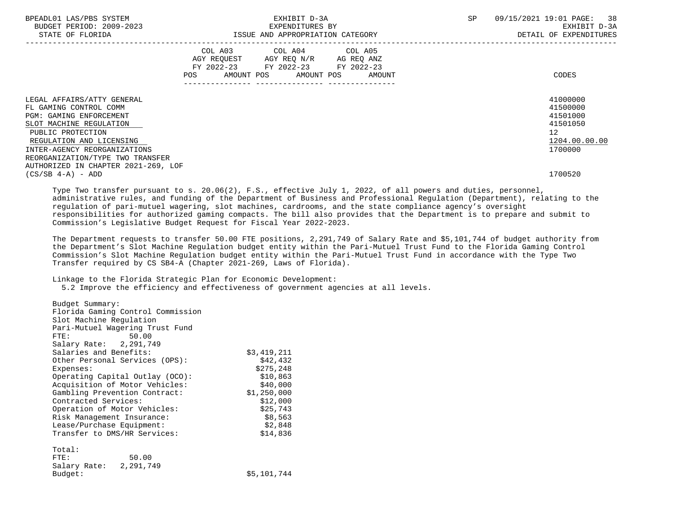| BPEADL01 LAS/PBS SYSTEM<br>BUDGET PERIOD: 2009-2023<br>STATE OF FLORIDA                                                                                                                                                                                                       | EXHIBIT D-3A<br>EXPENDITURES BY<br>ISSUE AND APPROPRIATION CATEGORY |  |  |                                                                                                   |  |                              | <b>SP</b> | -38<br>09/15/2021 19:01 PAGE:<br>EXHIBIT D-3A<br>DETAIL OF EXPENDITURES        |
|-------------------------------------------------------------------------------------------------------------------------------------------------------------------------------------------------------------------------------------------------------------------------------|---------------------------------------------------------------------|--|--|---------------------------------------------------------------------------------------------------|--|------------------------------|-----------|--------------------------------------------------------------------------------|
|                                                                                                                                                                                                                                                                               |                                                                     |  |  | COL A03 COL A04 COL A05<br>AGY REQUEST AGY REQ N/R AG REQ ANZ<br>FY 2022-23 FY 2022-23 FY 2022-23 |  | AMOUNT POS AMOUNT POS AMOUNT |           | CODES                                                                          |
| LEGAL AFFAIRS/ATTY GENERAL<br>FL GAMING CONTROL COMM<br><b>PGM: GAMING ENFORCEMENT</b><br>SLOT MACHINE REGULATION<br>PUBLIC PROTECTION<br>REGULATION AND LICENSING<br>INTER-AGENCY REORGANIZATIONS<br>REORGANIZATION/TYPE TWO TRANSFER<br>AUTHORIZED IN CHAPTER 2021-269, LOF |                                                                     |  |  |                                                                                                   |  |                              |           | 41000000<br>41500000<br>41501000<br>41501050<br>12<br>1204.00.00.00<br>1700000 |
| $(CS/SB 4-A) - ADD$                                                                                                                                                                                                                                                           |                                                                     |  |  |                                                                                                   |  |                              |           | 1700520                                                                        |

 Type Two transfer pursuant to s. 20.06(2), F.S., effective July 1, 2022, of all powers and duties, personnel, administrative rules, and funding of the Department of Business and Professional Regulation (Department), relating to the regulation of pari-mutuel wagering, slot machines, cardrooms, and the state compliance agency's oversight responsibilities for authorized gaming compacts. The bill also provides that the Department is to prepare and submit to Commission's Legislative Budget Request for Fiscal Year 2022-2023.

 The Department requests to transfer 50.00 FTE positions, 2,291,749 of Salary Rate and \$5,101,744 of budget authority from the Department's Slot Machine Regulation budget entity within the Pari-Mutuel Trust Fund to the Florida Gaming Control Commission's Slot Machine Regulation budget entity within the Pari-Mutuel Trust Fund in accordance with the Type Two Transfer required by CS SB4-A (Chapter 2021-269, Laws of Florida).

Linkage to the Florida Strategic Plan for Economic Development:

5.2 Improve the efficiency and effectiveness of government agencies at all levels.

 Budget Summary: Florida Gaming Control Commission Slot Machine Regulation Pari-Mutuel Wagering Trust Fund FTE: 50.00 Salary Rate: 2,291,749 Salaries and Benefits:  $$3,419,211$ <br>Other Personal Services (OPS):  $$42.432$ Other Personal Services (OPS):  $$42,432$ <br>Expenses: \$275,248 Expenses: \$275,248 Operating Capital Outlay (OCO): \$10,863 Acquisition of Motor Vehicles:  $$40,000$ <br>Gambling Prevention Contract:  $$1,250,000$ Gambling Prevention Contract: Contracted Services: \$12,000<br>Operation of Motor Vehicles: \$25,743 Operation of Motor Vehicles: Risk Management Insurance:  $$8,563$ Lease/Purchase Equipment:  $$2,848$ Transfer to DMS/HR Services: \$14,836 Total:<br>FTE: 50.00 Salary Rate: 2,291,749<br>Budget: \$5,101,744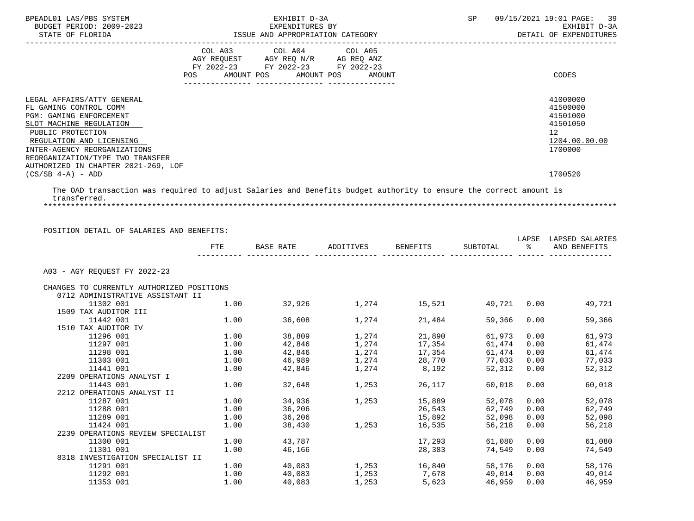| BPEADL01 LAS/PBS SYSTEM<br>BUDGET PERIOD: 2009-2023<br>STATE OF FLORIDA                                                                                                                                                                                                                              | EXHIBIT D-3A<br>EXPENDITURES BY<br>ISSUE AND APPROPRIATION CATEGORY                                                                                                             | 09/15/2021 19:01 PAGE: 39<br>SP<br>EXHIBIT D-3A<br>DETAIL OF EXPENDITURES                 |
|------------------------------------------------------------------------------------------------------------------------------------------------------------------------------------------------------------------------------------------------------------------------------------------------------|---------------------------------------------------------------------------------------------------------------------------------------------------------------------------------|-------------------------------------------------------------------------------------------|
|                                                                                                                                                                                                                                                                                                      | COL A03 COL A04 COL A05<br>AGY REQUEST AGY REQ N/R AG REQ ANZ<br>FY 2022-23 FY 2022-23 FY 2022-23<br>AMOUNT POS AMOUNT POS<br>AMOUNT<br>POS<br>--------------- ---------------- | CODES                                                                                     |
| LEGAL AFFAIRS/ATTY GENERAL<br>FL GAMING CONTROL COMM<br><b>PGM: GAMING ENFORCEMENT</b><br>SLOT MACHINE REGULATION<br>PUBLIC PROTECTION<br>REGULATION AND LICENSING<br>INTER-AGENCY REORGANIZATIONS<br>REORGANIZATION/TYPE TWO TRANSFER<br>AUTHORIZED IN CHAPTER 2021-269, LOF<br>$(CS/SB 4-A) - ADD$ |                                                                                                                                                                                 | 41000000<br>41500000<br>41501000<br>41501050<br>12<br>1204.00.00.00<br>1700000<br>1700520 |

 The OAD transaction was required to adjust Salaries and Benefits budget authority to ensure the correct amount is transferred. \*\*\*\*\*\*\*\*\*\*\*\*\*\*\*\*\*\*\*\*\*\*\*\*\*\*\*\*\*\*\*\*\*\*\*\*\*\*\*\*\*\*\*\*\*\*\*\*\*\*\*\*\*\*\*\*\*\*\*\*\*\*\*\*\*\*\*\*\*\*\*\*\*\*\*\*\*\*\*\*\*\*\*\*\*\*\*\*\*\*\*\*\*\*\*\*\*\*\*\*\*\*\*\*\*\*\*\*\*\*\*\*\*\*\*\*\*\*\*\*\*\*\*\*\*\*\*

POSITION DETAIL OF SALARIES AND BENEFITS:

|                                           | FTE  | <b>BASE RATE</b> | ADDITIVES                 | BENEFITS | SUBTOTAL | LAPSE<br>့ $\approx$ | LAPSED SALARIES<br>AND BENEFITS |
|-------------------------------------------|------|------------------|---------------------------|----------|----------|----------------------|---------------------------------|
| A03 - AGY REOUEST FY 2022-23              |      |                  |                           |          |          |                      |                                 |
| CHANGES TO CURRENTLY AUTHORIZED POSITIONS |      |                  |                           |          |          |                      |                                 |
| 0712 ADMINISTRATIVE ASSISTANT II          |      |                  |                           |          |          |                      |                                 |
| 11302 001                                 | 1.00 | 32,926           | 1,274                     | 15,521   | 49,721   | 0.00                 | 49,721                          |
| 1509 TAX AUDITOR III                      |      |                  |                           |          |          |                      |                                 |
| 11442 001                                 | 1.00 | 36,608           | 1,274                     | 21,484   | 59,366   | 0.00                 | 59,366                          |
| 1510 TAX AUDITOR IV                       |      |                  |                           |          |          |                      |                                 |
| 11296 001                                 | 1.00 | 38,809           | 1,274                     | 21,890   | 61,973   | 0.00                 | 61,973                          |
| 11297 001                                 | 1.00 | 42,846           | 1,274                     | 17,354   | 61,474   | 0.00                 | 61,474                          |
| 11298 001                                 | 1.00 | 42,846           | 1,274                     | 17,354   | 61,474   | 0.00                 | 61,474                          |
| 11303 001                                 | 1.00 | 46,989           | 1,274                     | 28,770   | 77,033   | 0.00                 | 77,033                          |
| 11441 001                                 | 1.00 | 42,846           | 1,274 8,192               |          | 52,312   | 0.00                 | 52,312                          |
| 2209 OPERATIONS ANALYST I                 |      |                  |                           |          |          |                      |                                 |
| 11443 001                                 | 1.00 | 32,648           | 1,253                     | 26,117   | 60,018   | 0.00                 | 60,018                          |
| 2212 OPERATIONS ANALYST II                |      |                  |                           |          |          |                      |                                 |
| 11287 001                                 | 1.00 | 34,936           | 1,253                     | 15,889   | 52,078   | 0.00                 | 52,078                          |
| 11288 001                                 | 1.00 | 36,206           |                           | 26,543   | 62,749   | 0.00                 | 62,749                          |
| 11289 001                                 | 1.00 | 36,206           |                           | 15,892   | 52,098   | 0.00                 | 52,098                          |
| 11424 001                                 | 1.00 | 38,430           | 1,253                     | 16,535   | 56,218   | 0.00                 | 56,218                          |
| 2239 OPERATIONS REVIEW SPECIALIST         |      |                  |                           |          |          |                      |                                 |
| 11300 001                                 | 1.00 | 43,787           |                           | 17,293   | 61,080   | 0.00                 | 61,080                          |
| 11301 001                                 | 1.00 | 46,166           |                           | 28,383   | 74,549   | 0.00                 | 74,549                          |
| 8318 INVESTIGATION SPECIALIST II          |      |                  |                           |          |          |                      |                                 |
| 11291 001                                 | 1.00 |                  | $40,083$ $1,253$ $16,840$ |          | 58,176   | 0.00                 | 58,176                          |
| 11292 001                                 | 1.00 | 40,083           | 1,253                     | 7,678    | 49,014   | 0.00                 | 49,014                          |
| 11353 001                                 | 1.00 | 40,083           | 1,253                     | 5,623    | 46,959   | 0.00                 | 46,959                          |
|                                           |      |                  |                           |          |          |                      |                                 |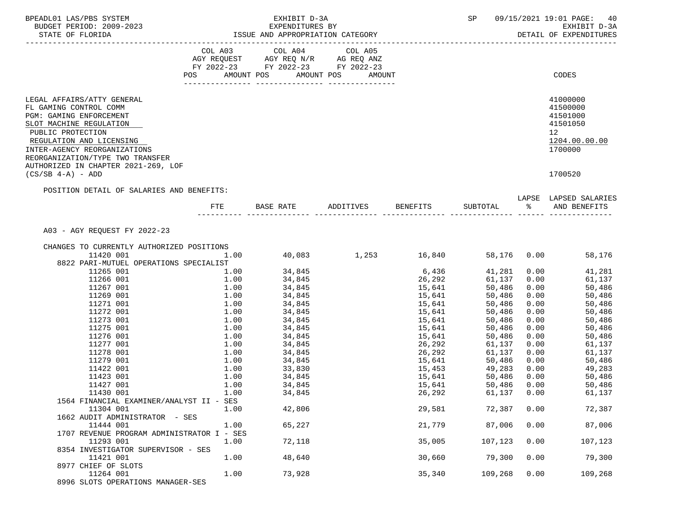| BPEADL01 LAS/PBS SYSTEM<br>BUDGET PERIOD: 2009-2023<br>STATE OF FLORIDA                                                                                                                                                                                                | EXPENDITURES BY<br>ISSUE AND APPROPRIATION CATEGORY | SP                                                                   |                                           | 09/15/2021 19:01 PAGE: 40<br>EXHIBIT D-3A<br>DETAIL OF EXPENDITURES |              |                                                                                |
|------------------------------------------------------------------------------------------------------------------------------------------------------------------------------------------------------------------------------------------------------------------------|-----------------------------------------------------|----------------------------------------------------------------------|-------------------------------------------|---------------------------------------------------------------------|--------------|--------------------------------------------------------------------------------|
|                                                                                                                                                                                                                                                                        |                                                     | FY 2022-23 FY 2022-23 FY 2022-23<br>POS AMOUNT POS AMOUNT POS AMOUNT |                                           |                                                                     |              | CODES                                                                          |
| LEGAL AFFAIRS/ATTY GENERAL<br>FL GAMING CONTROL COMM<br>PGM: GAMING ENFORCEMENT<br>SLOT MACHINE REGULATION<br>PUBLIC PROTECTION<br>REGULATION AND LICENSING<br>INTER-AGENCY REORGANIZATIONS<br>REORGANIZATION/TYPE TWO TRANSFER<br>AUTHORIZED IN CHAPTER 2021-269, LOF |                                                     |                                                                      |                                           |                                                                     |              | 41000000<br>41500000<br>41501000<br>41501050<br>12<br>1204.00.00.00<br>1700000 |
| $(CS/SB 4-A) - ADD$                                                                                                                                                                                                                                                    |                                                     |                                                                      |                                           |                                                                     |              | 1700520                                                                        |
| POSITION DETAIL OF SALARIES AND BENEFITS:                                                                                                                                                                                                                              | FTE                                                 | BASE RATE ADDITIVES BENEFITS                                         |                                           |                                                                     |              | LAPSE LAPSED SALARIES<br>SUBTOTAL % AND BENEFITS                               |
| A03 - AGY REQUEST FY 2022-23                                                                                                                                                                                                                                           |                                                     |                                                                      |                                           |                                                                     |              |                                                                                |
|                                                                                                                                                                                                                                                                        |                                                     |                                                                      |                                           |                                                                     |              |                                                                                |
| CHANGES TO CURRENTLY AUTHORIZED POSITIONS                                                                                                                                                                                                                              |                                                     |                                                                      |                                           |                                                                     |              |                                                                                |
| 11420 001                                                                                                                                                                                                                                                              | 1.00                                                |                                                                      | $40,083$ $1,253$ $16,840$ $58,176$ $0.00$ |                                                                     |              | 58,176                                                                         |
| 8822 PARI-MUTUEL OPERATIONS SPECIALIST                                                                                                                                                                                                                                 |                                                     |                                                                      |                                           |                                                                     |              |                                                                                |
| 11265 001                                                                                                                                                                                                                                                              | 1.00<br>1.00                                        | 34,845<br>34,845                                                     |                                           | 6,436 41,281<br>26,292 61,137                                       | 0.00         | 41,281<br>61,137                                                               |
| 11266 001<br>11267 001                                                                                                                                                                                                                                                 | 1.00                                                | 34,845                                                               |                                           |                                                                     | 0.00<br>0.00 | 50,486                                                                         |
| 11269 001                                                                                                                                                                                                                                                              | 1.00                                                | 34,845                                                               | 15,641                                    | 15,641 50,486<br>50,486                                             | 0.00         | 50,486                                                                         |
| 11271 001                                                                                                                                                                                                                                                              | 1.00                                                | 34,845                                                               | 15,641                                    | 50,486                                                              | 0.00         | 50,486                                                                         |
| 11272 001                                                                                                                                                                                                                                                              | 1.00                                                | 34,845                                                               |                                           | 50,486                                                              | 0.00         | 50,486                                                                         |
| 11273 001                                                                                                                                                                                                                                                              | 1.00                                                | 34,845                                                               | 15,641<br>15,641                          | 50,486                                                              | 0.00         | 50,486                                                                         |
| 11275 001                                                                                                                                                                                                                                                              | 1.00                                                | 34,845                                                               | 15,641                                    | 50,486                                                              | 0.00         | 50,486                                                                         |
| 11276 001                                                                                                                                                                                                                                                              | 1.00                                                | 34,845                                                               | 15,641                                    | 50,486                                                              | 0.00         | 50,486                                                                         |
| 11277 001                                                                                                                                                                                                                                                              | 1.00                                                | 34,845                                                               |                                           | 26,292 61,137                                                       | 0.00         | 61,137                                                                         |
| 11278 001                                                                                                                                                                                                                                                              | 1.00                                                | 34,845                                                               |                                           | 61,137                                                              | 0.00         |                                                                                |
| 11279 001                                                                                                                                                                                                                                                              | 1.00                                                | 34,845                                                               | 26,292<br>15,641                          | 50,486                                                              | 0.00         | 61,137<br>50,486                                                               |
| 11422 001                                                                                                                                                                                                                                                              | 1.00                                                | 33,830                                                               |                                           | 15,453 49,283                                                       | 0.00         | 49,283                                                                         |
| 11423 001                                                                                                                                                                                                                                                              | 1.00                                                | 34,845                                                               | 15,641                                    | 50,486                                                              | 0.00         | 50,486                                                                         |
| 11427 001                                                                                                                                                                                                                                                              | 1.00                                                | 34,845                                                               |                                           | 15,641 50,486 0.00                                                  |              | 50,486                                                                         |
| 11430 001                                                                                                                                                                                                                                                              | 1.00                                                | 34,845                                                               | 26,292                                    | 61,137                                                              | 0.00         | 61,137                                                                         |
| 1564 FINANCIAL EXAMINER/ANALYST II - SES                                                                                                                                                                                                                               |                                                     |                                                                      |                                           |                                                                     |              |                                                                                |
| 11304 001                                                                                                                                                                                                                                                              | 1.00                                                | 42,806                                                               | 29,581                                    | 72,387                                                              | 0.00         | 72,387                                                                         |
| 1662 AUDIT ADMINISTRATOR - SES                                                                                                                                                                                                                                         |                                                     |                                                                      |                                           |                                                                     |              |                                                                                |
| 11444 001                                                                                                                                                                                                                                                              | 1.00                                                | 65,227                                                               | 21,779                                    | 87,006                                                              | 0.00         | 87,006                                                                         |
| 1707 REVENUE PROGRAM ADMINISTRATOR I - SES                                                                                                                                                                                                                             |                                                     |                                                                      |                                           |                                                                     |              |                                                                                |
| 11293 001                                                                                                                                                                                                                                                              | 1.00                                                | 72,118                                                               | 35,005                                    | 107,123                                                             | 0.00         | 107,123                                                                        |
| 8354 INVESTIGATOR SUPERVISOR - SES                                                                                                                                                                                                                                     |                                                     |                                                                      |                                           |                                                                     |              |                                                                                |
| 11421 001                                                                                                                                                                                                                                                              | 1.00                                                | 48,640                                                               | 30,660                                    | 79,300                                                              | 0.00         | 79,300                                                                         |
| 8977 CHIEF OF SLOTS                                                                                                                                                                                                                                                    |                                                     |                                                                      |                                           |                                                                     |              |                                                                                |
| 11264 001                                                                                                                                                                                                                                                              | 1.00                                                | 73,928                                                               | 35,340                                    | 109,268                                                             | 0.00         | 109,268                                                                        |
| 8996 SLOTS OPERATIONS MANAGER-SES                                                                                                                                                                                                                                      |                                                     |                                                                      |                                           |                                                                     |              |                                                                                |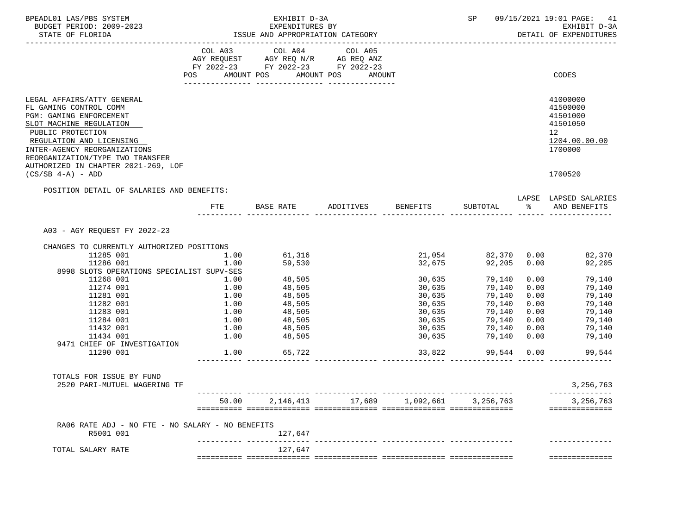| BPEADL01 LAS/PBS SYSTEM<br>BUDGET PERIOD: 2009-2023<br>STATE OF FLORIDA                                                                                                                                                                                                |       | EXHIBIT D-3A<br>EXPENDITURES BY<br>ISSUE AND APPROPRIATION CATEGORY                               |        | SP 09/15/2021 19:01 PAGE: 41<br>EXHIBIT D-3A<br>DETAIL OF EXPENDITURES |      |                                                                                             |
|------------------------------------------------------------------------------------------------------------------------------------------------------------------------------------------------------------------------------------------------------------------------|-------|---------------------------------------------------------------------------------------------------|--------|------------------------------------------------------------------------|------|---------------------------------------------------------------------------------------------|
| ------------------------                                                                                                                                                                                                                                               |       | COL A03 COL A04 COL A05<br>AGY REQUEST AGY REQ N/R AG REQ ANZ<br>FY 2022-23 FY 2022-23 FY 2022-23 |        |                                                                        |      |                                                                                             |
|                                                                                                                                                                                                                                                                        |       | POS AMOUNT POS AMOUNT POS AMOUNT                                                                  |        |                                                                        |      | CODES                                                                                       |
| LEGAL AFFAIRS/ATTY GENERAL<br>FL GAMING CONTROL COMM<br>PGM: GAMING ENFORCEMENT<br>SLOT MACHINE REGULATION<br>PUBLIC PROTECTION<br>REGULATION AND LICENSING<br>INTER-AGENCY REORGANIZATIONS<br>REORGANIZATION/TYPE TWO TRANSFER<br>AUTHORIZED IN CHAPTER 2021-269, LOF |       |                                                                                                   |        |                                                                        |      | 41000000<br>41500000<br>41501000<br>41501050<br>12 <sup>°</sup><br>1204.00.00.00<br>1700000 |
| $(CS/SB 4-A) - ADD$                                                                                                                                                                                                                                                    |       |                                                                                                   |        |                                                                        |      | 1700520                                                                                     |
| POSITION DETAIL OF SALARIES AND BENEFITS:                                                                                                                                                                                                                              | FTE   | BASE RATE ADDITIVES BENEFITS                                                                      |        |                                                                        |      | LAPSE LAPSED SALARIES<br>SUBTOTAL % AND BENEFITS                                            |
| A03 - AGY REOUEST FY 2022-23                                                                                                                                                                                                                                           |       |                                                                                                   |        |                                                                        |      |                                                                                             |
| CHANGES TO CURRENTLY AUTHORIZED POSITIONS                                                                                                                                                                                                                              |       |                                                                                                   |        |                                                                        |      |                                                                                             |
| 11285 001                                                                                                                                                                                                                                                              | 1.00  | 61,316                                                                                            |        |                                                                        |      | 21,054 82,370 0.00 82,370                                                                   |
| 11286 001                                                                                                                                                                                                                                                              | 1.00  | 59,530                                                                                            |        | 32,675<br>92,205 0.00                                                  |      | 92,205                                                                                      |
| 8998 SLOTS OPERATIONS SPECIALIST SUPV-SES                                                                                                                                                                                                                              |       |                                                                                                   |        |                                                                        |      |                                                                                             |
| 11268 001                                                                                                                                                                                                                                                              | 1.00  | 48,505                                                                                            | 30,635 | 79,140                                                                 |      | 79,140<br>0.00                                                                              |
| 11274 001                                                                                                                                                                                                                                                              | 1.00  | 48,505<br>48,505                                                                                  | 30,635 | 79,140                                                                 | 0.00 | 79,140                                                                                      |
| 11281 001                                                                                                                                                                                                                                                              | 1.00  |                                                                                                   | 30,635 | 79,140                                                                 | 0.00 | 79,140                                                                                      |
| 11282 001                                                                                                                                                                                                                                                              | 1.00  | 48,505                                                                                            | 30,635 | 79,140                                                                 | 0.00 | 79,140                                                                                      |
| 11283 001                                                                                                                                                                                                                                                              |       | 1.00 48,505<br>1.00 48,505                                                                        | 30,635 | 79,140                                                                 | 0.00 | 79,140                                                                                      |
| 11284 001                                                                                                                                                                                                                                                              |       |                                                                                                   | 30,635 | 79,140                                                                 | 0.00 | 79,140                                                                                      |
| 11432 001                                                                                                                                                                                                                                                              |       | 1.00 48,505                                                                                       | 30,635 | 79,140                                                                 | 0.00 | 79,140                                                                                      |
| 11434 001                                                                                                                                                                                                                                                              | 1.00  | 48,505                                                                                            | 30,635 | 79,140                                                                 | 0.00 | 79,140                                                                                      |
| 9471 CHIEF OF INVESTIGATION<br>11290 001                                                                                                                                                                                                                               |       | 1.00 65,722                                                                                       |        | 33,822 99,544 0.00                                                     |      | 99,544                                                                                      |
| TOTALS FOR ISSUE BY FUND                                                                                                                                                                                                                                               |       |                                                                                                   |        |                                                                        |      |                                                                                             |
| 2520 PARI-MUTUEL WAGERING TF                                                                                                                                                                                                                                           |       |                                                                                                   |        |                                                                        |      | 3, 256, 763                                                                                 |
|                                                                                                                                                                                                                                                                        | 50.00 |                                                                                                   |        | 2, 146, 413 17, 689 1, 092, 661 3, 256, 763                            |      | 3, 256, 763<br>==============                                                               |
| RA06 RATE ADJ - NO FTE - NO SALARY - NO BENEFITS<br>R5001 001                                                                                                                                                                                                          |       | 127,647                                                                                           |        |                                                                        |      |                                                                                             |
| TOTAL SALARY RATE                                                                                                                                                                                                                                                      |       | 127,647                                                                                           |        |                                                                        |      |                                                                                             |
|                                                                                                                                                                                                                                                                        |       |                                                                                                   |        |                                                                        |      | ==============                                                                              |